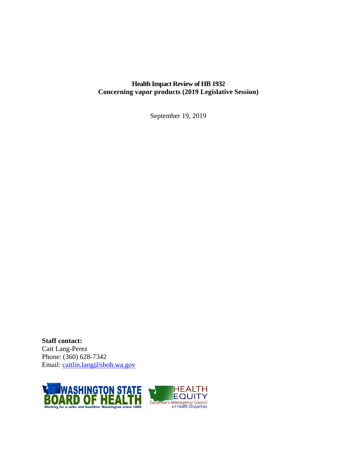# **Health Impact Review of HB 1932 Concerning vapor products (2019 Legislative Session)**

September 19, 2019

**Staff contact:** Cait Lang-Perez Phone: (360) 628-7342 Email: [caitlin.lang@sboh.wa.gov](mailto:caitlin.lang@sboh.wa.gov)



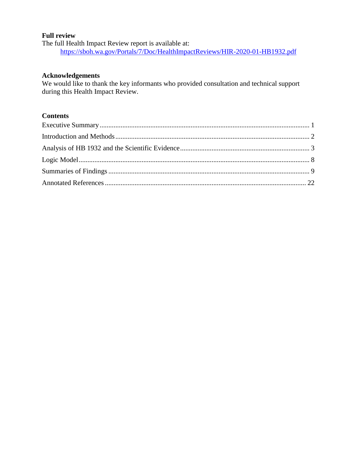### **Full review**

The full Health Impact Review report is available at: <https://sboh.wa.gov/Portals/7/Doc/HealthImpactReviews/HIR-2020-01-HB1932.pdf>

### **Acknowledgements**

We would like to thank the key informants who provided consultation and technical support during this Health Impact Review.

# **Contents**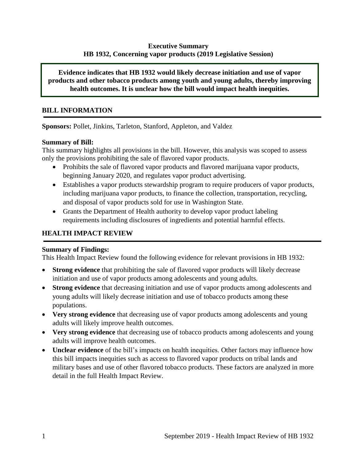### **Executive Summary HB 1932, Concerning vapor products (2019 Legislative Session)**

### <span id="page-2-0"></span>**Evidence indicates that HB 1932 would likely decrease initiation and use of vapor products and other tobacco products among youth and young adults, thereby improving health outcomes. It is unclear how the bill would impact health inequities.**

# **BILL INFORMATION**

**Sponsors:** Pollet, Jinkins, Tarleton, Stanford, Appleton, and Valdez

# **Summary of Bill:**

This summary highlights all provisions in the bill. However, this analysis was scoped to assess only the provisions prohibiting the sale of flavored vapor products.

- Prohibits the sale of flavored vapor products and flavored marijuana vapor products, beginning January 2020, and regulates vapor product advertising.
- Establishes a vapor products stewardship program to require producers of vapor products, including marijuana vapor products, to finance the collection, transportation, recycling, and disposal of vapor products sold for use in Washington State.
- Grants the Department of Health authority to develop vapor product labeling requirements including disclosures of ingredients and potential harmful effects.

# **HEALTH IMPACT REVIEW**

# **Summary of Findings:**

This Health Impact Review found the following evidence for relevant provisions in HB 1932:

- **Strong evidence** that prohibiting the sale of flavored vapor products will likely decrease initiation and use of vapor products among adolescents and young adults.
- **Strong evidence** that decreasing initiation and use of vapor products among adolescents and young adults will likely decrease initiation and use of tobacco products among these populations.
- **Very strong evidence** that decreasing use of vapor products among adolescents and young adults will likely improve health outcomes.
- **Very strong evidence** that decreasing use of tobacco products among adolescents and young adults will improve health outcomes.
- **Unclear evidence** of the bill's impacts on health inequities. Other factors may influence how this bill impacts inequities such as access to flavored vapor products on tribal lands and military bases and use of other flavored tobacco products. These factors are analyzed in more detail in the full Health Impact Review.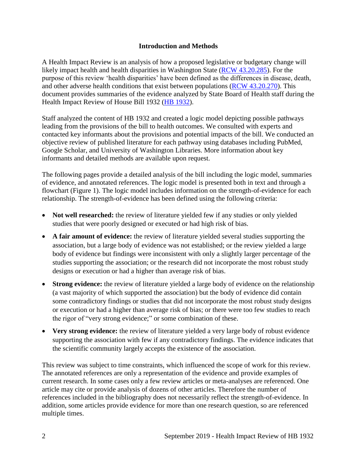### **Introduction and Methods**

<span id="page-3-0"></span>A Health Impact Review is an analysis of how a proposed legislative or budgetary change will likely impact health and health disparities in Washington State [\(RCW 43.20.285\)](http://apps.leg.wa.gov/rcw/default.aspx?cite=43.20.285). For the purpose of this review 'health disparities' have been defined as the differences in disease, death, and other adverse health conditions that exist between populations [\(RCW 43.20.270\)](http://apps.leg.wa.gov/rcw/default.aspx?cite=43.20.270). This document provides summaries of the evidence analyzed by State Board of Health staff during the Health Impact Review of House Bill 1932 [\(HB 1932\)](https://app.leg.wa.gov/billsummary?BillNumber=1932&Year=2019&Initiative=false).

Staff analyzed the content of HB 1932 and created a logic model depicting possible pathways leading from the provisions of the bill to health outcomes. We consulted with experts and contacted key informants about the provisions and potential impacts of the bill. We conducted an objective review of published literature for each pathway using databases including PubMed, Google Scholar, and University of Washington Libraries. More information about key informants and detailed methods are available upon request.

The following pages provide a detailed analysis of the bill including the logic model, summaries of evidence, and annotated references. The logic model is presented both in text and through a flowchart (Figure 1). The logic model includes information on the strength-of-evidence for each relationship. The strength-of-evidence has been defined using the following criteria:

- Not well researched: the review of literature yielded few if any studies or only yielded studies that were poorly designed or executed or had high risk of bias.
- **A fair amount of evidence:** the review of literature yielded several studies supporting the association, but a large body of evidence was not established; or the review yielded a large body of evidence but findings were inconsistent with only a slightly larger percentage of the studies supporting the association; or the research did not incorporate the most robust study designs or execution or had a higher than average risk of bias.
- **Strong evidence:** the review of literature yielded a large body of evidence on the relationship (a vast majority of which supported the association) but the body of evidence did contain some contradictory findings or studies that did not incorporate the most robust study designs or execution or had a higher than average risk of bias; or there were too few studies to reach the rigor of "very strong evidence;" or some combination of these.
- **Very strong evidence:** the review of literature yielded a very large body of robust evidence supporting the association with few if any contradictory findings. The evidence indicates that the scientific community largely accepts the existence of the association.

This review was subject to time constraints, which influenced the scope of work for this review. The annotated references are only a representation of the evidence and provide examples of current research. In some cases only a few review articles or meta-analyses are referenced. One article may cite or provide analysis of dozens of other articles. Therefore the number of references included in the bibliography does not necessarily reflect the strength-of-evidence. In addition, some articles provide evidence for more than one research question, so are referenced multiple times.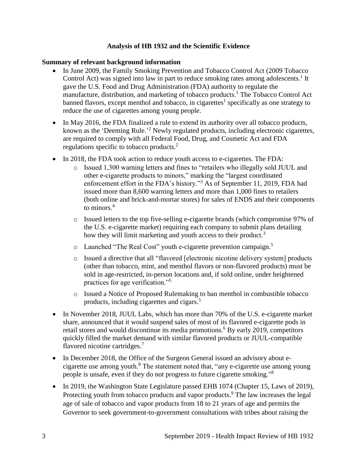### **Analysis of HB 1932 and the Scientific Evidence**

#### <span id="page-4-0"></span>**Summary of relevant background information**

- In June 2009, the Family Smoking Prevention and Tobacco Control Act (2009 Tobacco Control Act) was signed into law in part to reduce smoking rates among adolescents.<sup>1</sup> It gave the U.S. Food and Drug Administration (FDA) authority to regulate the manufacture, distribution, and marketing of tobacco products.<sup>1</sup> The Tobacco Control Act banned flavors, except menthol and tobacco, in cigarettes<sup>1</sup> specifically as one strategy to reduce the use of cigarettes among young people.
- In May 2016, the FDA finalized a rule to extend its authority over all tobacco products, known as the 'Deeming Rule.'<sup>2</sup> Newly regulated products, including electronic cigarettes, are required to comply with all Federal Food, Drug, and Cosmetic Act and FDA regulations specific to tobacco products.<sup>2</sup>
- In 2018, the FDA took action to reduce youth access to e-cigarettes. The FDA:
	- o Issued 1,300 warning letters and fines to "retailers who illegally sold JUUL and other e-cigarette products to minors," marking the "largest coordinated enforcement effort in the FDA's history."<sup>3</sup> As of September 11, 2019, FDA had issued more than 8,600 warning letters and more than 1,000 fines to retailers (both online and brick-and-mortar stores) for sales of ENDS and their components to minors.<sup>4</sup>
	- o Issued letters to the top five-selling e-cigarette brands (which compromise 97% of the U.S. e-cigarette market) requiring each company to submit plans detailing how they will limit marketing and youth access to their product.<sup>3</sup>
	- o Launched "The Real Cost" youth e-cigarette prevention campaign.<sup>5</sup>
	- o Issued a directive that all "flavored [electronic nicotine delivery system] products (other than tobacco, mint, and menthol flavors or non-flavored products) must be sold in age-restricted, in-person locations and, if sold online, under heightened practices for age verification."<sup>5</sup>
	- o Issued a Notice of Proposed Rulemaking to ban menthol in combustible tobacco products, including cigarettes and cigars.<sup>5</sup>
- In November 2018, JUUL Labs, which has more than 70% of the U.S. e-cigarette market share, announced that it would suspend sales of most of its flavored e-cigarette pods in retail stores and would discontinue its media promotions.<sup>6</sup> By early 2019, competitors quickly filled the market demand with similar flavored products or JUUL-compatible flavored nicotine cartridges.<sup>7</sup>
- In December 2018, the Office of the Surgeon General issued an advisory about ecigarette use among youth. $8$  The statement noted that, "any e-cigarette use among young people is unsafe, even if they do not progress to future cigarette smoking."<sup>8</sup>
- In 2019, the Washington State Legislature passed EHB 1074 (Chapter 15, Laws of 2019), Protecting youth from tobacco products and vapor products.<sup>9</sup> The law increases the legal age of sale of tobacco and vapor products from 18 to 21 years of age and permits the Governor to seek government-to-government consultations with tribes about raising the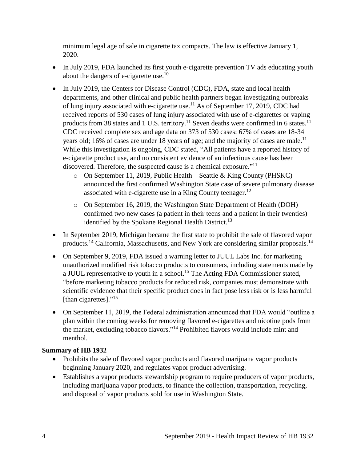minimum legal age of sale in cigarette tax compacts. The law is effective January 1, 2020.

- In July 2019, FDA launched its first youth e-cigarette prevention TV ads educating youth about the dangers of e-cigarette use.<sup>10</sup>
- In July 2019, the Centers for Disease Control (CDC), FDA, state and local health departments, and other clinical and public health partners began investigating outbreaks of lung injury associated with e-cigarette use.<sup>11</sup> As of September 17, 2019, CDC had received reports of 530 cases of lung injury associated with use of e-cigarettes or vaping products from 38 states and 1 U.S. territory.<sup>11</sup> Seven deaths were confirmed in 6 states.<sup>11</sup> CDC received complete sex and age data on 373 of 530 cases: 67% of cases are 18-34 years old; 16% of cases are under 18 years of age; and the majority of cases are male.<sup>11</sup> While this investigation is ongoing, CDC stated, "All patients have a reported history of e-cigarette product use, and no consistent evidence of an infectious cause has been discovered. Therefore, the suspected cause is a chemical exposure."<sup>11</sup>
	- o On September 11, 2019, Public Health Seattle & King County (PHSKC) announced the first confirmed Washington State case of severe pulmonary disease associated with e-cigarette use in a King County teenager.<sup>12</sup>
	- o On September 16, 2019, the Washington State Department of Health (DOH) confirmed two new cases (a patient in their teens and a patient in their twenties) identified by the Spokane Regional Health District.<sup>13</sup>
- In September 2019, Michigan became the first state to prohibit the sale of flavored vapor products.<sup>14</sup> California, Massachusetts, and New York are considering similar proposals.<sup>14</sup>
- On September 9, 2019, FDA issued a warning letter to JUUL Labs Inc. for marketing unauthorized modified risk tobacco products to consumers, including statements made by a JUUL representative to youth in a school.<sup>15</sup> The Acting FDA Commissioner stated, "before marketing tobacco products for reduced risk, companies must demonstrate with scientific evidence that their specific product does in fact pose less risk or is less harmful [than cigarettes]."<sup>15</sup>
- On September 11, 2019, the Federal administration announced that FDA would "outline a plan within the coming weeks for removing flavored e-cigarettes and nicotine pods from the market, excluding tobacco flavors." <sup>14</sup> Prohibited flavors would include mint and menthol.

# **Summary of HB 1932**

- Prohibits the sale of flavored vapor products and flavored marijuana vapor products beginning January 2020, and regulates vapor product advertising.
- Establishes a vapor products stewardship program to require producers of vapor products, including marijuana vapor products, to finance the collection, transportation, recycling, and disposal of vapor products sold for use in Washington State.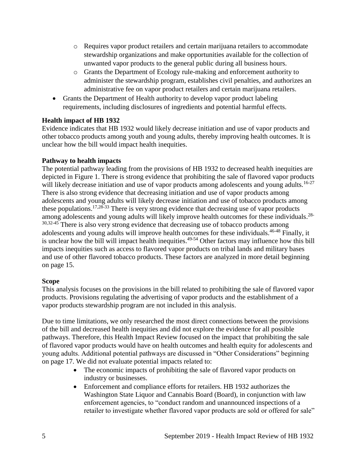- o Requires vapor product retailers and certain marijuana retailers to accommodate stewardship organizations and make opportunities available for the collection of unwanted vapor products to the general public during all business hours.
- o Grants the Department of Ecology rule-making and enforcement authority to administer the stewardship program, establishes civil penalties, and authorizes an administrative fee on vapor product retailers and certain marijuana retailers.
- Grants the Department of Health authority to develop vapor product labeling requirements, including disclosures of ingredients and potential harmful effects.

# **Health impact of HB 1932**

Evidence indicates that HB 1932 would likely decrease initiation and use of vapor products and other tobacco products among youth and young adults, thereby improving health outcomes. It is unclear how the bill would impact health inequities.

# **Pathway to health impacts**

The potential pathway leading from the provisions of HB 1932 to decreased health inequities are depicted in Figure 1. There is strong evidence that prohibiting the sale of flavored vapor products will likely decrease initiation and use of vapor products among adolescents and young adults.<sup>16-27</sup> There is also strong evidence that decreasing initiation and use of vapor products among adolescents and young adults will likely decrease initiation and use of tobacco products among these populations.<sup>[17,](#page-29-0)[28-33](#page-36-0)</sup> There is very strong evidence that decreasing use of vapor products among adolescents and young adults will likely improve health outcomes for these individuals.<sup>[28-](#page-36-0)</sup> [30](#page-36-0)[,32-45](#page-38-0) There is also very strong evidence that decreasing use of tobacco products among adolescents and young adults will improve health outcomes for these individuals.<sup>46-48</sup> Finally, it is unclear how the bill will impact health inequities. 49-54 Other factors may influence how this bill impacts inequities such as access to flavored vapor products on tribal lands and military bases and use of other flavored tobacco products. These factors are analyzed in more detail beginning on page 15.

# **Scope**

This analysis focuses on the provisions in the bill related to prohibiting the sale of flavored vapor products. Provisions regulating the advertising of vapor products and the establishment of a vapor products stewardship program are not included in this analysis.

Due to time limitations, we only researched the most direct connections between the provisions of the bill and decreased health inequities and did not explore the evidence for all possible pathways. Therefore, this Health Impact Review focused on the impact that prohibiting the sale of flavored vapor products would have on health outcomes and health equity for adolescents and young adults. Additional potential pathways are discussed in "Other Considerations" beginning on page 17. We did not evaluate potential impacts related to:

- The economic impacts of prohibiting the sale of flavored vapor products on industry or businesses.
- Enforcement and compliance efforts for retailers. HB 1932 authorizes the Washington State Liquor and Cannabis Board (Board), in conjunction with law enforcement agencies, to "conduct random and unannounced inspections of a retailer to investigate whether flavored vapor products are sold or offered for sale"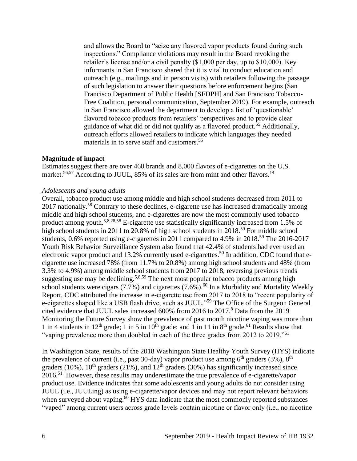and allows the Board to "seize any flavored vapor products found during such inspections." Compliance violations may result in the Board revoking the retailer's license and/or a civil penalty (\$1,000 per day, up to \$10,000). Key informants in San Francisco shared that it is vital to conduct education and outreach (e.g., mailings and in person visits) with retailers following the passage of such legislation to answer their questions before enforcement begins (San Francisco Department of Public Health [SFDPH] and San Francisco Tobacco-Free Coalition, personal communication, September 2019). For example, outreach in San Francisco allowed the department to develop a list of 'questionable' flavored tobacco products from retailers' perspectives and to provide clear guidance of what did or did not qualify as a flavored product.<sup>55</sup> Additionally, outreach efforts allowed retailers to indicate which languages they needed materials in to serve staff and customers.<sup>55</sup>

#### **Magnitude of impact**

Estimates suggest there are over 460 brands and 8,000 flavors of e-cigarettes on the U.S. market.<sup>[56,](#page-49-0)[57](#page-49-1)</sup> According to JUUL, 85% of its sales are from mint and other flavors.<sup>14</sup>

#### *Adolescents and young adults*

Overall, tobacco product use among middle and high school students decreased from 2011 to 2017 nationally.<sup>58</sup> Contrary to these declines, e-cigarette use has increased dramatically among middle and high school students, and e-cigarettes are now the most commonly used tobacco product among youth.<sup>[5,](#page-24-0)[8,](#page-25-0)[28,](#page-36-0)[58](#page-50-0)</sup> E-cigarette use statistically significantly increased from 1.5% of high school students in 2011 to 20.8% of high school students in 2018.<sup>59</sup> For middle school students, 0.6% reported using e-cigarettes in 2011 compared to 4.9% in 2018.<sup>59</sup> The 2016-2017 Youth Risk Behavior Surveillance System also found that 42.4% of students had ever used an electronic vapor product and 13.2% currently used e-cigarettes.<sup>50</sup> In addition, CDC found that ecigarette use increased 78% (from 11.7% to 20.8%) among high school students and 48% (from 3.3% to 4.9%) among middle school students from 2017 to 2018, reversing previous trends suggesting use may be declining.<sup>[5](#page-24-0)[,8](#page-25-0)[,59](#page-50-1)</sup> The next most popular tobacco products among high school students were cigars (7.7%) and cigarettes (7.6%).<sup>60</sup> In a Morbidity and Mortality Weekly Report, CDC attributed the increase in e-cigarette use from 2017 to 2018 to "recent popularity of e-cigarettes shaped like a USB flash drive, such as JUUL."<sup>59</sup> The Office of the Surgeon General cited evidence that JUUL sales increased 600% from 2016 to 2017.<sup>8</sup> Data from the 2019 Monitoring the Future Survey show the prevalence of past month nicotine vaping was more than 1 in 4 students in 12<sup>th</sup> grade; 1 in 5 in 10<sup>th</sup> grade; and 1 in 11 in 8<sup>th</sup> grade.<sup>61</sup> Results show that "vaping prevalence more than doubled in each of the three grades from 2012 to 2019."<sup>61</sup>

In Washington State, results of the 2018 Washington State Healthy Youth Survey (HYS) indicate the prevalence of current (i.e., past 30-day) vapor product use among  $6<sup>th</sup>$  graders (3%),  $8<sup>th</sup>$ graders (10%),  $10^{th}$  graders (21%), and  $12^{th}$  graders (30%) has significantly increased since 2016.<sup>51</sup> However, these results may underestimate the true prevalence of e-cigarette/vapor product use. Evidence indicates that some adolescents and young adults do not consider using JUUL (i.e., JUULing) as using e-cigarette/vapor devices and may not report relevant behaviors when surveyed about vaping.<sup>60</sup> HYS data indicate that the most commonly reported substances "vaped" among current users across grade levels contain nicotine or flavor only (i.e., no nicotine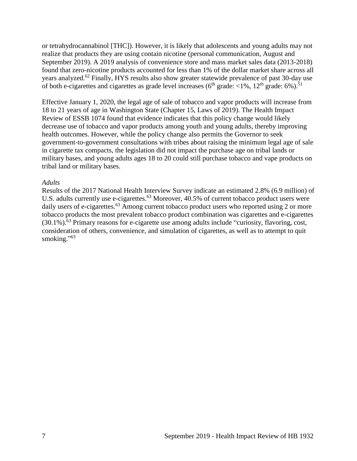or tetrahydrocannabinol [THC]). However, it is likely that adolescents and young adults may not realize that products they are using contain nicotine (personal communication, August and September 2019). A 2019 analysis of convenience store and mass market sales data (2013-2018) found that zero-nicotine products accounted for less than 1% of the dollar market share across all years analyzed.<sup>62</sup> Finally, HYS results also show greater statewide prevalence of past 30-day use of both e-cigarettes and cigarettes as grade level increases ( $6<sup>th</sup>$  grade:  $<1%$ ,  $12<sup>th</sup>$  grade:  $6%$ ).<sup>51</sup>

Effective January 1, 2020, the legal age of sale of tobacco and vapor products will increase from 18 to 21 years of age in Washington State (Chapter 15, Laws of 2019). The Health Impact Review of ESSB 1074 found that evidence indicates that this policy change would likely decrease use of tobacco and vapor products among youth and young adults, thereby improving health outcomes. However, while the policy change also permits the Governor to seek government-to-government consultations with tribes about raising the minimum legal age of sale in cigarette tax compacts, the legislation did not impact the purchase age on tribal lands or military bases, and young adults ages 18 to 20 could still purchase tobacco and vape products on tribal land or military bases.

### *Adults*

Results of the 2017 National Health Interview Survey indicate an estimated 2.8% (6.9 million) of U.S. adults currently use e-cigarettes.<sup>63</sup> Moreover, 40.5% of current tobacco product users were daily users of e-cigarettes.<sup>63</sup> Among current tobacco product users who reported using 2 or more tobacco products the most prevalent tobacco product combination was cigarettes and e-cigarettes  $(30.1\%)$ <sup>63</sup> Primary reasons for e-cigarette use among adults include "curiosity, flavoring, cost, consideration of others, convenience, and simulation of cigarettes, as well as to attempt to quit smoking."<sup>63</sup>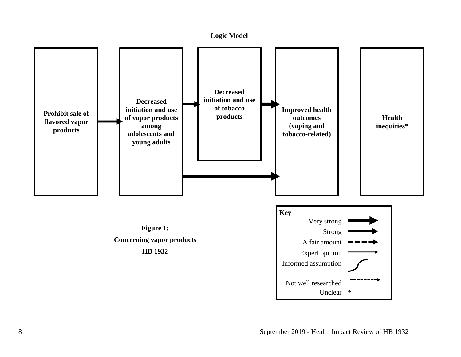<span id="page-9-0"></span>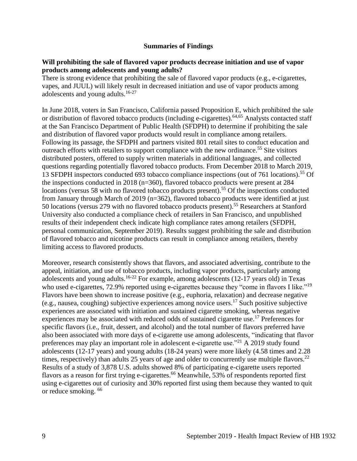#### **Summaries of Findings**

#### <span id="page-10-0"></span>**Will prohibiting the sale of flavored vapor products decrease initiation and use of vapor products among adolescents and young adults?**

There is strong evidence that prohibiting the sale of flavored vapor products (e.g., e-cigarettes, vapes, and JUUL) will likely result in decreased initiation and use of vapor products among adolescents and young adults.<sup>16-27</sup>

In June 2018, voters in San Francisco, California passed Proposition E, which prohibited the sale or distribution of flavored tobacco products (including e-cigarettes).<sup>[64,](#page-53-0)[65](#page-53-1)</sup> Analysts contacted staff at the San Francisco Department of Public Health (SFDPH) to determine if prohibiting the sale and distribution of flavored vapor products would result in compliance among retailers. Following its passage, the SFDPH and partners visited 801 retail sites to conduct education and outreach efforts with retailers to support compliance with the new ordinance.<sup>55</sup> Site visitors distributed posters, offered to supply written materials in additional languages, and collected questions regarding potentially flavored tobacco products. From December 2018 to March 2019, 13 SFDPH inspectors conducted 693 tobacco compliance inspections (out of 761 locations).<sup>55</sup> Of the inspections conducted in 2018 (n=360), flavored tobacco products were present at 284 locations (versus 58 with no flavored tobacco products present).<sup>55</sup> Of the inspections conducted from January through March of 2019 (n=362), flavored tobacco products were identified at just 50 locations (versus 279 with no flavored tobacco products present).<sup>55</sup> Researchers at Stanford University also conducted a compliance check of retailers in San Francisco, and unpublished results of their independent check indicate high compliance rates among retailers (SFDPH, personal communication, September 2019). Results suggest prohibiting the sale and distribution of flavored tobacco and nicotine products can result in compliance among retailers, thereby limiting access to flavored products.

Moreover, research consistently shows that flavors, and associated advertising, contribute to the appeal, initiation, and use of tobacco products, including vapor products, particularly among adolescents and young adults.<sup>16-22</sup> For example, among adolescents (12-17 years old) in Texas who used e-cigarettes, 72.9% reported using e-cigarettes because they "come in flavors I like."<sup>19</sup> Flavors have been shown to increase positive (e.g., euphoria, relaxation) and decrease negative (e.g., nausea, coughing) subjective experiences among novice users.<sup>17</sup> Such positive subjective experiences are associated with initiation and sustained cigarette smoking, whereas negative experiences may be associated with reduced odds of sustained cigarette use.<sup>17</sup> Preferences for specific flavors (i.e., fruit, dessert, and alcohol) and the total number of flavors preferred have also been associated with more days of e-cigarette use among adolescents, "indicating that flavor preferences may play an important role in adolescent e-cigarette use."<sup>21</sup> A 2019 study found adolescents (12-17 years) and young adults (18-24 years) were more likely (4.58 times and 2.28 times, respectively) than adults 25 years of age and older to concurrently use multiple flavors.<sup>22</sup> Results of a study of 3,878 U.S. adults showed 8% of participating e-cigarette users reported flavors as a reason for first trying e-cigarettes.<sup>66</sup> Meanwhile, 53% of respondents reported first using e-cigarettes out of curiosity and 30% reported first using them because they wanted to quit or reduce smoking. <sup>66</sup>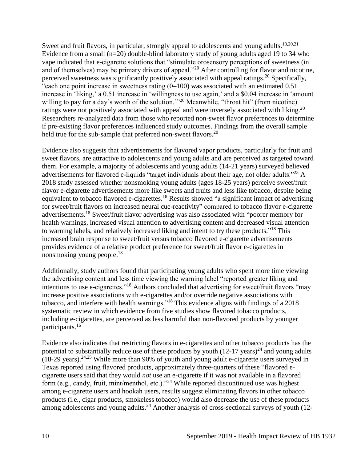Sweet and fruit flavors, in particular, strongly appeal to adolescents and young adults.<sup>[18](#page-29-1)[,20](#page-31-0)[,21](#page-32-0)</sup> Evidence from a small (n=20) double-blind laboratory study of young adults aged 19 to 34 who vape indicated that e-cigarette solutions that "stimulate orosensory perceptions of sweetness (in and of themselves) may be primary drivers of appeal."<sup>20</sup> After controlling for flavor and nicotine, perceived sweetness was significantly positively associated with appeal ratings.<sup>20</sup> Specifically, "each one point increase in sweetness rating  $(0-100)$  was associated with an estimated 0.51 increase in 'liking,' a 0.51 increase in 'willingness to use again,' and a \$0.04 increase in 'amount willing to pay for a day's worth of the solution."<sup>20</sup> Meanwhile, "throat hit" (from nicotine) ratings were not positively associated with appeal and were inversely associated with liking.<sup>20</sup> Researchers re-analyzed data from those who reported non-sweet flavor preferences to determine if pre-existing flavor preferences influenced study outcomes. Findings from the overall sample held true for the sub-sample that preferred non-sweet flavors.<sup>20</sup>

Evidence also suggests that advertisements for flavored vapor products, particularly for fruit and sweet flavors, are attractive to adolescents and young adults and are perceived as targeted toward them. For example, a majority of adolescents and young adults (14-21 years) surveyed believed advertisements for flavored e-liquids "target individuals about their age, not older adults."<sup>23</sup> A 2018 study assessed whether nonsmoking young adults (ages 18-25 years) perceive sweet/fruit flavor e-cigarette advertisements more like sweets and fruits and less like tobacco, despite being equivalent to tobacco flavored e-cigarettes.<sup>18</sup> Results showed "a significant impact of advertising for sweet/fruit flavors on increased neural cue-reactivity" compared to tobacco flavor e-cigarette advertisements.<sup>18</sup> Sweet/fruit flavor advertising was also associated with "poorer memory for health warnings, increased visual attention to advertising content and decreased visual attention to warning labels, and relatively increased liking and intent to try these products."<sup>18</sup> This increased brain response to sweet/fruit versus tobacco flavored e-cigarette advertisements provides evidence of a relative product preference for sweet/fruit flavor e-cigarettes in nonsmoking young people.<sup>18</sup>

Additionally, study authors found that participating young adults who spent more time viewing the advertising content and less time viewing the warning label "reported greater liking and intentions to use e-cigarettes."<sup>18</sup> Authors concluded that advertising for sweet/fruit flavors "may increase positive associations with e-cigarettes and/or override negative associations with tobacco, and interfere with health warnings."<sup>18</sup> This evidence aligns with findings of a 2018 systematic review in which evidence from five studies show flavored tobacco products, including e-cigarettes, are perceived as less harmful than non-flavored products by younger participants.<sup>16</sup>

Evidence also indicates that restricting flavors in e-cigarettes and other tobacco products has the potential to substantially reduce use of these products by youth  $(12-17 \text{ years})^{24}$  and young adults (18-29 years).<sup>[24,](#page-33-0)[25](#page-34-0)</sup> While more than 90% of youth and young adult e-cigarette users surveyed in Texas reported using flavored products, approximately three-quarters of these "flavored ecigarette users said that they would *not* use an e-cigarette if it was not available in a flavored form (e.g., candy, fruit, mint/menthol, etc.)."<sup>24</sup> While reported discontinued use was highest among e-cigarette users and hookah users, results suggest eliminating flavors in other tobacco products (i.e., cigar products, smokeless tobacco) would also decrease the use of these products among adolescents and young adults.<sup>24</sup> Another analysis of cross-sectional surveys of youth (12-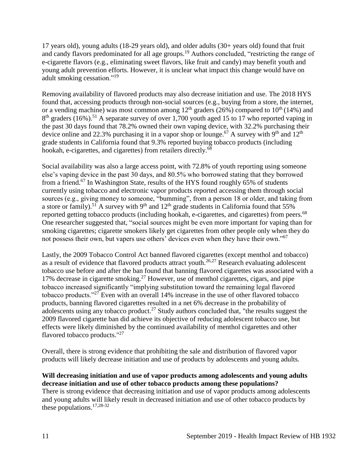17 years old), young adults (18-29 years old), and older adults (30+ years old) found that fruit and candy flavors predominated for all age groups.<sup>19</sup> Authors concluded, "restricting the range of e-cigarette flavors (e.g., eliminating sweet flavors, like fruit and candy) may benefit youth and young adult prevention efforts. However, it is unclear what impact this change would have on adult smoking cessation."<sup>19</sup>

Removing availability of flavored products may also decrease initiation and use. The 2018 HYS found that, accessing products through non-social sources (e.g., buying from a store, the internet, or a vending machine) was most common among  $12<sup>th</sup>$  graders (26%) compared to  $10<sup>th</sup>$  (14%) and 8<sup>th</sup> graders (16%).<sup>51</sup> A separate survey of over 1,700 youth aged 15 to 17 who reported vaping in the past 30 days found that 78.2% owned their own vaping device, with 32.2% purchasing their device online and 22.3% purchasing it in a vapor shop or lounge.<sup>67</sup> A survey with 9<sup>th</sup> and 12<sup>th</sup> grade students in California found that 9.3% reported buying tobacco products (including hookah, e-cigarettes, and cigarettes) from retailers directly.<sup>68</sup>

Social availability was also a large access point, with 72.8% of youth reporting using someone else's vaping device in the past 30 days, and 80.5% who borrowed stating that they borrowed from a friend.<sup>67</sup> In Washington State, results of the HYS found roughly 65% of students currently using tobacco and electronic vapor products reported accessing them through social sources (e.g., giving money to someone, "bumming", from a person 18 or older, and taking from a store or family).<sup>51</sup> A survey with 9<sup>th</sup> and 12<sup>th</sup> grade students in California found that 55% reported getting tobacco products (including hookah, e-cigarettes, and cigarettes) from peers.<sup>68</sup> One researcher suggested that, "social sources might be even more important for vaping than for smoking cigarettes; cigarette smokers likely get cigarettes from other people only when they do not possess their own, but vapers use others' devices even when they have their own."<sup>67</sup>

Lastly, the 2009 Tobacco Control Act banned flavored cigarettes (except menthol and tobacco) as a result of evidence that flavored products attract youth.<sup>[26](#page-34-1)[,27](#page-35-0)</sup> Research evaluating adolescent tobacco use before and after the ban found that banning flavored cigarettes was associated with a 17% decrease in cigarette smoking.<sup>27</sup> However, use of menthol cigarettes, cigars, and pipe tobacco increased significantly "implying substitution toward the remaining legal flavored tobacco products."<sup>27</sup> Even with an overall 14% increase in the use of other flavored tobacco products, banning flavored cigarettes resulted in a net 6% decrease in the probability of adolescents using any tobacco product.<sup>27</sup> Study authors concluded that, "the results suggest the 2009 flavored cigarette ban did achieve its objective of reducing adolescent tobacco use, but effects were likely diminished by the continued availability of menthol cigarettes and other flavored tobacco products."<sup>27</sup>

Overall, there is strong evidence that prohibiting the sale and distribution of flavored vapor products will likely decrease initiation and use of products by adolescents and young adults.

# **Will decreasing initiation and use of vapor products among adolescents and young adults decrease initiation and use of other tobacco products among these populations?**

There is strong evidence that decreasing initiation and use of vapor products among adolescents and young adults will likely result in decreased initiation and use of other tobacco products by these populations.[17,](#page-29-0)[28-32](#page-36-0)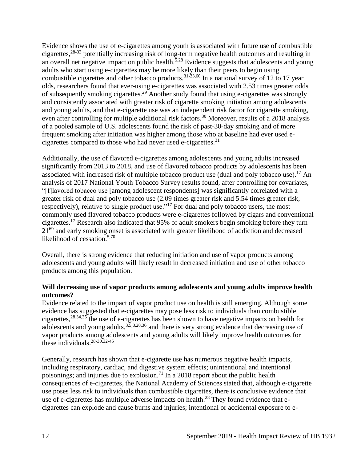Evidence shows the use of e-cigarettes among youth is associated with future use of combustible cigarettes,28-33 potentially increasing risk of long-term negative health outcomes and resulting in an overall net negative impact on public health.<sup>[5](#page-24-0)[,28](#page-36-0)</sup> Evidence suggests that adolescents and young adults who start using e-cigarettes may be more likely than their peers to begin using combustible cigarettes and other tobacco products.[31-33](#page-37-0)[,60](#page-51-0) In a national survey of 12 to 17 year olds, researchers found that ever-using e-cigarettes was associated with 2.53 times greater odds of subsequently smoking cigarettes.<sup>29</sup> Another study found that using e-cigarettes was strongly and consistently associated with greater risk of cigarette smoking initiation among adolescents and young adults, and that e-cigarette use was an independent risk factor for cigarette smoking, even after controlling for multiple additional risk factors.<sup>30</sup> Moreover, results of a 2018 analysis of a pooled sample of U.S. adolescents found the risk of past-30-day smoking and of more frequent smoking after initiation was higher among those who at baseline had ever used ecigarettes compared to those who had never used e-cigarettes.<sup>31</sup>

Additionally, the use of flavored e-cigarettes among adolescents and young adults increased significantly from 2013 to 2018, and use of flavored tobacco products by adolescents has been associated with increased risk of multiple tobacco product use (dual and poly tobacco use).<sup>17</sup> An analysis of 2017 National Youth Tobacco Survey results found, after controlling for covariates, "[f]lavored tobacco use [among adolescent respondents] was significantly correlated with a greater risk of dual and poly tobacco use (2.09 times greater risk and 5.54 times greater risk, respectively), relative to single product use."<sup>17</sup> For dual and poly tobacco users, the most commonly used flavored tobacco products were e-cigarettes followed by cigars and conventional cigarettes.<sup>17</sup> Research also indicated that 95% of adult smokers begin smoking before they turn 21<sup>69</sup> and early smoking onset is associated with greater likelihood of addiction and decreased likelihood of cessation.<sup>[5,](#page-24-0)[70](#page-55-0)</sup>

Overall, there is strong evidence that reducing initiation and use of vapor products among adolescents and young adults will likely result in decreased initiation and use of other tobacco products among this population.

### **Will decreasing use of vapor products among adolescents and young adults improve health outcomes?**

Evidence related to the impact of vapor product use on health is still emerging. Although some evidence has suggested that e-cigarettes may pose less risk to individuals than combustible cigarettes,  $28,34,35$  $28,34,35$  $28,34,35$  the use of e-cigarettes has been shown to have negative impacts on health for adolescents and young adults,<sup>[3,](#page-23-0)[5,](#page-24-0)[8,](#page-25-0)[28,](#page-36-0)[36](#page-39-1)</sup> and there is very strong evidence that decreasing use of vapor products among adolescents and young adults will likely improve health outcomes for these individuals. $28-30,32-45$  $28-30,32-45$ 

Generally, research has shown that e-cigarette use has numerous negative health impacts, including respiratory, cardiac, and digestive system effects; unintentional and intentional poisonings; and injuries due to explosion.<sup>71</sup> In a 2018 report about the public health consequences of e-cigarettes, the National Academy of Sciences stated that, although e-cigarette use poses less risk to individuals than combustible cigarettes, there is conclusive evidence that use of e-cigarettes has multiple adverse impacts on health.<sup>28</sup> They found evidence that ecigarettes can explode and cause burns and injuries; intentional or accidental exposure to e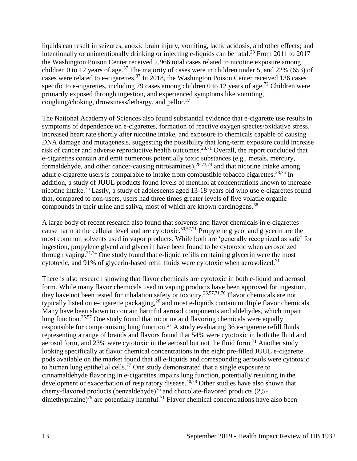liquids can result in seizures, anoxic brain injury, vomiting, lactic acidosis, and other effects; and intentionally or unintentionally drinking or injecting e-liquids can be fatal.<sup>28</sup> From 2011 to 2017 the Washington Poison Center received 2,966 total cases related to nicotine exposure among children 0 to 12 years of age.<sup>37</sup> The majority of cases were in children under 5, and 22% (653) of cases were related to e-cigarettes.<sup>37</sup> In 2018, the Washington Poison Center received 136 cases specific to e-cigarettes, including 79 cases among children 0 to 12 years of age.<sup>72</sup> Children were primarily exposed through ingestion, and experienced symptoms like vomiting, coughing/choking, drowsiness/lethargy, and pallor.<sup>37</sup>

The National Academy of Sciences also found substantial evidence that e-cigarette use results in symptoms of dependence on e-cigarettes, formation of reactive oxygen species/oxidative stress, increased heart rate shortly after nicotine intake, and exposure to chemicals capable of causing DNA damage and mutagenesis, suggesting the possibility that long-term exposure could increase risk of cancer and adverse reproductive health outcomes.<sup>[28](#page-36-0)[,71](#page-55-1)</sup> Overall, the report concluded that e-cigarettes contain and emit numerous potentially toxic substances (e.g., metals, mercury, formaldehyde, and other cancer-causing nitrosamines),  $28,73,74$  $28,73,74$  $28,73,74$  and that nicotine intake among adult e-cigarette users is comparable to intake from combustible tobacco cigarettes.<sup>[28](#page-36-0)[,75](#page-57-1)</sup> In addition, a study of JUUL products found levels of menthol at concentrations known to increase nicotine intake.<sup>75</sup> Lastly, a study of adolescents aged 13-18 years old who use e-cigarettes found that, compared to non-users, users had three times greater levels of five volatile organic compounds in their urine and saliva, most of which are known carcinogens.<sup>38</sup>

A large body of recent research also found that solvents and flavor chemicals in e-cigarettes cause harm at the cellular level and are cytotoxic. [50,](#page-46-0)[57,7](#page-49-1)1 Propylene glycol and glycerin are the most common solvents used in vapor products. While both are 'generally recognized as safe' for ingestion, propylene glycol and glycerin have been found to be cytotoxic when aerosolized through vaping.<sup>[71](#page-55-1)[,74](#page-57-0)</sup> One study found that e-liquid refills containing glycerin were the most cytotoxic, and 91% of glycerin-based refill fluids were cytotoxic when aerosolized.<sup>71</sup>

There is also research showing that flavor chemicals are cytotoxic in both e-liquid and aerosol form. While many flavor chemicals used in vaping products have been approved for ingestion, they have not been tested for inhalation safety or toxicity.<sup>[26,](#page-34-1)[57,](#page-49-1)[71,](#page-55-1)[76](#page-58-0)</sup> Flavor chemicals are not typically listed on e-cigarette packaging,<sup>26</sup> and most e-liquids contain multiple flavor chemicals. Many have been shown to contain harmful aerosol components and aldehydes, which impair lung function.<sup>[26,](#page-34-1)[57](#page-49-1)</sup> One study found that nicotine and flavoring chemicals were equally responsible for compromising lung function.<sup>57</sup> A study evaluating 36 e-cigarette refill fluids representing a range of brands and flavors found that 54% were cytotoxic in both the fluid and aerosol form, and 23% were cytotoxic in the aerosol but not the fluid form.<sup>71</sup> Another study looking specifically at flavor chemical concentrations in the eight pre-filled JUUL e-cigarette pods available on the market found that all e-liquids and corresponding aerosols were cytotoxic to human lung epithelial cells.<sup>77</sup> One study demonstrated that a single exposure to cinnamaldehyde flavoring in e-cigarettes impairs lung function, potentially resulting in the development or exacerbation of respiratory disease.<sup>[40](#page-41-0)[,78](#page-59-0)</sup> Other studies have also shown that cherry-flavored products (benzaldehyde)<sup>76</sup> and chocolate-flavored products  $(2,5$ dimethyprazine) $\bar{7}9$  are potentially harmful.<sup>71</sup> Flavor chemical concentrations have also been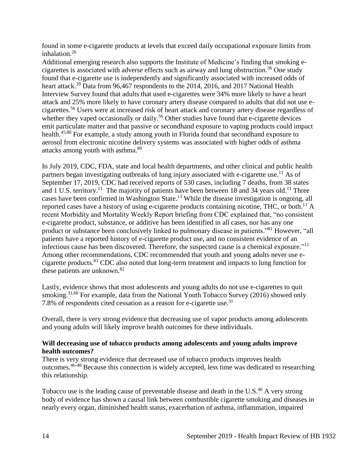found in some e-cigarette products at levels that exceed daily occupational exposure limits from inhalation.<sup>26</sup>

Additional emerging research also supports the Institute of Medicine's finding that smoking ecigarettes is associated with adverse effects such as airway and lung obstruction.<sup>36</sup> One study found that e-cigarette use is independently and significantly associated with increased odds of heart attack.<sup>39</sup> Data from 96,467 respondents to the 2014, 2016, and 2017 National Health Interview Survey found that adults that used e-cigarettes were 34% more likely to have a heart attack and 25% more likely to have coronary artery disease compared to adults that did not use ecigarettes.<sup>56</sup> Users were at increased risk of heart attack and coronary artery disease regardless of whether they vaped occasionally or daily.<sup>56</sup> Other studies have found that e-cigarette devices emit particulate matter and that passive or secondhand exposure to vaping products could impact health.<sup>[45,](#page-43-0)[80](#page-59-1)</sup> For example, a study among youth in Florida found that secondhand exposure to aerosol from electronic nicotine delivery systems was associated with higher odds of asthma attacks among youth with asthma.<sup>80</sup>

In July 2019, CDC, FDA, state and local health departments, and other clinical and public health partners began investigating outbreaks of lung injury associated with e-cigarette use.<sup>11</sup> As of September 17, 2019, CDC had received reports of 530 cases, including 7 deaths, from 38 states and 1 U.S. territory.<sup>11</sup> The majority of patients have been between 18 and 34 years old.<sup>11</sup> Three cases have been confirmed in Washington State.<sup>13</sup> While the disease investigation is ongoing, all reported cases have a history of using e-cigarette products containing nicotine, THC, or both.<sup>11</sup> A recent Morbidity and Mortality Weekly Report briefing from CDC explained that, "no consistent e-cigarette product, substance, or additive has been identified in all cases, nor has any one product or substance been conclusively linked to pulmonary disease in patients."<sup>81</sup> However, "all patients have a reported history of e-cigarette product use, and no consistent evidence of an infectious cause has been discovered. Therefore, the suspected cause is a chemical exposure."<sup>11</sup> Among other recommendations, CDC recommended that youth and young adults never use ecigarette products.<sup>81</sup> CDC also noted that long-term treatment and impacts to lung function for these patients are unknown.<sup>82</sup>

Lastly, evidence shows that most adolescents and young adults do not use e-cigarettes to quit smoking.<sup>[31,](#page-37-0)[60](#page-51-0)</sup> For example, data from the National Youth Tobacco Survey (2016) showed only 7.8% of respondents cited cessation as a reason for e-cigarette use.<sup>31</sup>

Overall, there is very strong evidence that decreasing use of vapor products among adolescents and young adults will likely improve health outcomes for these individuals.

### **Will decreasing use of tobacco products among adolescents and young adults improve health outcomes?**

There is very strong evidence that decreased use of tobacco products improves health outcomes.46-48 Because this connection is widely accepted, less time was dedicated to researching this relationship.

Tobacco use is the leading cause of preventable disease and death in the U.S.<sup>46</sup> A very strong body of evidence has shown a causal link between combustible cigarette smoking and diseases in nearly every organ, diminished health status, exacerbation of asthma, inflammation, impaired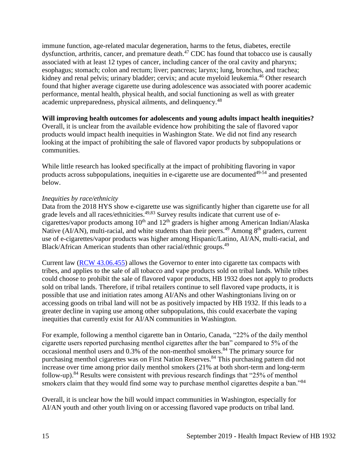immune function, age-related macular degeneration, harms to the fetus, diabetes, erectile dysfunction, arthritis, cancer, and premature death.<sup> $47$ </sup> CDC has found that tobacco use is causally associated with at least 12 types of cancer, including cancer of the oral cavity and pharynx; esophagus; stomach; colon and rectum; liver; pancreas; larynx; lung, bronchus, and trachea; kidney and renal pelvis; urinary bladder; cervix; and acute myeloid leukemia.<sup>46</sup> Other research found that higher average cigarette use during adolescence was associated with poorer academic performance, mental health, physical health, and social functioning as well as with greater academic unpreparedness, physical ailments, and delinquency.<sup>48</sup>

### **Will improving health outcomes for adolescents and young adults impact health inequities?**

Overall, it is unclear from the available evidence how prohibiting the sale of flavored vapor products would impact health inequities in Washington State. We did not find any research looking at the impact of prohibiting the sale of flavored vapor products by subpopulations or communities.

While little research has looked specifically at the impact of prohibiting flavoring in vapor products across subpopulations, inequities in e-cigarette use are documented<sup>49-54</sup> and presented below.

# *Inequities by race/ethnicity*

Data from the 2018 HYS show e-cigarette use was significantly higher than cigarette use for all grade levels and all races/ethnicities.<sup>[49,](#page-45-0)[83](#page-61-0)</sup> Survey results indicate that current use of ecigarettes/vapor products among  $10^{th}$  and  $12^{th}$  graders is higher among American Indian/Alaska Native (AI/AN), multi-racial, and white students than their peers.<sup>49</sup> Among  $8<sup>th</sup>$  graders, current use of e-cigarettes/vapor products was higher among Hispanic/Latino, AI/AN, multi-racial, and Black/African American students than other racial/ethnic groups.<sup>49</sup>

Current law [\(RCW 43.06.455\)](http://apps.leg.wa.gov/rcw/default.aspx?cite=43.06.455) allows the Governor to enter into cigarette tax compacts with tribes, and applies to the sale of all tobacco and vape products sold on tribal lands. While tribes could choose to prohibit the sale of flavored vapor products, HB 1932 does not apply to products sold on tribal lands. Therefore, if tribal retailers continue to sell flavored vape products, it is possible that use and initiation rates among AI/ANs and other Washingtonians living on or accessing goods on tribal land will not be as positively impacted by HB 1932. If this leads to a greater decline in vaping use among other subpopulations, this could exacerbate the vaping inequities that currently exist for AI/AN communities in Washington.

For example, following a menthol cigarette ban in Ontario, Canada, "22% of the daily menthol cigarette users reported purchasing menthol cigarettes after the ban" compared to 5% of the occasional menthol users and 0.3% of the non-menthol smokers.<sup>84</sup> The primary source for purchasing menthol cigarettes was on First Nation Reserves.<sup>84</sup> This purchasing pattern did not increase over time among prior daily menthol smokers (21% at both short-term and long-term follow-up).<sup>84</sup> Results were consistent with previous research findings that "25% of menthol smokers claim that they would find some way to purchase menthol cigarettes despite a ban."<sup>84</sup>

Overall, it is unclear how the bill would impact communities in Washington, especially for AI/AN youth and other youth living on or accessing flavored vape products on tribal land.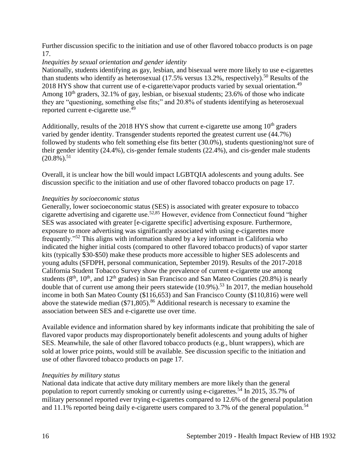Further discussion specific to the initiation and use of other flavored tobacco products is on page 17.

### *Inequities by sexual orientation and gender identity*

Nationally, students identifying as gay, lesbian, and bisexual were more likely to use e-cigarettes than students who identify as heterosexual (17.5% versus 13.2%, respectively).<sup>50</sup> Results of the 2018 HYS show that current use of e-cigarette/vapor products varied by sexual orientation.<sup>49</sup> Among  $10^{th}$  graders, 32.1% of gay, lesbian, or bisexual students; 23.6% of those who indicate they are "questioning, something else fits;" and 20.8% of students identifying as heterosexual reported current e-cigarette use.<sup>49</sup>

Additionally, results of the 2018 HYS show that current e-cigarette use among  $10<sup>th</sup>$  graders varied by gender identity. Transgender students reported the greatest current use (44.7%) followed by students who felt something else fits better (30.0%), students questioning/not sure of their gender identity (24.4%), cis-gender female students (22.4%), and cis-gender male students  $(20.8\%)$ <sup>51</sup>

Overall, it is unclear how the bill would impact LGBTQIA adolescents and young adults. See discussion specific to the initiation and use of other flavored tobacco products on page 17.

#### *Inequities by socioeconomic status*

Generally, lower socioeconomic status (SES) is associated with greater exposure to tobacco cigarette advertising and cigarette use.[52](#page-47-0)[,85](#page-63-0) However, evidence from Connecticut found "higher SES was associated with greater [e-cigarette specific] advertising exposure. Furthermore, exposure to more advertising was significantly associated with using e-cigarettes more frequently."<sup>52</sup> This aligns with information shared by a key informant in California who indicated the higher initial costs (compared to other flavored tobacco products) of vapor starter kits (typically \$30-\$50) make these products more accessible to higher SES adolescents and young adults (SFDPH, personal communication, September 2019). Results of the 2017-2018 California Student Tobacco Survey show the prevalence of current e-cigarette use among students  $(8<sup>th</sup>, 10<sup>th</sup>, and 12<sup>th</sup> grades)$  in San Francisco and San Mateo Counties (20.8%) is nearly double that of current use among their peers statewide (10.9%).<sup>53</sup> In 2017, the median household income in both San Mateo County (\$116,653) and San Francisco County (\$110,816) were well above the statewide median  $(\$71,805)$ .<sup>86</sup> Additional research is necessary to examine the association between SES and e-cigarette use over time.

Available evidence and information shared by key informants indicate that prohibiting the sale of flavored vapor products may disproportionately benefit adolescents and young adults of higher SES. Meanwhile, the sale of other flavored tobacco products (e.g., blunt wrappers), which are sold at lower price points, would still be available. See discussion specific to the initiation and use of other flavored tobacco products on page 17.

#### *Inequities by military status*

National data indicate that active duty military members are more likely than the general population to report currently smoking or currently using e-cigarettes.<sup>54</sup> In 2015, 35.7% of military personnel reported ever trying e-cigarettes compared to 12.6% of the general population and 11.1% reported being daily e-cigarette users compared to 3.7% of the general population.<sup>54</sup>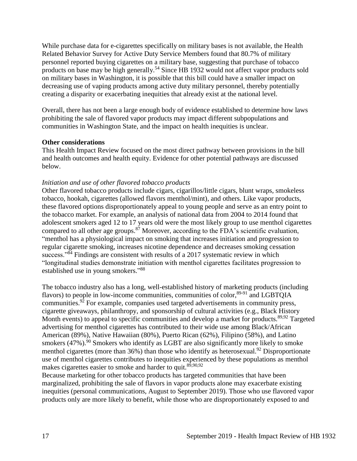While purchase data for e-cigarettes specifically on military bases is not available, the Health Related Behavior Survey for Active Duty Service Members found that 80.7% of military personnel reported buying cigarettes on a military base, suggesting that purchase of tobacco products on base may be high generally.<sup>54</sup> Since HB 1932 would not affect vapor products sold on military bases in Washington, it is possible that this bill could have a smaller impact on decreasing use of vaping products among active duty military personnel, thereby potentially creating a disparity or exacerbating inequities that already exist at the national level.

Overall, there has not been a large enough body of evidence established to determine how laws prohibiting the sale of flavored vapor products may impact different subpopulations and communities in Washington State, and the impact on health inequities is unclear.

### **Other considerations**

This Health Impact Review focused on the most direct pathway between provisions in the bill and health outcomes and health equity. Evidence for other potential pathways are discussed below.

### *Initiation and use of other flavored tobacco products*

Other flavored tobacco products include cigars, cigarillos/little cigars, blunt wraps, smokeless tobacco, hookah, cigarettes (allowed flavors menthol/mint), and others. Like vapor products, these flavored options disproportionately appeal to young people and serve as an entry point to the tobacco market. For example, an analysis of national data from 2004 to 2014 found that adolescent smokers aged 12 to 17 years old were the most likely group to use menthol cigarettes compared to all other age groups.<sup>87</sup> Moreover, according to the FDA's scientific evaluation, "menthol has a physiological impact on smoking that increases initiation and progression to regular cigarette smoking, increases nicotine dependence and decreases smoking cessation success."<sup>84</sup> Findings are consistent with results of a 2017 systematic review in which "longitudinal studies demonstrate initiation with menthol cigarettes facilitates progression to established use in young smokers."88

The tobacco industry also has a long, well-established history of marketing products (including flavors) to people in low-income communities, communities of color, $89-91$  and LGBTQIA communities.<sup>92</sup> For example, companies used targeted advertisements in community press, cigarette giveaways, philanthropy, and sponsorship of cultural activities (e.g., Black History Month events) to appeal to specific communities and develop a market for products.<sup>[89](#page-64-0)[,92](#page-65-0)</sup> Targeted advertising for menthol cigarettes has contributed to their wide use among Black/African American (89%), Native Hawaiian (80%), Puerto Rican (62%), Filipino (58%), and Latino smokers  $(47\%)$ .<sup>90</sup> Smokers who identify as LGBT are also significantly more likely to smoke menthol cigarettes (more than 36%) than those who identify as heterosexual.<sup>92</sup> Disproportionate use of menthol cigarettes contributes to inequities experienced by these populations as menthol makes cigarettes easier to smoke and harder to quit.<sup>[89](#page-64-0)[,90](#page-65-1)[,92](#page-65-0)</sup>

Because marketing for other tobacco products has targeted communities that have been marginalized, prohibiting the sale of flavors in vapor products alone may exacerbate existing inequities (personal communications, August to September 2019). Those who use flavored vapor products only are more likely to benefit, while those who are disproportionately exposed to and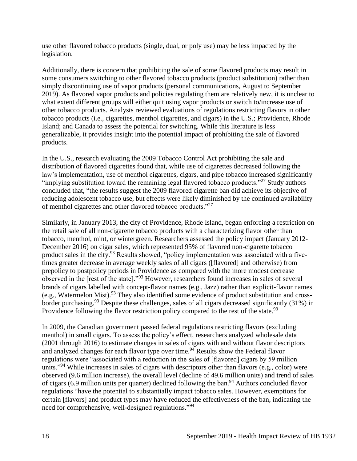use other flavored tobacco products (single, dual, or poly use) may be less impacted by the legislation.

Additionally, there is concern that prohibiting the sale of some flavored products may result in some consumers switching to other flavored tobacco products (product substitution) rather than simply discontinuing use of vapor products (personal communications, August to September 2019). As flavored vapor products and policies regulating them are relatively new, it is unclear to what extent different groups will either quit using vapor products or switch to/increase use of other tobacco products. Analysts reviewed evaluations of regulations restricting flavors in other tobacco products (i.e., cigarettes, menthol cigarettes, and cigars) in the U.S.; Providence, Rhode Island; and Canada to assess the potential for switching. While this literature is less generalizable, it provides insight into the potential impact of prohibiting the sale of flavored products.

In the U.S., research evaluating the 2009 Tobacco Control Act prohibiting the sale and distribution of flavored cigarettes found that, while use of cigarettes decreased following the law's implementation, use of menthol cigarettes, cigars, and pipe tobacco increased significantly "implying substitution toward the remaining legal flavored tobacco products."<sup>27</sup> Study authors concluded that, "the results suggest the 2009 flavored cigarette ban did achieve its objective of reducing adolescent tobacco use, but effects were likely diminished by the continued availability of menthol cigarettes and other flavored tobacco products."<sup>27</sup>

Similarly, in January 2013, the city of Providence, Rhode Island, began enforcing a restriction on the retail sale of all non-cigarette tobacco products with a characterizing flavor other than tobacco, menthol, mint, or wintergreen. Researchers assessed the policy impact (January 2012- December 2016) on cigar sales, which represented 95% of flavored non-cigarette tobacco product sales in the city.<sup>93</sup> Results showed, "policy implementation was associated with a fivetimes greater decrease in average weekly sales of all cigars ([flavored] and otherwise) from prepolicy to postpolicy periods in Providence as compared with the more modest decrease observed in the [rest of the state]."<sup>93</sup> However, researchers found increases in sales of several brands of cigars labelled with concept-flavor names (e.g., Jazz) rather than explicit-flavor names (e.g., Watermelon Mist).<sup>93</sup> They also identified some evidence of product substitution and crossborder purchasing.<sup>93</sup> Despite these challenges, sales of all cigars decreased significantly (31%) in Providence following the flavor restriction policy compared to the rest of the state.<sup>93</sup>

In 2009, the Canadian government passed federal regulations restricting flavors (excluding menthol) in small cigars. To assess the policy's effect, researchers analyzed wholesale data (2001 through 2016) to estimate changes in sales of cigars with and without flavor descriptors and analyzed changes for each flavor type over time.<sup>94</sup> Results show the Federal flavor regulations were "associated with a reduction in the sales of [flavored] cigars by 59 million units."<sup>94</sup> While increases in sales of cigars with descriptors other than flavors (e.g., color) were observed (9.6 million increase), the overall level (decline of 49.6 million units) and trend of sales of cigars  $(6.9 \text{ million units per quarter})$  declined following the ban.<sup>94</sup> Authors concluded flavor regulations "have the potential to substantially impact tobacco sales. However, exemptions for certain [flavors] and product types may have reduced the effectiveness of the ban, indicating the need for comprehensive, well-designed regulations."<sup>94</sup>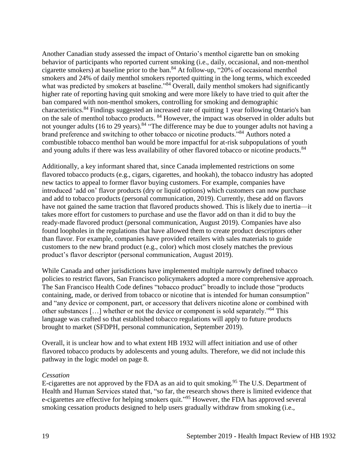Another Canadian study assessed the impact of Ontario's menthol cigarette ban on smoking behavior of participants who reported current smoking (i.e., daily, occasional, and non-menthol cigarette smokers) at baseline prior to the ban. <sup>84</sup> At follow-up, "20% of occasional menthol smokers and 24% of daily menthol smokers reported quitting in the long terms, which exceeded what was predicted by smokers at baseline."<sup>84</sup> Overall, daily menthol smokers had significantly higher rate of reporting having quit smoking and were more likely to have tried to quit after the ban compared with non-menthol smokers, controlling for smoking and demographic characteristics.<sup>84</sup> Findings suggested an increased rate of quitting 1 year following Ontario's ban on the sale of menthol tobacco products. <sup>84</sup> However, the impact was observed in older adults but not younger adults (16 to 29 years).<sup>84</sup> "The difference may be due to younger adults not having a brand preference and switching to other tobacco or nicotine products."<sup>84</sup> Authors noted a combustible tobacco menthol ban would be more impactful for at-risk subpopulations of youth and young adults if there was less availability of other flavored tobacco or nicotine products.<sup>84</sup>

Additionally, a key informant shared that, since Canada implemented restrictions on some flavored tobacco products (e.g., cigars, cigarettes, and hookah), the tobacco industry has adopted new tactics to appeal to former flavor buying customers. For example, companies have introduced 'add on' flavor products (dry or liquid options) which customers can now purchase and add to tobacco products (personal communication, 2019). Currently, these add on flavors have not gained the same traction that flavored products showed. This is likely due to inertia—it takes more effort for customers to purchase and use the flavor add on than it did to buy the ready-made flavored product (personal communication, August 2019). Companies have also found loopholes in the regulations that have allowed them to create product descriptors other than flavor. For example, companies have provided retailers with sales materials to guide customers to the new brand product (e.g., color) which most closely matches the previous product's flavor descriptor (personal communication, August 2019).

While Canada and other jurisdictions have implemented multiple narrowly defined tobacco policies to restrict flavors, San Francisco policymakers adopted a more comprehensive approach. The San Francisco Health Code defines "tobacco product" broadly to include those "products containing, made, or derived from tobacco or nicotine that is intended for human consumption" and "any device or component, part, or accessory that delivers nicotine alone or combined with other substances […] whether or not the device or component is sold separately."<sup>64</sup> This language was crafted so that established tobacco regulations will apply to future products brought to market (SFDPH, personal communication, September 2019).

Overall, it is unclear how and to what extent HB 1932 will affect initiation and use of other flavored tobacco products by adolescents and young adults. Therefore, we did not include this pathway in the logic model on page 8.

#### *Cessation*

E-cigarettes are not approved by the FDA as an aid to quit smoking.<sup>95</sup> The U.S. Department of Health and Human Services stated that, "so far, the research shows there is limited evidence that e-cigarettes are effective for helping smokers quit."<sup>95</sup> However, the FDA has approved several smoking cessation products designed to help users gradually withdraw from smoking (i.e.,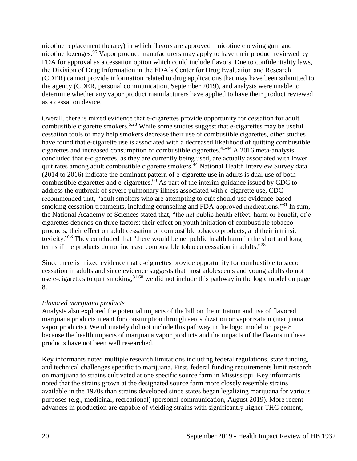nicotine replacement therapy) in which flavors are approved—nicotine chewing gum and nicotine lozenges.<sup>96</sup> Vapor product manufacturers may apply to have their product reviewed by FDA for approval as a cessation option which could include flavors. Due to confidentiality laws, the Division of Drug Information in the FDA's Center for Drug Evaluation and Research (CDER) cannot provide information related to drug applications that may have been submitted to the agency (CDER, personal communication, September 2019), and analysts were unable to determine whether any vapor product manufacturers have applied to have their product reviewed as a cessation device.

Overall, there is mixed evidence that e-cigarettes provide opportunity for cessation for adult combustible cigarette smokers.[5](#page-24-0)[,28](#page-36-0) While some studies suggest that e-cigarettes may be useful cessation tools or may help smokers decrease their use of combustible cigarettes, other studies have found that e-cigarette use is associated with a decreased likelihood of quitting combustible cigarettes and increased consumption of combustible cigarettes.41-44 A 2016 meta-analysis concluded that e-cigarettes, as they are currently being used, are actually associated with lower quit rates among adult combustible cigarette smokers.<sup>44</sup> National Health Interview Survey data (2014 to 2016) indicate the dominant pattern of e-cigarette use in adults is dual use of both combustible cigarettes and e-cigarettes.<sup>60</sup> As part of the interim guidance issued by CDC to address the outbreak of severe pulmonary illness associated with e-cigarette use, CDC recommended that, "adult smokers who are attempting to quit should use evidence-based smoking cessation treatments, including counseling and FDA-approved medications."<sup>81</sup> In sum, the National Academy of Sciences stated that, "the net public health effect, harm or benefit, of ecigarettes depends on three factors: their effect on youth initiation of combustible tobacco products, their effect on adult cessation of combustible tobacco products, and their intrinsic toxicity."<sup>28</sup> They concluded that "there would be net public health harm in the short and long terms if the products do not increase combustible tobacco cessation in adults."<sup>28</sup>

Since there is mixed evidence that e-cigarettes provide opportunity for combustible tobacco cessation in adults and since evidence suggests that most adolescents and young adults do not use e-cigarettes to quit smoking,  $31,60$  $31,60$  we did not include this pathway in the logic model on page 8.

# *Flavored marijuana products*

Analysts also explored the potential impacts of the bill on the initiation and use of flavored marijuana products meant for consumption through aerosolization or vaporization (marijuana vapor products). We ultimately did not include this pathway in the logic model on page 8 because the health impacts of marijuana vapor products and the impacts of the flavors in these products have not been well researched.

Key informants noted multiple research limitations including federal regulations, state funding, and technical challenges specific to marijuana. First, federal funding requirements limit research on marijuana to strains cultivated at one specific source farm in Mississippi. Key informants noted that the strains grown at the designated source farm more closely resemble strains available in the 1970s than strains developed since states began legalizing marijuana for various purposes (e.g., medicinal, recreational) (personal communication, August 2019). More recent advances in production are capable of yielding strains with significantly higher THC content,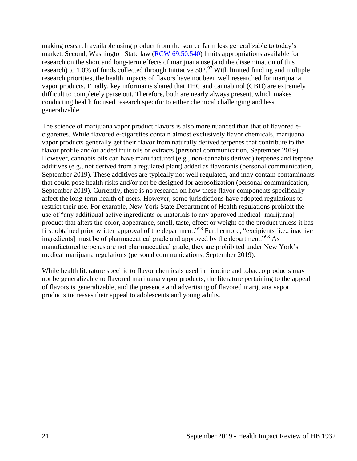making research available using product from the source farm less generalizable to today's market. Second, Washington State law [\(RCW 69.50.540\)](https://app.leg.wa.gov/rcw/default.aspx?cite=69.50.540) limits appropriations available for research on the short and long-term effects of marijuana use (and the dissemination of this research) to 1.0% of funds collected through Initiative  $502<sup>97</sup>$  With limited funding and multiple research priorities, the health impacts of flavors have not been well researched for marijuana vapor products. Finally, key informants shared that THC and cannabinol (CBD) are extremely difficult to completely parse out. Therefore, both are nearly always present, which makes conducting health focused research specific to either chemical challenging and less generalizable.

The science of marijuana vapor product flavors is also more nuanced than that of flavored ecigarettes. While flavored e-cigarettes contain almost exclusively flavor chemicals, marijuana vapor products generally get their flavor from naturally derived terpenes that contribute to the flavor profile and/or added fruit oils or extracts (personal communication, September 2019). However, cannabis oils can have manufactured (e.g., non-cannabis derived) terpenes and terpene additives (e.g., not derived from a regulated plant) added as flavorants (personal communication, September 2019). These additives are typically not well regulated, and may contain contaminants that could pose health risks and/or not be designed for aerosolization (personal communication, September 2019). Currently, there is no research on how these flavor components specifically affect the long-term health of users. However, some jurisdictions have adopted regulations to restrict their use. For example, New York State Department of Health regulations prohibit the use of "any additional active ingredients or materials to any approved medical [marijuana] product that alters the color, appearance, smell, taste, effect or weight of the product unless it has first obtained prior written approval of the department."<sup>98</sup> Furthermore, "excipients [i.e., inactive ingredients] must be of pharmaceutical grade and approved by the department."<sup>98</sup> As manufactured terpenes are not pharmaceutical grade, they are prohibited under New York's medical marijuana regulations (personal communications, September 2019).

<span id="page-22-0"></span>While health literature specific to flavor chemicals used in nicotine and tobacco products may not be generalizable to flavored marijuana vapor products, the literature pertaining to the appeal of flavors is generalizable, and the presence and advertising of flavored marijuana vapor products increases their appeal to adolescents and young adults.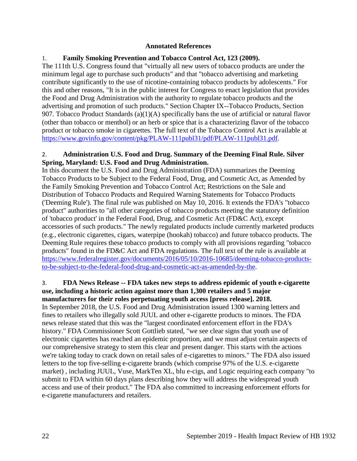### **Annotated References**

# 1. **Family Smoking Prevention and Tobacco Control Act, 123 (2009).**

The 111th U.S. Congress found that "virtually all new users of tobacco products are under the minimum legal age to purchase such products" and that "tobacco advertising and marketing contribute significantly to the use of nicotine-containing tobacco products by adolescents." For this and other reasons, "It is in the public interest for Congress to enact legislation that provides the Food and Drug Administration with the authority to regulate tobacco products and the advertising and promotion of such products." Section Chapter IX--Tobacco Products, Section 907. Tobacco Product Standards (a)(1)(A) specifically bans the use of artificial or natural flavor (other than tobacco or menthol) or an herb or spice that is a characterizing flavor of the tobacco product or tobacco smoke in cigarettes. The full text of the Tobacco Control Act is available at [https://www.govinfo.gov/content/pkg/PLAW-111publ31/pdf/PLAW-111publ31.pdf.](https://www.govinfo.gov/content/pkg/PLAW-111publ31/pdf/PLAW-111publ31.pdf)

### 2. **Administration U.S. Food and Drug. Summary of the Deeming Final Rule. Silver Spring, Maryland: U.S. Food and Drug Administration.**

In this document the U.S. Food and Drug Administration (FDA) summarizes the Deeming Tobacco Products to be Subject to the Federal Food, Drug, and Cosmetic Act, as Amended by the Family Smoking Prevention and Tobacco Control Act; Restrictions on the Sale and Distribution of Tobacco Products and Required Warning Statements for Tobacco Products ('Deeming Rule'). The final rule was published on May 10, 2016. It extends the FDA's "tobacco product" authorities to "all other categories of tobacco products meeting the statutory definition of 'tobacco product' in the Federal Food, Drug, and Cosmetic Act (FD&C Act), except accessories of such products." The newly regulated products include currently marketed products (e.g., electronic cigarettes, cigars, waterpipe (hookah) tobacco) and future tobacco products. The Deeming Rule requires these tobacco products to comply with all provisions regarding "tobacco products" found in the FD&C Act and FDA regulations. The full text of the rule is available at [https://www.federalregister.gov/documents/2016/05/10/2016-10685/deeming-tobacco-products](https://www.federalregister.gov/documents/2016/05/10/2016-10685/deeming-tobacco-products-to-be-subject-to-the-federal-food-drug-and-cosmetic-act-as-amended-by-the)[to-be-subject-to-the-federal-food-drug-and-cosmetic-act-as-amended-by-the.](https://www.federalregister.gov/documents/2016/05/10/2016-10685/deeming-tobacco-products-to-be-subject-to-the-federal-food-drug-and-cosmetic-act-as-amended-by-the)

#### <span id="page-23-0"></span>3. **FDA News Release -- FDA takes new steps to address epidemic of youth e-cigarette use, including a historic action against more than 1,300 retailers and 5 major manufacturers for their roles perpetuating youth access [press release]. 2018.**

In September 2018, the U.S. Food and Drug Administration issued 1300 warning letters and fines to retailers who illegally sold JUUL and other e-cigarette products to minors. The FDA news release stated that this was the "largest coordinated enforcement effort in the FDA's history." FDA Commissioner Scott Gottlieb stated, "we see clear signs that youth use of electronic cigarettes has reached an epidemic proportion, and we must adjust certain aspects of our comprehensive strategy to stem this clear and present danger. This starts with the actions we're taking today to crack down on retail sales of e-cigarettes to minors." The FDA also issued letters to the top five-selling e-cigarette brands (which comprise 97% of the U.S. e-cigarette market) , including JUUL, Vuse, MarkTen XL, blu e-cigs, and Logic requiring each company "to submit to FDA within 60 days plans describing how they will address the widespread youth access and use of their product." The FDA also committed to increasing enforcement efforts for e-cigarette manufacturers and retailers.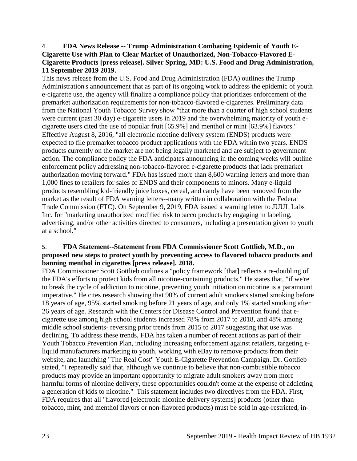### 4. **FDA News Release -- Trump Administration Combating Epidemic of Youth E-Cigarette Use with Plan to Clear Market of Unauthorized, Non-Tobacco-Flavored E-Cigarette Products [press release]. Silver Spring, MD: U.S. Food and Drug Administration, 11 September 2019 2019.**

This news release from the U.S. Food and Drug Administration (FDA) outlines the Trump Administration's announcement that as part of its ongoing work to address the epidemic of youth e-cigarette use, the agency will finalize a compliance policy that prioritizes enforcement of the premarket authorization requirements for non-tobacco-flavored e-cigarettes. Preliminary data from the National Youth Tobacco Survey show "that more than a quarter of high school students were current (past 30 day) e-cigarette users in 2019 and the overwhelming majority of youth ecigarette users cited the use of popular fruit [65.9%] and menthol or mint [63.9%] flavors." Effective August 8, 2016, "all electronic nicotine delivery system (ENDS) products were expected to file premarket tobacco product applications with the FDA within two years. ENDS products currently on the market are not being legally marketed and are subject to government action. The compliance policy the FDA anticipates announcing in the coming weeks will outline enforcement policy addressing non-tobacco-flavored e-cigarette products that lack premarket authorization moving forward." FDA has issued more than 8,600 warning letters and more than 1,000 fines to retailers for sales of ENDS and their components to minors. Many e-liquid products resembling kid-friendly juice boxes, cereal, and candy have been removed from the market as the result of FDA warning letters--many written in collaboration with the Federal Trade Commission (FTC). On September 9, 2019, FDA issued a warning letter to JUUL Labs Inc. for "marketing unauthorized modified risk tobacco products by engaging in labeling, advertising, and/or other activities directed to consumers, including a presentation given to youth at a school."

# <span id="page-24-0"></span>5. **FDA Statement--Statement from FDA Commissioner Scott Gottlieb, M.D., on proposed new steps to protect youth by preventing access to flavored tobacco products and banning menthol in cigarettes [press release]. 2018.**

FDA Commissioner Scott Gottlieb outlines a "policy framework [that] reflects a re-doubling of the FDA's efforts to protect kids from all nicotine-containing products." He states that, "if we're to break the cycle of addiction to nicotine, preventing youth initiation on nicotine is a paramount imperative." He cites research showing that 90% of current adult smokers started smoking before 18 years of age, 95% started smoking before 21 years of age, and only 1% started smoking after 26 years of age. Research with the Centers for Disease Control and Prevention found that ecigarette use among high school students increased 78% from 2017 to 2018, and 48% among middle school students- reversing prior trends from 2015 to 2017 suggesting that use was declining. To address these trends, FDA has taken a number of recent actions as part of their Youth Tobacco Prevention Plan, including increasing enforcement against retailers, targeting eliquid manufacturers marketing to youth, working with eBay to remove products from their website, and launching "The Real Cost" Youth E-Cigarette Prevention Campaign. Dr. Gottlieb stated, "I repeatedly said that, although we continue to believe that non-combustible tobacco products may provide an important opportunity to migrate adult smokers away from more harmful forms of nicotine delivery, these opportunities couldn't come at the expense of addicting a generation of kids to nicotine." This statement includes two directives from the FDA. First, FDA requires that all "flavored [electronic nicotine delivery systems] products (other than tobacco, mint, and menthol flavors or non-flavored products) must be sold in age-restricted, in-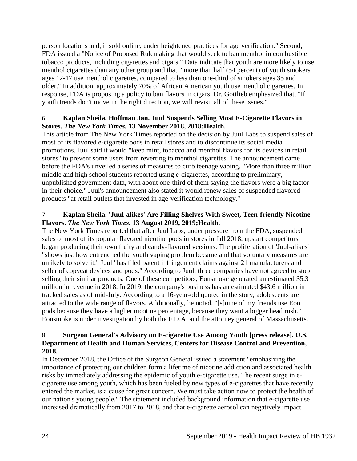person locations and, if sold online, under heightened practices for age verification." Second, FDA issued a "Notice of Proposed Rulemaking that would seek to ban menthol in combustible tobacco products, including cigarettes and cigars." Data indicate that youth are more likely to use menthol cigarettes than any other group and that, "more than half (54 percent) of youth smokers ages 12-17 use menthol cigarettes, compared to less than one-third of smokers ages 35 and older." In addition, approximately 70% of African American youth use menthol cigarettes. In response, FDA is proposing a policy to ban flavors in cigars. Dr. Gottlieb emphasized that, "If youth trends don't move in the right direction, we will revisit all of these issues."

# 6. **Kaplan Sheila, Hoffman Jan. Juul Suspends Selling Most E-Cigarette Flavors in Stores.** *The New York Times.* **13 November 2018, 2018;Health.**

This article from The New York Times reported on the decision by Juul Labs to suspend sales of most of its flavored e-cigarette pods in retail stores and to discontinue its social media promotions. Juul said it would "keep mint, tobacco and menthol flavors for its devices in retail stores" to prevent some users from reverting to menthol cigarettes. The announcement came before the FDA's unveiled a series of measures to curb teenage vaping. "More than three million middle and high school students reported using e-cigarettes, according to preliminary, unpublished government data, with about one-third of them saying the flavors were a big factor in their choice." Juul's announcement also stated it would renew sales of suspended flavored products "at retail outlets that invested in age-verification technology."

# 7. **Kaplan Sheila. 'Juul-alikes' Are Filling Shelves With Sweet, Teen-friendly Nicotine Flavors.** *The New York Times.* **13 August 2019, 2019;Health.**

The New York Times reported that after Juul Labs, under pressure from the FDA, suspended sales of most of its popular flavored nicotine pods in stores in fall 2018, upstart competitors began producing their own fruity and candy-flavored versions. The proliferation of 'Juul-alikes' "shows just how entrenched the youth vaping problem became and that voluntary measures are unlikely to solve it." Juul "has filed patent infringement claims against 21 manufacturers and seller of copycat devices and pods." According to Juul, three companies have not agreed to stop selling their similar products. One of these competitors, Eonsmoke generated an estimated \$5.3 million in revenue in 2018. In 2019, the company's business has an estimated \$43.6 million in tracked sales as of mid-July. According to a 16-year-old quoted in the story, adolescents are attracted to the wide range of flavors. Additionally, he noted, "[s]ome of my friends use Eon pods because they have a higher nicotine percentage, because they want a bigger head rush." Eonsmoke is under investigation by both the F.D.A. and the attorney general of Massachusetts.

### <span id="page-25-0"></span>8. **Surgeon General's Advisory on E-cigarette Use Among Youth [press release]. U.S. Department of Health and Human Services, Centers for Disease Control and Prevention, 2018.**

In December 2018, the Office of the Surgeon General issued a statement "emphasizing the importance of protecting our children form a lifetime of nicotine addiction and associated health risks by immediately addressing the epidemic of youth e-cigarette use. The recent surge in ecigarette use among youth, which has been fueled by new types of e-cigarettes that have recently entered the market, is a cause for great concern. We must take action now to protect the health of our nation's young people." The statement included background information that e-cigarette use increased dramatically from 2017 to 2018, and that e-cigarette aerosol can negatively impact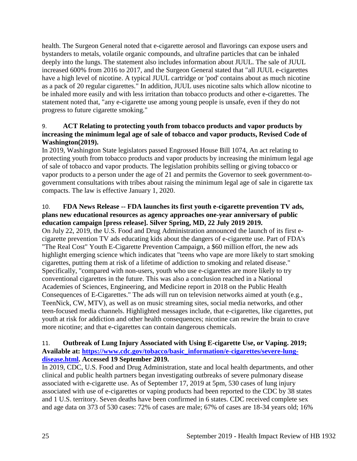health. The Surgeon General noted that e-cigarette aerosol and flavorings can expose users and bystanders to metals, volatile organic compounds, and ultrafine particles that can be inhaled deeply into the lungs. The statement also includes information about JUUL. The sale of JUUL increased 600% from 2016 to 2017, and the Surgeon General stated that "all JUUL e-cigarettes have a high level of nicotine. A typical JUUL cartridge or 'pod' contains about as much nicotine as a pack of 20 regular cigarettes." In addition, JUUL uses nicotine salts which allow nicotine to be inhaled more easily and with less irritation than tobacco products and other e-cigarettes. The statement noted that, "any e-cigarette use among young people is unsafe, even if they do not progress to future cigarette smoking."

# 9. **ACT Relating to protecting youth from tobacco products and vapor products by increasing the minimum legal age of sale of tobacco and vapor products, Revised Code of Washington(2019).**

In 2019, Washington State legislators passed Engrossed House Bill 1074, An act relating to protecting youth from tobacco products and vapor products by increasing the minimum legal age of sale of tobacco and vapor products. The legislation prohibits selling or giving tobacco or vapor products to a person under the age of 21 and permits the Governor to seek government-togovernment consultations with tribes about raising the minimum legal age of sale in cigarette tax compacts. The law is effective January 1, 2020.

### 10. **FDA News Release -- FDA launches its first youth e-cigarette prevention TV ads, plans new educational resources as agency approaches one-year anniversary of public education campaign [press release]. Silver Spring, MD, 22 July 2019 2019.**

On July 22, 2019, the U.S. Food and Drug Administration announced the launch of its first ecigarette prevention TV ads educating kids about the dangers of e-cigarette use. Part of FDA's "The Real Cost" Youth E-Cigarette Prevention Campaign, a \$60 million effort, the new ads highlight emerging science which indicates that "teens who vape are more likely to start smoking cigarettes, putting them at risk of a lifetime of addiction to smoking and related disease." Specifically, "compared with non-users, youth who use e-cigarettes are more likely to try conventional cigarettes in the future. This was also a conclusion reached in a National Academies of Sciences, Engineering, and Medicine report in 2018 on the Public Health Consequences of E-Cigarettes." The ads will run on television networks aimed at youth (e.g., TeenNick, CW, MTV), as well as on music streaming sites, social media networks, and other teen-focused media channels. Highlighted messages include, that e-cigarettes, like cigarettes, put youth at risk for addiction and other health consequences; nicotine can rewire the brain to crave more nicotine; and that e-cigarettes can contain dangerous chemicals.

# 11. **Outbreak of Lung Injury Associated with Using E-cigarette Use, or Vaping. 2019; Available at: [https://www.cdc.gov/tobacco/basic\\_information/e-cigarettes/severe-lung](https://www.cdc.gov/tobacco/basic_information/e-cigarettes/severe-lung-disease.html)[disease.html.](https://www.cdc.gov/tobacco/basic_information/e-cigarettes/severe-lung-disease.html) Accessed 19 September 2019.**

In 2019, CDC, U.S. Food and Drug Administration, state and local health departments, and other clinical and public health partners began investigating outbreaks of severe pulmonary disease associated with e-cigarette use. As of September 17, 2019 at 5pm, 530 cases of lung injury associated with use of e-cigarettes or vaping products had been reported to the CDC by 38 states and 1 U.S. territory. Seven deaths have been confirmed in 6 states. CDC received complete sex and age data on 373 of 530 cases: 72% of cases are male; 67% of cases are 18-34 years old; 16%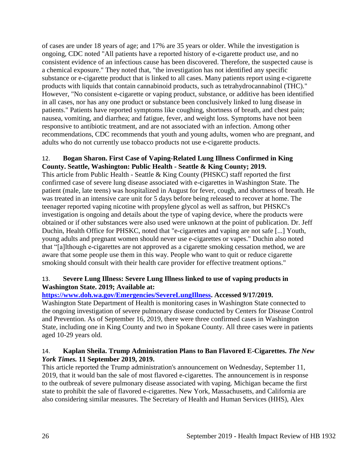of cases are under 18 years of age; and 17% are 35 years or older. While the investigation is ongoing, CDC noted "All patients have a reported history of e-cigarette product use, and no consistent evidence of an infectious cause has been discovered. Therefore, the suspected cause is a chemical exposure." They noted that, "the investigation has not identified any specific substance or e-cigarette product that is linked to all cases. Many patients report using e-cigarette products with liquids that contain cannabinoid products, such as tetrahydrocannabinol (THC)." However, "No consistent e-cigarette or vaping product, substance, or additive has been identified in all cases, nor has any one product or substance been conclusively linked to lung disease in patients." Patients have reported symptoms like coughing, shortness of breath, and chest pain; nausea, vomiting, and diarrhea; and fatigue, fever, and weight loss. Symptoms have not been responsive to antibiotic treatment, and are not associated with an infection. Among other recommendations, CDC recommends that youth and young adults, women who are pregnant, and adults who do not currently use tobacco products not use e-cigarette products.

# 12. **Bogan Sharon. First Case of Vaping-Related Lung Illness Confirmed in King County. Seattle, Washington: Public Health - Seattle & King County; 2019.**

This article from Public Health - Seattle & King County (PHSKC) staff reported the first confirmed case of severe lung disease associated with e-cigarettes in Washington State. The patient (male, late teens) was hospitalized in August for fever, cough, and shortness of breath. He was treated in an intensive care unit for 5 days before being released to recover at home. The teenager reported vaping nicotine with propylene glycol as well as saffron, but PHSKC's investigation is ongoing and details about the type of vaping device, where the products were obtained or if other substances were also used were unknown at the point of publication. Dr. Jeff Duchin, Health Office for PHSKC, noted that "e-cigarettes and vaping are not safe [...] Youth, young adults and pregnant women should never use e-cigarettes or vapes." Duchin also noted that "[a]lthough e-cigarettes are not approved as a cigarette smoking cessation method, we are aware that some people use them in this way. People who want to quit or reduce cigarette smoking should consult with their health care provider for effective treatment options."

# 13. **Severe Lung Illness: Severe Lung Illness linked to use of vaping products in Washington State. 2019; Available at:**

# **[https://www.doh.wa.gov/Emergencies/SevereLungIllness.](https://www.doh.wa.gov/Emergencies/SevereLungIllness) Accessed 9/17/2019.**

Washington State Department of Health is monitoring cases in Washington State connected to the ongoing investigation of severe pulmonary disease conducted by Centers for Disease Control and Prevention. As of September 16, 2019, there were three confirmed cases in Washington State, including one in King County and two in Spokane County. All three cases were in patients aged 10-29 years old.

# 14. **Kaplan Sheila. Trump Administration Plans to Ban Flavored E-Cigarettes.** *The New York Times.* **11 September 2019, 2019.**

This article reported the Trump administration's announcement on Wednesday, September 11, 2019, that it would ban the sale of most flavored e-cigarettes. The announcement is in response to the outbreak of severe pulmonary disease associated with vaping. Michigan became the first state to prohibit the sale of flavored e-cigarettes. New York, Massachusetts, and California are also considering similar measures. The Secretary of Health and Human Services (HHS), Alex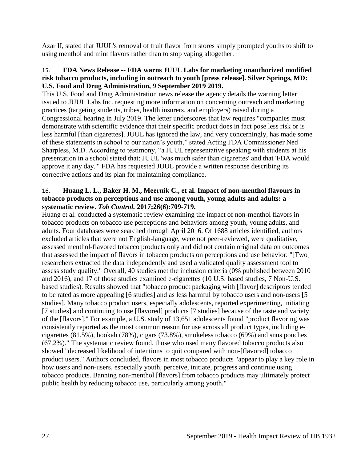Azar II, stated that JUUL's removal of fruit flavor from stores simply prompted youths to shift to using menthol and mint flavors rather than to stop vaping altogether.

### 15. **FDA News Release -- FDA warns JUUL Labs for marketing unauthorized modified risk tobacco products, including in outreach to youth [press release]. Silver Springs, MD: U.S. Food and Drug Administration, 9 September 2019 2019.**

This U.S. Food and Drug Administration news release the agency details the warning letter issued to JUUL Labs Inc. requesting more information on concerning outreach and marketing practices (targeting students, tribes, health insurers, and employers) raised during a Congressional hearing in July 2019. The letter underscores that law requires "companies must demonstrate with scientific evidence that their specific product does in fact pose less risk or is less harmful [than cigarettes]. JUUL has ignored the law, and very concerningly, has made some of these statements in school to our nation's youth," stated Acting FDA Commissioner Ned Sharpless, M.D. According to testimony, "a JUUL representative speaking with students at his presentation in a school stated that: JUUL 'was much safer than cigarettes' and that 'FDA would approve it any day.'" FDA has requested JUUL provide a written response describing its corrective actions and its plan for maintaining compliance.

# 16. **Huang L. L., Baker H. M., Meernik C., et al. Impact of non-menthol flavours in tobacco products on perceptions and use among youth, young adults and adults: a systematic review.** *Tob Control.* **2017;26(6):709-719.**

Huang et al. conducted a systematic review examining the impact of non-menthol flavors in tobacco products on tobacco use perceptions and behaviors among youth, young adults, and adults. Four databases were searched through April 2016. Of 1688 articles identified, authors excluded articles that were not English-language, were not peer-reviewed, were qualitative, assessed menthol-flavored tobacco products only and did not contain original data on outcomes that assessed the impact of flavors in tobacco products on perceptions and use behavior. "[Two] researchers extracted the data independently and used a validated quality assessment tool to assess study quality." Overall, 40 studies met the inclusion criteria (0% published between 2010 and 2016), and 17 of those studies examined e-cigarettes (10 U.S. based studies, 7 Non-U.S. based studies). Results showed that "tobacco product packaging with [flavor] descriptors tended to be rated as more appealing [6 studies] and as less harmful by tobacco users and non-users [5 studies]. Many tobacco product users, especially adolescents, reported experimenting, initiating [7 studies] and continuing to use [flavored] products [7 studies] because of the taste and variety of the [flavors]." For example, a U.S. study of 13,651 adolescents found "product flavoring was consistently reported as the most common reason for use across all product types, including ecigarettes (81.5%), hookah (78%), cigars (73.8%), smokeless tobacco (69%) and snus pouches (67.2%)." The systematic review found, those who used many flavored tobacco products also showed "decreased likelihood of intentions to quit compared with non-[flavored] tobacco product users." Authors concluded, flavors in most tobacco products "appear to play a key role in how users and non-users, especially youth, perceive, initiate, progress and continue using tobacco products. Banning non-menthol [flavors] from tobacco products may ultimately protect public health by reducing tobacco use, particularly among youth."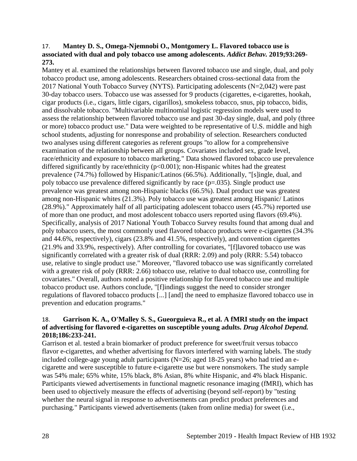### <span id="page-29-0"></span>17. **Mantey D. S., Omega-Njemnobi O., Montgomery L. Flavored tobacco use is associated with dual and poly tobacco use among adolescents.** *Addict Behav.* **2019;93:269- 273.**

Mantey et al. examined the relationships between flavored tobacco use and single, dual, and poly tobacco product use, among adolescents. Researchers obtained cross-sectional data from the 2017 National Youth Tobacco Survey (NYTS). Participating adolescents (N=2,042) were past 30-day tobacco users. Tobacco use was assessed for 9 products (cigarettes, e-cigarettes, hookah, cigar products (i.e., cigars, little cigars, cigarillos), smokeless tobacco, snus, pip tobacco, bidis, and dissolvable tobacco. "Multivariable multinomial logistic regression models were used to assess the relationship between flavored tobacco use and past 30-day single, dual, and poly (three or more) tobacco product use." Data were weighted to be representative of U.S. middle and high school students, adjusting for nonresponse and probability of selection. Researchers conducted two analyses using different categories as referent groups "to allow for a comprehensive examination of the relationship between all groups. Covariates included sex, grade level, race/ethnicity and exposure to tobacco marketing." Data showed flavored tobacco use prevalence differed significantly by race/ethnicity ( $p<0.001$ ); non-Hispanic whites had the greatest prevalence (74.7%) followed by Hispanic/Latinos (66.5%). Additionally, "[s]ingle, dual, and poly tobacco use prevalence differed significantly by race (p=.035). Single product use prevalence was greatest among non-Hispanic blacks (66.5%). Dual product use was greatest among non-Hispanic whites (21.3%). Poly tobacco use was greatest among Hispanic/ Latinos (28.9%)." Approximately half of all participating adolescent tobacco users (45.7%) reported use of more than one product, and most adolescent tobacco users reported using flavors (69.4%). Specifically, analysis of 2017 National Youth Tobacco Survey results found that among dual and poly tobacco users, the most commonly used flavored tobacco products were e-cigarettes (34.3% and 44.6%, respectively), cigars (23.8% and 41.5%, respectively), and convention cigarettes (21.9% and 33.9%, respectively). After controlling for covariates, "[f]lavored tobacco use was significantly correlated with a greater risk of dual (RRR: 2.09) and poly (RRR: 5.54) tobacco use, relative to single product use." Moreover, "flavored tobacco use was significantly correlated with a greater risk of poly (RRR: 2.66) tobacco use, relative to dual tobacco use, controlling for covariates." Overall, authors noted a positive relationship for flavored tobacco use and multiple tobacco product use. Authors conclude, "[f]indings suggest the need to consider stronger regulations of flavored tobacco products [...] [and] the need to emphasize flavored tobacco use in prevention and education programs."

# <span id="page-29-1"></span>18. **Garrison K. A., O'Malley S. S., Gueorguieva R., et al. A fMRI study on the impact of advertising for flavored e-cigarettes on susceptible young adults.** *Drug Alcohol Depend.*  **2018;186:233-241.**

Garrison et al. tested a brain biomarker of product preference for sweet/fruit versus tobacco flavor e-cigarettes, and whether advertising for flavors interfered with warning labels. The study included college-age young adult participants ( $N=26$ ; aged 18-25 years) who had tried an ecigarette and were susceptible to future e-cigarette use but were nonsmokers. The study sample was 54% male; 65% white, 15% black, 8% Asian, 8% white Hispanic, and 4% black Hispanic. Participants viewed advertisements in functional magnetic resonance imaging (fMRI), which has been used to objectively measure the effects of advertising (beyond self-report) by "testing whether the neural signal in response to advertisements can predict product preferences and purchasing." Participants viewed advertisements (taken from online media) for sweet (i.e.,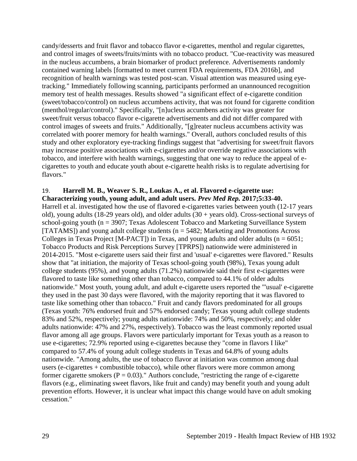candy/desserts and fruit flavor and tobacco flavor e-cigarettes, menthol and regular cigarettes, and control images of sweets/fruits/mints with no tobacco product. "Cue-reactivity was measured in the nucleus accumbens, a brain biomarker of product preference. Advertisements randomly contained warning labels [formatted to meet current FDA requirements, FDA 2016b], and recognition of health warnings was tested post-scan. Visual attention was measured using eyetracking." Immediately following scanning, participants performed an unannounced recognition memory test of health messages. Results showed "a significant effect of e-cigarette condition (sweet/tobacco/control) on nucleus accumbens activity, that was not found for cigarette condition (menthol/regular/control)." Specifically, "[n]ucleus accumbens activity was greater for sweet/fruit versus tobacco flavor e-cigarette advertisements and did not differ compared with control images of sweets and fruits." Additionally, "[g]reater nucleus accumbens activity was correlated with poorer memory for health warnings." Overall, authors concluded results of this study and other exploratory eye-tracking findings suggest that "advertising for sweet/fruit flavors may increase positive associations with e-cigarettes and/or override negative associations with tobacco, and interfere with health warnings, suggesting that one way to reduce the appeal of ecigarettes to youth and educate youth about e-cigarette health risks is to regulate advertising for flavors."

#### 19. **Harrell M. B., Weaver S. R., Loukas A., et al. Flavored e-cigarette use: Characterizing youth, young adult, and adult users.** *Prev Med Rep.* **2017;5:33-40.**

Harrell et al. investigated how the use of flavored e-cigarettes varies between youth (12-17 years old), young adults (18-29 years old), and older adults (30 + years old). Cross-sectional surveys of school-going youth ( $n = 3907$ ; Texas Adolescent Tobacco and Marketing Surveillance System [TATAMS]) and young adult college students ( $n = 5482$ ; Marketing and Promotions Across Colleges in Texas Project [M-PACT]) in Texas, and young adults and older adults ( $n = 6051$ ; Tobacco Products and Risk Perceptions Survey [TPRPS]) nationwide were administered in 2014-2015. "Most e-cigarette users said their first and 'usual' e-cigarettes were flavored." Results show that "at initiation, the majority of Texas school-going youth (98%), Texas young adult college students (95%), and young adults (71.2%) nationwide said their first e-cigarettes were flavored to taste like something other than tobacco, compared to 44.1% of older adults nationwide." Most youth, young adult, and adult e-cigarette users reported the "'usual' e-cigarette they used in the past 30 days were flavored, with the majority reporting that it was flavored to taste like something other than tobacco." Fruit and candy flavors predominated for all groups (Texas youth: 76% endorsed fruit and 57% endorsed candy; Texas young adult college students 83% and 52%, respectively; young adults nationwide: 74% and 50%, respectively; and older adults nationwide: 47% and 27%, respectively). Tobacco was the least commonly reported usual flavor among all age groups. Flavors were particularly important for Texas youth as a reason to use e-cigarettes; 72.9% reported using e-cigarettes because they "come in flavors I like" compared to 57.4% of young adult college students in Texas and 64.8% of young adults nationwide. "Among adults, the use of tobacco flavor at initiation was common among dual users (e-cigarettes + combustible tobacco), while other flavors were more common among former cigarette smokers ( $P = 0.03$ )." Authors conclude, "restricting the range of e-cigarette flavors (e.g., eliminating sweet flavors, like fruit and candy) may benefit youth and young adult prevention efforts. However, it is unclear what impact this change would have on adult smoking cessation."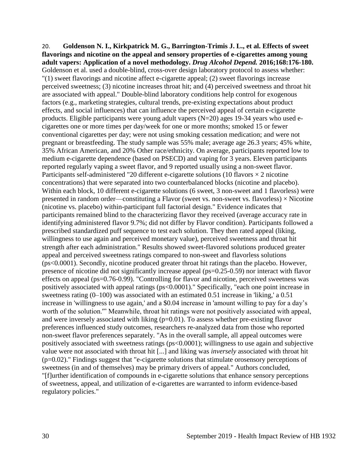<span id="page-31-0"></span>20. **Goldenson N. I., Kirkpatrick M. G., Barrington-Trimis J. L., et al. Effects of sweet flavorings and nicotine on the appeal and sensory properties of e-cigarettes among young adult vapers: Application of a novel methodology.** *Drug Alcohol Depend.* **2016;168:176-180.** Goldenson et al. used a double-blind, cross-over design laboratory protocol to assess whether: "(1) sweet flavorings and nicotine affect e-cigarette appeal; (2) sweet flavorings increase perceived sweetness; (3) nicotine increases throat hit; and (4) perceived sweetness and throat hit are associated with appeal." Double-blind laboratory conditions help control for exogenous factors (e.g., marketing strategies, cultural trends, pre-existing expectations about product effects, and social influences) that can influence the perceived appeal of certain e-cigarette products. Eligible participants were young adult vapers  $(N=20)$  ages 19-34 years who used ecigarettes one or more times per day/week for one or more months; smoked 15 or fewer conventional cigarettes per day; were not using smoking cessation medication; and were not pregnant or breastfeeding. The study sample was 55% male; average age 26.3 years; 45% white, 35% African American, and 20% Other race/ethnicity. On average, participants reported low to medium e-cigarette dependence (based on PSECD) and vaping for 3 years. Eleven participants reported regularly vaping a sweet flavor, and 9 reported usually using a non-sweet flavor. Participants self-administered "20 different e-cigarette solutions (10 flavors  $\times$  2 nicotine concentrations) that were separated into two counterbalanced blocks (nicotine and placebo). Within each block, 10 different e-cigarette solutions (6 sweet, 3 non-sweet and 1 flavorless) were presented in random order—constituting a Flavor (sweet vs. non-sweet vs. flavorless)  $\times$  Nicotine (nicotine vs. placebo) within-participant full factorial design." Evidence indicates that participants remained blind to the characterizing flavor they received (average accuracy rate in identifying administered flavor 9.7%; did not differ by Flavor condition). Participants followed a prescribed standardized puff sequence to test each solution. They then rated appeal (liking, willingness to use again and perceived monetary value), perceived sweetness and throat hit strength after each administration." Results showed sweet-flavored solutions produced greater appeal and perceived sweetness ratings compared to non-sweet and flavorless solutions (ps<0.0001). Secondly, nicotine produced greater throat hit ratings than the placebo. However, presence of nicotine did not significantly increase appeal (ps=0.25-0.59) nor interact with flavor effects on appeal (ps=0.76-0.99). "Controlling for flavor and nicotine, perceived sweetness was positively associated with appeal ratings (ps<0.0001)." Specifically, "each one point increase in sweetness rating  $(0-100)$  was associated with an estimated 0.51 increase in 'liking,' a 0.51 increase in 'willingness to use again,' and a \$0.04 increase in 'amount willing to pay for a day's worth of the solution.'" Meanwhile, throat hit ratings were not positively associated with appeal, and were inversely associated with liking (p=0.01). To assess whether pre-existing flavor preferences influenced study outcomes, researchers re-analyzed data from those who reported non-sweet flavor preferences separately. "As in the overall sample, all appeal outcomes were positively associated with sweetness ratings (ps<0.0001); willingness to use again and subjective value were not associated with throat hit [...] and liking was *inversely* associated with throat hit (p=0.02)." Findings suggest that "e-cigarette solutions that stimulate orosensory perceptions of sweetness (in and of themselves) may be primary drivers of appeal." Authors concluded, "[f]urther identification of compounds in e-cigarette solutions that enhance sensory perceptions of sweetness, appeal, and utilization of e-cigarettes are warranted to inform evidence-based regulatory policies."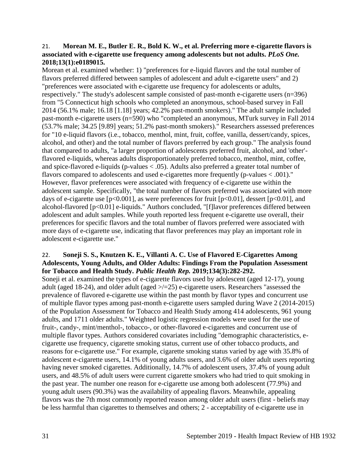### <span id="page-32-0"></span>21. **Morean M. E., Butler E. R., Bold K. W., et al. Preferring more e-cigarette flavors is associated with e-cigarette use frequency among adolescents but not adults.** *PLoS One.*  **2018;13(1):e0189015.**

Morean et al. examined whether: 1) "preferences for e-liquid flavors and the total number of flavors preferred differed between samples of adolescent and adult e-cigarette users" and 2) "preferences were associated with e-cigarette use frequency for adolescents or adults, respectively." The study's adolescent sample consisted of past-month e-cigarette users (n=396) from "5 Connecticut high schools who completed an anonymous, school-based survey in Fall 2014 (56.1% male; 16.18 [1.18] years; 42.2% past-month smokers)." The adult sample included past-month e-cigarette users (n=590) who "completed an anonymous, MTurk survey in Fall 2014 (53.7% male; 34.25 [9.89] years; 51.2% past-month smokers)." Researchers assessed preferences for "10 e-liquid flavors (i.e., tobacco, menthol, mint, fruit, coffee, vanilla, dessert/candy, spices, alcohol, and other) and the total number of flavors preferred by each group." The analysis found that compared to adults, "a larger proportion of adolescents preferred fruit, alcohol, and 'other' flavored e-liquids, whereas adults disproportionately preferred tobacco, menthol, mint, coffee, and spice-flavored e-liquids (p-values < .05). Adults also preferred a greater total number of flavors compared to adolescents and used e-cigarettes more frequently (p-values < .001)." However, flavor preferences were associated with frequency of e-cigarette use within the adolescent sample. Specifically, "the total number of flavors preferred was associated with more days of e-cigarette use [p<0.001], as were preferences for fruit [p<0.01], dessert [p<0.01], and alcohol-flavored [p<0.01] e-liquids." Authors concluded, "[f]lavor preferences differed between adolescent and adult samples. While youth reported less frequent e-cigarette use overall, their preferences for specific flavors and the total number of flavors preferred were associated with more days of e-cigarette use, indicating that flavor preferences may play an important role in adolescent e-cigarette use."

### 22. **Soneji S. S., Knutzen K. E., Villanti A. C. Use of Flavored E-Cigarettes Among Adolescents, Young Adults, and Older Adults: Findings From the Population Assessment for Tobacco and Health Study.** *Public Health Rep.* **2019;134(3):282-292.**

Soneji et al. examined the types of e-cigarette flavors used by adolescent (aged 12-17), young adult (aged 18-24), and older adult (aged >/=25) e-cigarette users. Researchers "assessed the prevalence of flavored e-cigarette use within the past month by flavor types and concurrent use of multiple flavor types among past-month e-cigarette users sampled during Wave 2 (2014-2015) of the Population Assessment for Tobacco and Health Study among 414 adolescents, 961 young adults, and 1711 older adults." Weighted logistic regression models were used for the use of fruit-, candy-, mint/menthol-, tobacco-, or other-flavored e-cigarettes and concurrent use of multiple flavor types. Authors considered covariates including "demographic characteristics, ecigarette use frequency, cigarette smoking status, current use of other tobacco products, and reasons for e-cigarette use." For example, cigarette smoking status varied by age with 35.8% of adolescent e-cigarette users, 14.1% of young adults users, and 3.6% of older adult users reporting having never smoked cigarettes. Additionally, 14.7% of adolescent users, 37.4% of young adult users, and 48.5% of adult users were current cigarette smokers who had tried to quit smoking in the past year. The number one reason for e-cigarette use among both adolescent (77.9%) and young adult users (90.3%) was the availability of appealing flavors. Meanwhile, appealing flavors was the 7th most commonly reported reason among older adult users (first - beliefs may be less harmful than cigarettes to themselves and others; 2 - acceptability of e-cigarette use in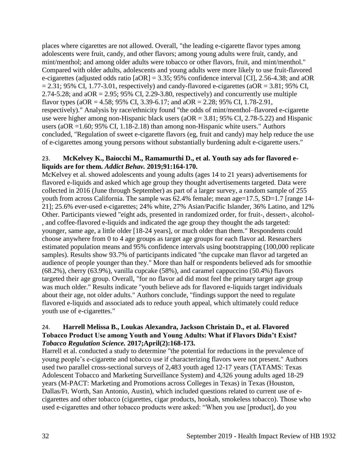places where cigarettes are not allowed. Overall, "the leading e-cigarette flavor types among adolescents were fruit, candy, and other flavors; among young adults were fruit, candy, and mint/menthol; and among older adults were tobacco or other flavors, fruit, and mint/menthol." Compared with older adults, adolescents and young adults were more likely to use fruit-flavored e-cigarettes (adjusted odds ratio [aOR] = 3.35; 95% confidence interval [CI], 2.56-4.38; and aOR  $= 2.31$ ; 95% CI, 1.77-3.01, respectively) and candy-flavored e-cigarettes (aOR = 3.81; 95% CI, 2.74-5.28; and  $aOR = 2.95$ ; 95% CI, 2.29-3.80, respectively) and concurrently use multiple flavor types (aOR = 4.58; 95% CI, 3.39-6.17; and aOR = 2.28; 95% CI, 1.78-2.91, respectively)." Analysis by race/ethnicity found "the odds of mint/menthol–flavored e-cigarette use were higher among non-Hispanic black users ( $aOR = 3.81$ ; 95% CI, 2.78-5.22) and Hispanic users (aOR =1.60; 95% CI, 1.18-2.18) than among non-Hispanic white users." Authors concluded, "Regulation of sweet e-cigarette flavors (eg, fruit and candy) may help reduce the use of e-cigarettes among young persons without substantially burdening adult e-cigarette users."

### 23. **McKelvey K., Baiocchi M., Ramamurthi D., et al. Youth say ads for flavored eliquids are for them.** *Addict Behav.* **2019;91:164-170.**

McKelvey et al. showed adolescents and young adults (ages 14 to 21 years) advertisements for flavored e-liquids and asked which age group they thought advertisements targeted. Data were collected in 2016 (June through September) as part of a larger survey, a random sample of 255 youth from across California. The sample was 62.4% female; mean age=17.5, SD=1.7 [range 14-21]; 25.6% ever-used e-cigarettes; 24% white, 27% Asian/Pacific Islander, 36% Latino, and 12% Other. Participants viewed "eight ads, presented in randomized order, for fruit-, dessert-, alcohol- , and coffee-flavored e-liquids and indicated the age group they thought the ads targeted: younger, same age, a little older [18-24 years], or much older than them." Respondents could choose anywhere from 0 to 4 age groups as target age groups for each flavor ad. Researchers estimated population means and 95% confidence intervals using bootstrapping (100,000 replicate samples). Results show 93.7% of participants indicated "the cupcake man flavor ad targeted an audience of people younger than they." More than half or respondents believed ads for smoothie (68.2%), cherry (63.9%), vanilla cupcake (58%), and caramel cappuccino (50.4%) flavors targeted their age group. Overall, "for no flavor ad did most feel the primary target age group was much older." Results indicate "youth believe ads for flavored e-liquids target individuals about their age, not older adults." Authors conclude, "findings support the need to regulate flavored e-liquids and associated ads to reduce youth appeal, which ultimately could reduce youth use of e-cigarettes."

# <span id="page-33-0"></span>24. **Harrell Melissa B., Loukas Alexandra, Jackson Christain D., et al. Flavored Tobacco Product Use among Youth and Young Adults: What if Flavors Didn't Exist?**  *Tobacco Regulation Science.* **2017;April(2):168-173.**

Harrell et al. conducted a study to determine "the potential for reductions in the prevalence of young people's e-cigarette and tobacco use if characterizing flavors were not present." Authors used two parallel cross-sectional surveys of 2,483 youth aged 12-17 years (TATAMS: Texas Adolescent Tobacco and Marketing Surveillance System) and 4,326 young adults aged 18-29 years (M-PACT: Marketing and Promotions across Colleges in Texas) in Texas (Houston, Dallas/Ft. Worth, San Antonio, Austin), which included questions related to current use of ecigarettes and other tobacco (cigarettes, cigar products, hookah, smokeless tobacco). Those who used e-cigarettes and other tobacco products were asked: "When you use [product], do you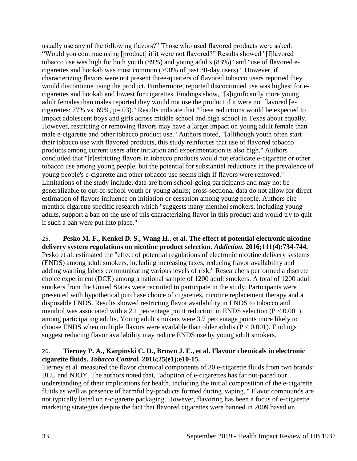usually use any of the following flavors?" Those who used flavored products were asked: "Would you continue using [product] if it were not flavored?" Results showed "[f]lavored tobacco use was high for both youth (89%) and young adults (83%)" and "use of flavored ecigarettes and hookah was most common (>90% of past 30-day users)." However, if characterizing flavors were not present three-quarters of flavored tobacco users reported they would discontinue using the product. Furthermore, reported discontinued use was highest for ecigarettes and hookah and lowest for cigarettes. Findings show, "[s]ignificantly more young adult females than males reported they would not use the product if it were not flavored [ecigarettes: 77% vs. 69%, p=.03)." Results indicate that "these reductions would be expected to impact adolescent boys and girls across middle school and high school in Texas about equally. However, restricting or removing flavors may have a larger impact on young adult female than male e-cigarette and other tobacco product use." Authors noted, "[a]lthough youth often start their tobacco use with flavored products, this study reinforces that use of flavored tobacco products among current users after initiation and experimentation is also high." Authors concluded that "[r]estricting flavors in tobacco products would not eradicate e-cigarette or other tobacco use among young people, but the potential for substantial reductions in the prevalence of young people's e-cigarette and other tobacco use seems high if flavors were removed." Limitations of the study include: data are from school-going participants and may not be generalizable to out-of-school youth or young adults; cross-sectional data do not allow for direct estimation of flavors influence on initiation or cessation among young people. Authors cite menthol cigarette specific research which "suggests many menthol smokers, including young adults, support a ban on the use of this characterizing flavor in this product and would try to quit if such a ban were put into place."

<span id="page-34-0"></span>25. **Pesko M. F., Kenkel D. S., Wang H., et al. The effect of potential electronic nicotine delivery system regulations on nicotine product selection.** *Addiction.* **2016;111(4):734-744.** Pesko et al. estimated the "effect of potential regulations of electronic nicotine delivery systems (ENDS) among adult smokers, including increasing taxes, reducing flavor availability and adding warning labels communicating various levels of risk." Researchers performed a discrete choice experiment (DCE) among a national sample of 1200 adult smokers. A total of 1200 adult smokers from the United States were recruited to participate in the study. Participants were presented with hypothetical purchase choice of cigarettes, nicotine replacement therapy and a disposable ENDS. Results showed restricting flavor availability in ENDS to tobacco and menthol was associated with a 2.1 percentage point reduction in ENDS selection  $(P < 0.001)$ among participating adults. Young adult smokers were 3.7 percentage points more likely to choose ENDS when multiple flavors were available than older adults ( $P < 0.001$ ). Findings suggest reducing flavor availability may reduce ENDS use by young adult smokers.

# <span id="page-34-1"></span>26. **Tierney P. A., Karpinski C. D., Brown J. E., et al. Flavour chemicals in electronic cigarette fluids.** *Tobacco Control.* **2016;25(e1):e10-15.**

Tierney et al. measured the flavor chemical components of 30 e-cigarette fluids from two brands: BLU and NJOY. The authors noted that, "adoption of e-cigarettes has far out-paced our understanding of their implications for health, including the initial composition of the e-cigarette fluids as well as presence of harmful by-products formed during 'vaping.'" Flavor compounds are not typically listed on e-cigarette packaging. However, flavoring has been a focus of e-cigarette marketing strategies despite the fact that flavored cigarettes were banned in 2009 based on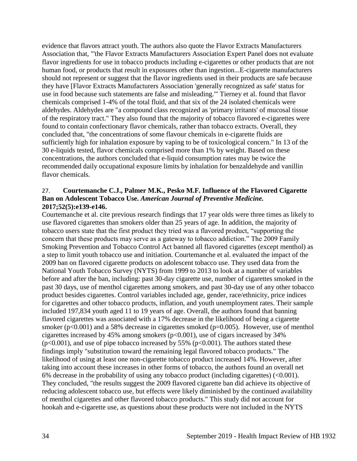evidence that flavors attract youth. The authors also quote the Flavor Extracts Manufacturers Association that, "'the Flavor Extracts Manufacturers Association Expert Panel does not evaluate flavor ingredients for use in tobacco products including e-cigarettes or other products that are not human food, or products that result in exposures other than ingestion...E-cigarette manufacturers should not represent or suggest that the flavor ingredients used in their products are safe because they have [Flavor Extracts Manufacturers Association 'generally recognized as safe' status for use in food because such statements are false and misleading.'" Tierney et al. found that flavor chemicals comprised 1-4% of the total fluid, and that six of the 24 isolated chemicals were aldehydes. Aldehydes are "a compound class recognized as 'primary irritants' of mucosal tissue of the respiratory tract." They also found that the majority of tobacco flavored e-cigarettes were found to contain confectionary flavor chemicals, rather than tobacco extracts. Overall, they concluded that, "the concentrations of some flavour chemicals in e-cigarette fluids are sufficiently high for inhalation exposure by vaping to be of toxicological concern." In 13 of the 30 e-liquids tested, flavor chemicals comprised more than 1% by weight. Based on these concentrations, the authors concluded that e-liquid consumption rates may be twice the recommended daily occupational exposure limits by inhalation for benzaldehyde and vanillin flavor chemicals.

### <span id="page-35-0"></span>27. **Courtemanche C.J., Palmer M.K., Pesko M.F. Influence of the Flavored Cigarette Ban on Adolescent Tobacco Use.** *American Journal of Preventive Medicine.*  **2017;52(5):e139-e146.**

Courtemanche et al. cite previous research findings that 17 year olds were three times as likely to use flavored cigarettes than smokers older than 25 years of age. In addition, the majority of tobacco users state that the first product they tried was a flavored product, "supporting the concern that these products may serve as a gateway to tobacco addiction." The 2009 Family Smoking Prevention and Tobacco Control Act banned all flavored cigarettes (except menthol) as a step to limit youth tobacco use and initiation. Courtemanche et al. evaluated the impact of the 2009 ban on flavored cigarette products on adolescent tobacco use. They used data from the National Youth Tobacco Survey (NYTS) from 1999 to 2013 to look at a number of variables before and after the ban, including: past 30-day cigarette use, number of cigarettes smoked in the past 30 days, use of menthol cigarettes among smokers, and past 30-day use of any other tobacco product besides cigarettes. Control variables included age, gender, race/ethnicity, price indices for cigarettes and other tobacco products, inflation, and youth unemployment rates. Their sample included 197,834 youth aged 11 to 19 years of age. Overall, the authors found that banning flavored cigarettes was associated with a 17% decrease in the likelihood of being a cigarette smoker ( $p<0.001$ ) and a 58% decrease in cigarettes smoked ( $p=0.005$ ). However, use of menthol cigarettes increased by 45% among smokers (p<0.001), use of cigars increased by 34%  $(p<0.001)$ , and use of pipe tobacco increased by 55% ( $p<0.001$ ). The authors stated these findings imply "substitution toward the remaining legal flavored tobacco products." The likelihood of using at least one non-cigarette tobacco product increased 14%. However, after taking into account these increases in other forms of tobacco, the authors found an overall net 6% decrease in the probability of using any tobacco product (including cigarettes) (<0.001). They concluded, "the results suggest the 2009 flavored cigarette ban did achieve its objective of reducing adolescent tobacco use, but effects were likely diminished by the continued availability of menthol cigarettes and other flavored tobacco products." This study did not account for hookah and e-cigarette use, as questions about these products were not included in the NYTS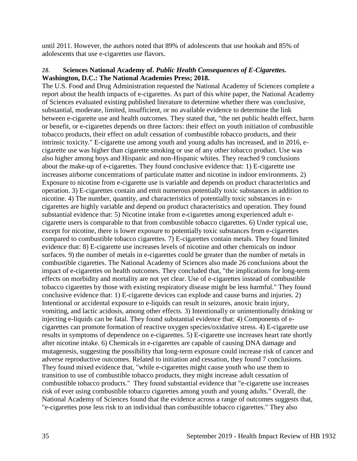until 2011. However, the authors noted that 89% of adolescents that use hookah and 85% of adolescents that use e-cigarettes use flavors.

# <span id="page-36-0"></span>28. **Sciences National Academy of.** *Public Health Consequences of E-Cigarettes.* **Washington, D.C.: The National Academies Press; 2018.**

The U.S. Food and Drug Administration requested the National Academy of Sciences complete a report about the health impacts of e-cigarettes. As part of this white paper, the National Academy of Sciences evaluated existing published literature to determine whether there was conclusive, substantial, moderate, limited, insufficient, or no available evidence to determine the link between e-cigarette use and health outcomes. They stated that, "the net public health effect, harm or benefit, or e-cigarettes depends on three factors: their effect on youth initiation of combustible tobacco products, their effect on adult cessation of combustible tobacco products, and their intrinsic toxicity." E-cigarette use among youth and young adults has increased, and in 2016, ecigarette use was higher than cigarette smoking or use of any other tobacco product. Use was also higher among boys and Hispanic and non-Hispanic whites. They reached 9 conclusions about the make-up of e-cigarettes. They found conclusive evidence that: 1) E-cigarette use increases airborne concentrations of particulate matter and nicotine in indoor environments. 2) Exposure to nicotine from e-cigarette use is variable and depends on product characteristics and operation. 3) E-cigarettes contain and emit numerous potentially toxic substances in addition to nicotine. 4) The number, quantity, and characteristics of potentially toxic substances in ecigarettes are highly variable and depend on product characteristics and operation. They found substantial evidence that: 5) Nicotine intake from e-cigarettes among experienced adult ecigarette users is comparable to that from combustible tobacco cigarettes. 6) Under typical use, except for nicotine, there is lower exposure to potentially toxic substances from e-cigarettes compared to combustible tobacco cigarettes. 7) E-cigarettes contain metals. They found limited evidence that: 8) E-cigarette use increases levels of nicotine and other chemicals on indoor surfaces. 9) the number of metals in e-cigarettes could be greater than the number of metals in combustible cigarettes. The National Academy of Sciences also made 26 conclusions about the impact of e-cigarettes on health outcomes. They concluded that, "the implications for long-term effects on morbidity and mortality are not yet clear. Use of e-cigarettes instead of combustible tobacco cigarettes by those with existing respiratory disease might be less harmful." They found conclusive evidence that: 1) E-cigarette devices can explode and cause burns and injuries. 2) Intentional or accidental exposure to e-liquids can result in seizures, anoxic brain injury, vomiting, and lactic acidosis, among other effects. 3) Intentionally or unintentionally drinking or injecting e-liquids can be fatal. They found substantial evidence that: 4) Components of ecigarettes can promote formation of reactive oxygen species/oxidative stress. 4) E-cigarette use results in symptoms of dependence on e-cigarettes. 5) E-cigarette use increases heart rate shortly after nicotine intake. 6) Chemicals in e-cigarettes are capable of causing DNA damage and mutagenesis, suggesting the possibility that long-term exposure could increase risk of cancer and adverse reproductive outcomes. Related to initiation and cessation, they found 7 conclusions. They found mixed evidence that, "while e-cigarettes might cause youth who use them to transition to use of combustible tobacco products, they might increase adult cessation of combustible tobacco products." They found substantial evidence that "e-cigarette use increases risk of ever using combustible tobacco cigarettes among youth and young adults." Overall, the National Academy of Sciences found that the evidence across a range of outcomes suggests that, "e-cigarettes pose less risk to an individual than combustible tobacco cigarettes." They also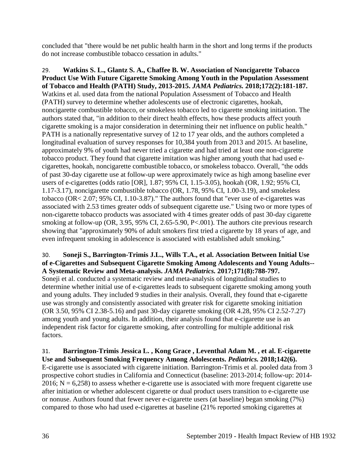concluded that "there would be net public health harm in the short and long terms if the products do not increase combustible tobacco cessation in adults."

29. **Watkins S. L., Glantz S. A., Chaffee B. W. Association of Noncigarette Tobacco Product Use With Future Cigarette Smoking Among Youth in the Population Assessment of Tobacco and Health (PATH) Study, 2013-2015.** *JAMA Pediatrics.* **2018;172(2):181-187.** Watkins et al. used data from the national Population Assessment of Tobacco and Health (PATH) survey to determine whether adolescents use of electronic cigarettes, hookah, noncigarette combustible tobacco, or smokeless tobacco led to cigarette smoking initiation. The authors stated that, "in addition to their direct health effects, how these products affect youth cigarette smoking is a major consideration in determining their net influence on public health." PATH is a nationally representative survey of 12 to 17 year olds, and the authors completed a longitudinal evaluation of survey responses for 10,384 youth from 2013 and 2015. At baseline, approximately 9% of youth had never tried a cigarette and had tried at least one non-cigarette tobacco product. They found that cigarette imitation was higher among youth that had used ecigarettes, hookah, noncigarette combustible tobacco, or smokeless tobacco. Overall, "the odds of past 30-day cigarette use at follow-up were approximately twice as high among baseline ever users of e-cigarettes (odds ratio [OR], 1.87; 95% CI, 1.15-3.05), hookah (OR, 1.92; 95% CI, 1.17-3.17), noncigarette combustible tobacco (OR, 1.78, 95% CI, 1.00-3.19), and smokeless tobacco (OR< 2.07; 95% CI, 1.10-3.87)." The authors found that "ever use of e-cigarettes was associated with 2.53 times greater odds of subsequent cigarette use." Using two or more types of non-cigarette tobacco products was associated with 4 times greater odds of past 30-day cigarette smoking at follow-up (OR, 3.95, 95% CI, 2.65-5.90, P<.001). The authors cite previous research showing that "approximately 90% of adult smokers first tried a cigarette by 18 years of age, and even infrequent smoking in adolescence is associated with established adult smoking."

### 30. **Soneji S., Barrington-Trimis J.L., Wills T.A., et al. Association Between Initial Use of e-Cigarettes and Subsequent Cigarette Smoking Among Adolescents and Young Adults-- A Systematic Review and Meta-analysis.** *JAMA Pediatrics.* **2017;171(8):788-797.**

Soneji et al. conducted a systematic review and meta-analysis of longitudinal studies to determine whether initial use of e-cigarettes leads to subsequent cigarette smoking among youth and young adults. They included 9 studies in their analysis. Overall, they found that e-cigarette use was strongly and consistently associated with greater risk for cigarette smoking initiation (OR 3.50, 95% CI 2.38-5.16) and past 30-day cigarette smoking (OR 4.28, 95% CI 2.52-7.27) among youth and young adults. In addition, their analysis found that e-cigarette use is an independent risk factor for cigarette smoking, after controlling for multiple additional risk factors.

# <span id="page-37-0"></span>31. **Barrington-Trimis Jessica L. , Kong Grace , Leventhal Adam M. , et al. E-cigarette Use and Subsequent Smoking Frequency Among Adolescents.** *Pediatrics.* **2018;142(6).**

E-cigarette use is associated with cigarette initiation. Barrington-Trimis et al. pooled data from 3 prospective cohort studies in California and Connecticut (baseline: 2013-2014; follow-up: 2014- 2016;  $N = 6,258$ ) to assess whether e-cigarette use is associated with more frequent cigarette use after initiation or whether adolescent cigarette or dual product users transition to e-cigarette use or nonuse. Authors found that fewer never e-cigarette users (at baseline) began smoking (7%) compared to those who had used e-cigarettes at baseline (21% reported smoking cigarettes at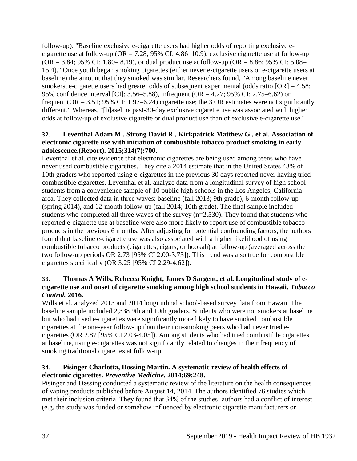follow-up). "Baseline exclusive e-cigarette users had higher odds of reporting exclusive ecigarette use at follow-up ( $OR = 7.28$ ; 95% CI: 4.86–10.9), exclusive cigarette use at follow-up  $OR = 3.84$ ; 95% CI: 1.80–8.19), or dual product use at follow-up (OR = 8.86; 95% CI: 5.08– 15.4)." Once youth began smoking cigarettes (either never e-cigarette users or e-cigarette users at baseline) the amount that they smoked was similar. Researchers found, "Among baseline never smokers, e-cigarette users had greater odds of subsequent experimental (odds ratio  $[OR] = 4.58$ ; 95% confidence interval [CI]: 3.56–5.88), infrequent (OR = 4.27; 95% CI: 2.75–6.62) or frequent (OR = 3.51; 95% CI: 1.97–6.24) cigarette use; the 3 OR estimates were not significantly different." Whereas, "[b]aseline past-30-day exclusive cigarette use was associated with higher odds at follow-up of exclusive cigarette or dual product use than of exclusive e-cigarette use."

# <span id="page-38-0"></span>32. **Leventhal Adam M., Strong David R., Kirkpatrick Matthew G., et al. Association of electronic cigarette use with initiation of combustible tobacco product smoking in early adolescence.(Report). 2015;314(7):700.**

Leventhal et al. cite evidence that electronic cigarettes are being used among teens who have never used combustible cigarettes. They cite a 2014 estimate that in the United States 43% of 10th graders who reported using e-cigarettes in the previous 30 days reported never having tried combustible cigarettes. Leventhal et al. analyze data from a longitudinal survey of high school students from a convenience sample of 10 public high schools in the Los Angeles, California area. They collected data in three waves: baseline (fall 2013; 9th grade), 6-month follow-up (spring 2014), and 12-month follow-up (fall 2014; 10th grade). The final sample included students who completed all three waves of the survey (n=2,530). They found that students who reported e-cigarette use at baseline were also more likely to report use of combustible tobacco products in the previous 6 months. After adjusting for potential confounding factors, the authors found that baseline e-cigarette use was also associated with a higher likelihood of using combustible tobacco products (cigarettes, cigars, or hookah) at follow-up (averaged across the two follow-up periods OR 2.73 [95% CI 2.00-3.73]). This trend was also true for combustible cigarettes specifically (OR 3.25 [95% CI 2.29-4.62]).

# 33. **Thomas A Wills, Rebecca Knight, James D Sargent, et al. Longitudinal study of ecigarette use and onset of cigarette smoking among high school students in Hawaii.** *Tobacco Control.* **2016.**

Wills et al. analyzed 2013 and 2014 longitudinal school-based survey data from Hawaii. The baseline sample included 2,338 9th and 10th graders. Students who were not smokers at baseline but who had used e-cigarettes were significantly more likely to have smoked combustible cigarettes at the one-year follow-up than their non-smoking peers who had never tried ecigarettes (OR 2.87 [95% CI 2.03-4.05]). Among students who had tried combustible cigarettes at baseline, using e-cigarettes was not significantly related to changes in their frequency of smoking traditional cigarettes at follow-up.

# <span id="page-38-1"></span>34. **Pisinger Charlotta, Dossing Martin. A systematic review of health effects of electronic cigarettes.** *Preventive Medicine.* **2014;69:248.**

Pisinger and Døssing conducted a systematic review of the literature on the health consequences of vaping products published before August 14, 2014. The authors identified 76 studies which met their inclusion criteria. They found that 34% of the studies' authors had a conflict of interest (e.g. the study was funded or somehow influenced by electronic cigarette manufacturers or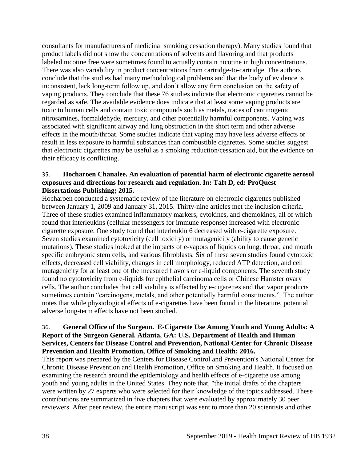consultants for manufacturers of medicinal smoking cessation therapy). Many studies found that product labels did not show the concentrations of solvents and flavoring and that products labeled nicotine free were sometimes found to actually contain nicotine in high concentrations. There was also variability in product concentrations from cartridge-to-cartridge. The authors conclude that the studies had many methodological problems and that the body of evidence is inconsistent, lack long-term follow up, and don't allow any firm conclusion on the safety of vaping products. They conclude that these 76 studies indicate that electronic cigarettes cannot be regarded as safe. The available evidence does indicate that at least some vaping products are toxic to human cells and contain toxic compounds such as metals, traces of carcinogenic nitrosamines, formaldehyde, mercury, and other potentially harmful components. Vaping was associated with significant airway and lung obstruction in the short term and other adverse effects in the mouth/throat. Some studies indicate that vaping may have less adverse effects or result in less exposure to harmful substances than combustible cigarettes. Some studies suggest that electronic cigarettes may be useful as a smoking reduction/cessation aid, but the evidence on their efficacy is conflicting.

### <span id="page-39-0"></span>35. **Hocharoen Chanalee. An evaluation of potential harm of electronic cigarette aerosol exposures and directions for research and regulation. In: Taft D, ed: ProQuest Dissertations Publishing; 2015.**

Hocharoen conducted a systematic review of the literature on electronic cigarettes published between January 1, 2009 and January 31, 2015. Thirty-nine articles met the inclusion criteria. Three of these studies examined inflammatory markers, cytokines, and chemokines, all of which found that interleukins (cellular messengers for immune response) increased with electronic cigarette exposure. One study found that interleukin 6 decreased with e-cigarette exposure. Seven studies examined cytotoxicity (cell toxicity) or mutagenicity (ability to cause genetic mutations). These studies looked at the impacts of e-vapors of liquids on lung, throat, and mouth specific embryonic stem cells, and various fibroblasts. Six of these seven studies found cytotoxic effects, decreased cell viability, changes in cell morphology, reduced ATP detection, and cell mutagenicity for at least one of the measured flavors or e-liquid components. The seventh study found no cytotoxicity from e-liquids for epithelial carcinoma cells or Chinese Hamster ovary cells. The author concludes that cell viability is affected by e-cigarettes and that vapor products sometimes contain "carcinogens, metals, and other potentially harmful constituents." The author notes that while physiological effects of e-cigarettes have been found in the literature, potential adverse long-term effects have not been studied.

# <span id="page-39-1"></span>36. **General Office of the Surgeon. E-Cigarette Use Among Youth and Young Adults: A Report of the Surgeon General. Atlanta, GA: U.S. Department of Health and Human Services, Centers for Disease Control and Prevention, National Center for Chronic Disease Prevention and Health Promotion, Office of Smoking and Health; 2016.**

This report was prepared by the Centers for Disease Control and Prevention's National Center for Chronic Disease Prevention and Health Promotion, Office on Smoking and Health. It focused on examining the research around the epidemiology and health effects of e-cigarette use among youth and young adults in the United States. They note that, "the initial drafts of the chapters were written by 27 experts who were selected for their knowledge of the topics addressed. These contributions are summarized in five chapters that were evaluated by approximately 30 peer reviewers. After peer review, the entire manuscript was sent to more than 20 scientists and other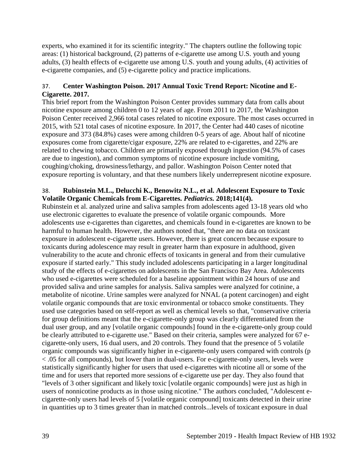experts, who examined it for its scientific integrity." The chapters outline the following topic areas: (1) historical background, (2) patterns of e-cigarette use among U.S. youth and young adults, (3) health effects of e-cigarette use among U.S. youth and young adults, (4) activities of e-cigarette companies, and (5) e-cigarette policy and practice implications.

# 37. **Center Washington Poison. 2017 Annual Toxic Trend Report: Nicotine and E-Cigarette. 2017.**

This brief report from the Washington Poison Center provides summary data from calls about nicotine exposure among children 0 to 12 years of age. From 2011 to 2017, the Washington Poison Center received 2,966 total cases related to nicotine exposure. The most cases occurred in 2015, with 521 total cases of nicotine exposure. In 2017, the Center had 440 cases of nicotine exposure and 373 (84.8%) cases were among children 0-5 years of age. About half of nicotine exposures come from cigarette/cigar exposure, 22% are related to e-cigarettes, and 22% are related to chewing tobacco. Children are primarily exposed through ingestion (94.5% of cases are due to ingestion), and common symptoms of nicotine exposure include vomiting, coughing/choking, drowsiness/lethargy, and pallor. Washington Poison Center noted that exposure reporting is voluntary, and that these numbers likely underrepresent nicotine exposure.

# 38. **Rubinstein M.L., Delucchi K., Benowitz N.L., et al. Adolescent Exposure to Toxic Volatile Organic Chemicals from E-Cigarettes.** *Pediatrics.* **2018;141(4).**

Rubinstein et al. analyzed urine and saliva samples from adolescents aged 13-18 years old who use electronic cigarettes to evaluate the presence of volatile organic compounds. More adolescents use e-cigarettes than cigarettes, and chemicals found in e-cigarettes are known to be harmful to human health. However, the authors noted that, "there are no data on toxicant exposure in adolescent e-cigarette users. However, there is great concern because exposure to toxicants during adolescence may result in greater harm than exposure in adulthood, given vulnerability to the acute and chronic effects of toxicants in general and from their cumulative exposure if started early." This study included adolescents participating in a larger longitudinal study of the effects of e-cigarettes on adolescents in the San Francisco Bay Area. Adolescents who used e-cigarettes were scheduled for a baseline appointment within 24 hours of use and provided saliva and urine samples for analysis. Saliva samples were analyzed for cotinine, a metabolite of nicotine. Urine samples were analyzed for NNAL (a potent carcinogen) and eight volatile organic compounds that are toxic environmental or tobacco smoke constituents. They used use categories based on self-report as well as chemical levels so that, "conservative criteria for group definitions meant that the e-cigarette-only group was clearly differentiated from the dual user group, and any [volatile organic compounds] found in the e-cigarette-only group could be clearly attributed to e-cigarette use." Based on their criteria, samples were analyzed for 67 ecigarette-only users, 16 dual users, and 20 controls. They found that the presence of 5 volatile organic compounds was significantly higher in e-cigarette-only users compared with controls (p < .05 for all compounds), but lower than in dual-users. For e-cigarette-only users, levels were statistically significantly higher for users that used e-cigarettes with nicotine all or some of the time and for users that reported more sessions of e-cigarette use per day. They also found that "levels of 3 other significant and likely toxic [volatile organic compounds] were just as high in users of nonnicotine products as in those using nicotine." The authors concluded, "Adolescent ecigarette-only users had levels of 5 [volatile organic compound] toxicants detected in their urine in quantities up to 3 times greater than in matched controls...levels of toxicant exposure in dual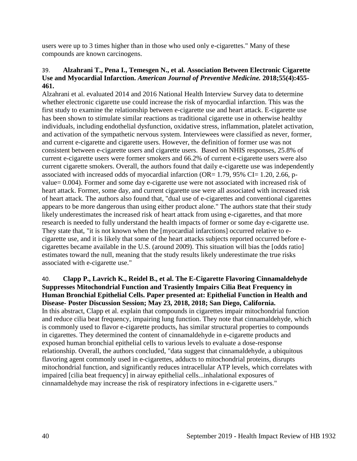users were up to 3 times higher than in those who used only e-cigarettes." Many of these compounds are known carcinogens.

# 39. **Alzahrani T., Pena I., Temesgen N., et al. Association Between Electronic Cigarette Use and Myocardial Infarction.** *American Journal of Preventive Medicine.* **2018;55(4):455- 461.**

Alzahrani et al. evaluated 2014 and 2016 National Health Interview Survey data to determine whether electronic cigarette use could increase the risk of myocardial infarction. This was the first study to examine the relationship between e-cigarette use and heart attack. E-cigarette use has been shown to stimulate similar reactions as traditional cigarette use in otherwise healthy individuals, including endothelial dysfunction, oxidative stress, inflammation, platelet activation, and activation of the sympathetic nervous system. Interviewees were classified as never, former, and current e-cigarette and cigarette users. However, the definition of former use was not consistent between e-cigarette users and cigarette users. Based on NHIS responses, 25.8% of current e-cigarette users were former smokers and 66.2% of current e-cigarette users were also current cigarette smokers. Overall, the authors found that daily e-cigarette use was independently associated with increased odds of myocardial infarction (OR= 1.79, 95% CI= 1.20, 2.66, pvalue= 0.004). Former and some day e-cigarette use were not associated with increased risk of heart attack. Former, some day, and current cigarette use were all associated with increased risk of heart attack. The authors also found that, "dual use of e-cigarettes and conventional cigarettes appears to be more dangerous than using either product alone." The authors state that their study likely underestimates the increased risk of heart attack from using e-cigarettes, and that more research is needed to fully understand the health impacts of former or some day e-cigarette use. They state that, "it is not known when the [myocardial infarctions] occurred relative to ecigarette use, and it is likely that some of the heart attacks subjects reported occurred before ecigarettes became available in the U.S. (around 2009). This situation will bias the [odds ratio] estimates toward the null, meaning that the study results likely underestimate the true risks associated with e-cigarette use."

### <span id="page-41-0"></span>40. **Clapp P., Lavrich K., Reidel B., et al. The E-Cigarette Flavoring Cinnamaldehyde Suppresses Mitochondrial Function and Trasiently Impairs Cilia Beat Frequency in Human Bronchial Epithelial Cells. Paper presented at: Epithelial Function in Health and Disease- Poster Discussion Session; May 23, 2018, 2018; San Diego, California.** In this abstract, Clapp et al. explain that compounds in cigarettes impair mitochondrial function and reduce cilia beat frequency, impairing lung function. They note that cinnamaldehyde, which is commonly used to flavor e-cigarette products, has similar structural properties to compounds in cigarettes. They determined the content of cinnamaldehyde in e-cigarette products and exposed human bronchial epithelial cells to various levels to evaluate a dose-response relationship. Overall, the authors concluded, "data suggest that cinnamaldehyde, a ubiquitous flavoring agent commonly used in e-cigarettes, adducts to mitochondrial proteins, disrupts mitochondrial function, and significantly reduces intracellular ATP levels, which correlates with impaired [cilia beat frequency] in airway epithelial cells...inhalational exposures of cinnamaldehyde may increase the risk of respiratory infections in e-cigarette users."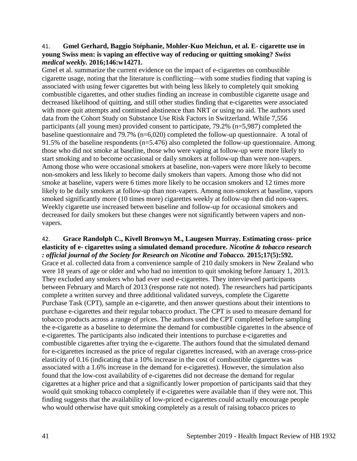#### 41. **Gmel Gerhard, Baggio Stéphanie, Mohler-Kuo Meichun, et al. E- cigarette use in young Swiss men: is vaping an effective way of reducing or quitting smoking?** *Swiss medical weekly.* **2016;146:w14271.**

Gmel et al. summarize the current evidence on the impact of e-cigarettes on combustible cigarette usage, noting that the literature is conflicting—with some studies finding that vaping is associated with using fewer cigarettes but with being less likely to completely quit smoking combustible cigarettes, and other studies finding an increase in combustible cigarette usage and decreased likelihood of quitting, and still other studies finding that e-cigarettes were associated with more quit attempts and continued abstinence than NRT or using no aid. The authors used data from the Cohort Study on Substance Use Risk Factors in Switzerland. While 7,556 participants (all young men) provided consent to participate, 79.2% (n=5,987) completed the baseline questionnaire and 79.7% (n=6,020) completed the follow-up questionnaire. A total of 91.5% of the baseline respondents (n=5.476) also completed the follow-up questionnaire. Among those who did not smoke at baseline, those who were vaping at follow-up were more likely to start smoking and to become occasional or daily smokers at follow-up than were non-vapers. Among those who were occasional smokers at baseline, non-vapers were more likely to become non-smokers and less likely to become daily smokers than vapers. Among those who did not smoke at baseline, vapers were 6 times more likely to be occasion smokers and 12 times more likely to be daily smokers at follow-up than non-vapers. Among non-smokers at baseline, vapors smoked significantly more (10 times more) cigarettes weekly at follow-up then did non-vapers. Weekly cigarette use increased between baseline and follow-up for occasional smokers and decreased for daily smokers but these changes were not significantly between vapers and nonvapers.

### 42. **Grace Randolph C., Kivell Bronwyn M., Laugesen Murray. Estimating cross- price elasticity of e- cigarettes using a simulated demand procedure.** *Nicotine & tobacco research : official journal of the Society for Research on Nicotine and Tobacco.* **2015;17(5):592.**

Grace et al. collected data from a convenience sample of 210 daily smokers in New Zealand who were 18 years of age or older and who had no intention to quit smoking before January 1, 2013. They excluded any smokers who had ever used e-cigarettes. They interviewed participants between February and March of 2013 (response rate not noted). The researchers had participants complete a written survey and three additional validated surveys, complete the Cigarette Purchase Task (CPT), sample an e-cigarette, and then answer questions about their intentions to purchase e-cigarettes and their regular tobacco product. The CPT is used to measure demand for tobacco products across a range of prices. The authors used the CPT completed before sampling the e-cigarette as a baseline to determine the demand for combustible cigarettes in the absence of e-cigarettes. The participants also indicated their intentions to purchase e-cigarettes and combustible cigarettes after trying the e-cigarette. The authors found that the simulated demand for e-cigarettes increased as the price of regular cigarettes increased, with an average cross-price elasticity of 0.16 (indicating that a 10% increase in the cost of combustible cigarettes was associated with a 1.6% increase in the demand for e-cigarettes). However, the simulation also found that the low-cost availability of e-cigarettes did not decrease the demand for regular cigarettes at a higher price and that a significantly lower proportion of participants said that they would quit smoking tobacco completely if e-cigarettes were available than if they were not. This finding suggests that the availability of low-priced e-cigarettes could actually encourage people who would otherwise have quit smoking completely as a result of raising tobacco prices to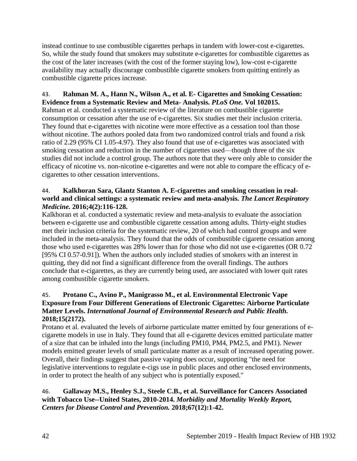instead continue to use combustible cigarettes perhaps in tandem with lower-cost e-cigarettes. So, while the study found that smokers may substitute e-cigarettes for combustible cigarettes as the cost of the later increases (with the cost of the former staying low), low-cost e-cigarette availability may actually discourage combustible cigarette smokers from quitting entirely as combustible cigarette prices increase.

### 43. **Rahman M. A., Hann N., Wilson A., et al. E- Cigarettes and Smoking Cessation: Evidence from a Systematic Review and Meta- Analysis.** *PLoS One.* **Vol 102015.**

Rahman et al. conducted a systematic review of the literature on combustible cigarette consumption or cessation after the use of e-cigarettes. Six studies met their inclusion criteria. They found that e-cigarettes with nicotine were more effective as a cessation tool than those without nicotine. The authors pooled data from two randomized control trials and found a risk ratio of 2.29 (95% CI 1.05-4.97). They also found that use of e-cigarettes was associated with smoking cessation and reduction in the number of cigarettes used—though three of the six studies did not include a control group. The authors note that they were only able to consider the efficacy of nicotine vs. non-nicotine e-cigarettes and were not able to compare the efficacy of ecigarettes to other cessation interventions.

### 44. **Kalkhoran Sara, Glantz Stanton A. E-cigarettes and smoking cessation in realworld and clinical settings: a systematic review and meta-analysis.** *The Lancet Respiratory Medicine.* **2016;4(2):116-128.**

Kalkhoran et al. conducted a systematic review and meta-analysis to evaluate the association between e-cigarette use and combustible cigarette cessation among adults. Thirty-eight studies met their inclusion criteria for the systematic review, 20 of which had control groups and were included in the meta-analysis. They found that the odds of combustible cigarette cessation among those who used e-cigarettes was 28% lower than for those who did not use e-cigarettes (OR 0.72 [95% CI 0.57-0.91]). When the authors only included studies of smokers with an interest in quitting, they did not find a significant difference from the overall findings. The authors conclude that e-cigarettes, as they are currently being used, are associated with lower quit rates among combustible cigarette smokers.

# <span id="page-43-0"></span>45. **Protano C., Avino P., Manigrasso M., et al. Environmental Electronic Vape Exposure from Four Different Generations of Electronic Cigarettes: Airborne Particulate Matter Levels.** *International Journal of Environmental Research and Public Health.*  **2018;15(2172).**

Protano et al. evaluated the levels of airborne particulate matter emitted by four generations of ecigarette models in use in Italy. They found that all e-cigarette devices emitted particulate matter of a size that can be inhaled into the lungs (including PM10, PM4, PM2.5, and PM1). Newer models emitted greater levels of small particulate matter as a result of increased operating power. Overall, their findings suggest that passive vaping does occur, supporting "the need for legislative interventions to regulate e-cigs use in public places and other enclosed environments, in order to protect the health of any subject who is potentially exposed."

# 46. **Gallaway M.S., Henley S.J., Steele C.B., et al. Surveillance for Cancers Associated with Tobacco Use--United States, 2010-2014.** *Morbidity and Mortality Weekly Report, Centers for Disease Control and Prevention.* **2018;67(12):1-42.**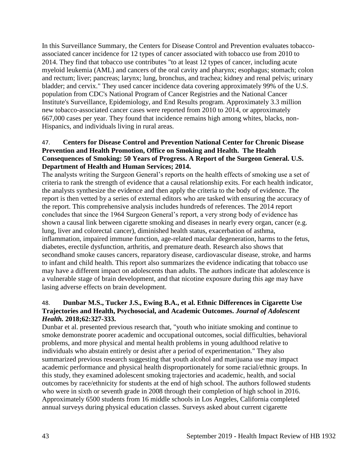In this Surveillance Summary, the Centers for Disease Control and Prevention evaluates tobaccoassociated cancer incidence for 12 types of cancer associated with tobacco use from 2010 to 2014. They find that tobacco use contributes "to at least 12 types of cancer, including acute myeloid leukemia (AML) and cancers of the oral cavity and pharynx; esophagus; stomach; colon and rectum; liver; pancreas; larynx; lung, bronchus, and trachea; kidney and renal pelvis; urinary bladder; and cervix." They used cancer incidence data covering approximately 99% of the U.S. population from CDC's National Program of Cancer Registries and the National Cancer Institute's Surveillance, Epidemiology, and End Results program. Approximately 3.3 million new tobacco-associated cancer cases were reported from 2010 to 2014, or approximately 667,000 cases per year. They found that incidence remains high among whites, blacks, non-Hispanics, and individuals living in rural areas.

### 47. **Centers for Disease Control and Prevention National Center for Chronic Disease Prevention and Health Promotion, Office on Smoking and Health. The Health Consequences of Smoking: 50 Years of Progress. A Report of the Surgeon General. U.S. Department of Health and Human Services; 2014.**

The analysts writing the Surgeon General's reports on the health effects of smoking use a set of criteria to rank the strength of evidence that a causal relationship exits. For each health indicator, the analysts synthesize the evidence and then apply the criteria to the body of evidence. The report is then vetted by a series of external editors who are tasked with ensuring the accuracy of the report. This comprehensive analysis includes hundreds of references. The 2014 report concludes that since the 1964 Surgeon General's report, a very strong body of evidence has shown a causal link between cigarette smoking and diseases in nearly every organ, cancer (e.g. lung, liver and colorectal cancer), diminished health status, exacerbation of asthma, inflammation, impaired immune function, age-related macular degeneration, harms to the fetus, diabetes, erectile dysfunction, arthritis, and premature death. Research also shows that secondhand smoke causes cancers, reparatory disease, cardiovascular disease, stroke, and harms to infant and child health. This report also summarizes the evidence indicating that tobacco use may have a different impact on adolescents than adults. The authors indicate that adolescence is a vulnerable stage of brain development, and that nicotine exposure during this age may have lasing adverse effects on brain development.

# 48. **Dunbar M.S., Tucker J.S., Ewing B.A., et al. Ethnic Differences in Cigarette Use Trajectories and Health, Psychosocial, and Academic Outcomes.** *Journal of Adolescent Health.* **2018;62:327-333.**

Dunbar et al. presented previous research that, "youth who initiate smoking and continue to smoke demonstrate poorer academic and occupational outcomes, social difficulties, behavioral problems, and more physical and mental health problems in young adulthood relative to individuals who abstain entirely or desist after a period of experimentation." They also summarized previous research suggesting that youth alcohol and marijuana use may impact academic performance and physical health disproportionately for some racial/ethnic groups. In this study, they examined adolescent smoking trajectories and academic, health, and social outcomes by race/ethnicity for students at the end of high school. The authors followed students who were in sixth or seventh grade in 2008 through their completion of high school in 2016. Approximately 6500 students from 16 middle schools in Los Angeles, California completed annual surveys during physical education classes. Surveys asked about current cigarette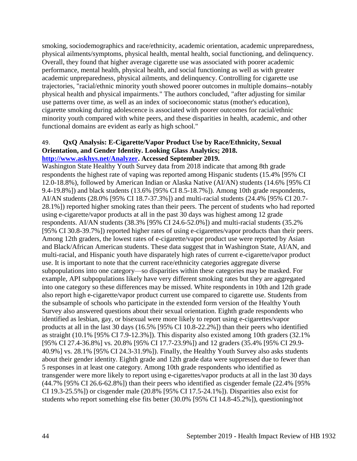smoking, sociodemographics and race/ethnicity, academic orientation, academic unpreparedness, physical ailments/symptoms, physical health, mental health, social functioning, and delinquency. Overall, they found that higher average cigarette use was associated with poorer academic performance, mental health, physical health, and social functioning as well as with greater academic unpreparedness, physical ailments, and delinquency. Controlling for cigarette use trajectories, "racial/ethnic minority youth showed poorer outcomes in multiple domains--notably physical health and physical impairments." The authors concluded, "after adjusting for similar use patterns over time, as well as an index of socioeconomic status (mother's education), cigarette smoking during adolescence is associated with poorer outcomes for racial/ethnic minority youth compared with white peers, and these disparities in health, academic, and other functional domains are evident as early as high school."

#### <span id="page-45-0"></span>49. **QxQ Analysis: E-Cigarette/Vapor Product Use by Race/Ethnicity, Sexual Orientation, and Gender Identity. Looking Glass Analytics; 2018. [http://www.askhys.net/Analyzer.](http://www.askhys.net/Analyzer) Accessed September 2019.**

Washington State Healthy Youth Survey data from 2018 indicate that among 8th grade respondents the highest rate of vaping was reported among Hispanic students (15.4% [95% CI 12.0-18.8%), followed by American Indian or Alaska Native (AI/AN) students (14.6% [95% CI 9.4-19.8%]) and black students (13.6% [95% CI 8.5-18.7%]). Among 10th grade respondents, AI/AN students (28.0% [95% CI 18.7-37.3%]) and multi-racial students (24.4% [95% CI 20.7- 28.1%]) reported higher smoking rates than their peers. The percent of students who had reported using e-cigarette/vapor products at all in the past 30 days was highest among 12 grade respondents. AI/AN students (38.3% [95% CI 24.6-52.0%]) and multi-racial students (35.2% [95% CI 30.8-39.7%]) reported higher rates of using e-cigarettes/vapor products than their peers. Among 12th graders, the lowest rates of e-cigarette/vapor product use were reported by Asian and Black/African American students. These data suggest that in Washington State, AI/AN, and multi-racial, and Hispanic youth have disparately high rates of current e-cigarette/vapor product use. It is important to note that the current race/ethnicity categories aggregate diverse subpopulations into one category—so disparities within these categories may be masked. For example, API subpopulations likely have very different smoking rates but they are aggregated into one category so these differences may be missed. White respondents in 10th and 12th grade also report high e-cigarette/vapor product current use compared to cigarette use. Students from the subsample of schools who participate in the extended form version of the Healthy Youth Survey also answered questions about their sexual orientation. Eighth grade respondents who identified as lesbian, gay, or bisexual were more likely to report using e-cigarettes/vapor products at all in the last 30 days (16.5% [95% CI 10.8-22.2%]) than their peers who identified as straight (10.1% [95% CI 7.9-12.3%]). This disparity also existed among 10th graders (32.1% [95% CI 27.4-36.8%] vs. 20.8% [95% CI 17.7-23.9%]) and 12 graders (35.4% [95% CI 29.9- 40.9%] vs. 28.1% [95% CI 24.3-31.9%]). Finally, the Healthy Youth Survey also asks students about their gender identity. Eighth grade and 12th grade data were suppressed due to fewer than 5 responses in at least one category. Among 10th grade respondents who identified as transgender were more likely to report using e-cigarettes/vapor products at all in the last 30 days (44.7% [95% CI 26.6-62.8%]) than their peers who identified as cisgender female (22.4% [95% CI 19.3-25.5%]) or cisgender male (20.8% [95% CI 17.5-24.1%]). Disparities also exist for students who report something else fits better (30.0% [95% CI 14.8-45.2%]), questioning/not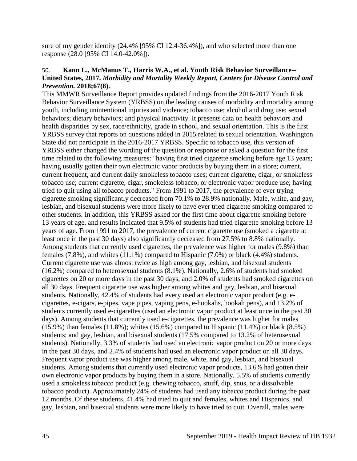sure of my gender identity (24.4% [95% CI 12.4-36.4%]), and who selected more than one response (28.0 [95% CI 14.0-42.0%]).

### <span id="page-46-0"></span>50. **Kann L., McManus T., Harris W.A., et al. Youth Risk Behavior Surveillance-- United States, 2017.** *Morbidity and Mortality Weekly Report, Centers for Disease Control and Prevention.* **2018;67(8).**

This MMWR Surveillance Report provides updated findings from the 2016-2017 Youth Risk Behavior Surveillance System (YRBSS) on the leading causes of morbidity and mortality among youth, including unintentional injuries and violence; tobacco use; alcohol and drug use; sexual behaviors; dietary behaviors; and physical inactivity. It presents data on health behaviors and health disparities by sex, race/ethnicity, grade in school, and sexual orientation. This is the first YRBSS survey that reports on questions added in 2015 related to sexual orientation. Washington State did not participate in the 2016-2017 YRBSS. Specific to tobacco use, this version of YRBSS either changed the wording of the question or response or asked a question for the first time related to the following measures: "having first tried cigarette smoking before age 13 years; having usually gotten their own electronic vapor products by buying them in a store; current, current frequent, and current daily smokeless tobacco uses; current cigarette, cigar, or smokeless tobacco use; current cigarette, cigar, smokeless tobacco, or electronic vapor produce use; having tried to quit using all tobacco products." From 1991 to 2017, the prevalence of ever trying cigarette smoking significantly decreased from 70.1% to 28.9% nationally. Male, white, and gay, lesbian, and bisexual students were more likely to have ever tried cigarette smoking compared to other students. In addition, this YRBSS asked for the first time about cigarette smoking before 13 years of age, and results indicated that 9.5% of students had tried cigarette smoking before 13 years of age. From 1991 to 2017, the prevalence of current cigarette use (smoked a cigarette at least once in the past 30 days) also significantly decreased from 27.5% to 8.8% nationally. Among students that currently used cigarettes, the prevalence was higher for males (9.8%) than females (7.8%), and whites (11.1%) compared to Hispanic (7.0%) or black (4.4%) students. Current cigarette use was almost twice as high among gay, lesbian, and bisexual students (16.2%) compared to heterosexual students (8.1%). Nationally, 2.6% of students had smoked cigarettes on 20 or more days in the past 30 days, and 2.0% of students had smoked cigarettes on all 30 days. Frequent cigarette use was higher among whites and gay, lesbian, and bisexual students. Nationally, 42.4% of students had every used an electronic vapor product (e.g. ecigarettes, e-cigars, e-pipes, vape pipes, vaping pens, e-hookahs, hookah pens), and 13.2% of students currently used e-cigarettes (used an electronic vapor product at least once in the past 30 days). Among students that currently used e-cigarettes, the prevalence was higher for males  $(15.9\%)$  than females  $(11.8\%)$ ; whites  $(15.6\%)$  compared to Hispanic  $(11.4\%)$  or black  $(8.5\%)$ students; and gay, lesbian, and bisexual students (17.5% compared to 13.2% of heterosexual students). Nationally, 3.3% of students had used an electronic vapor product on 20 or more days in the past 30 days, and 2.4% of students had used an electronic vapor product on all 30 days. Frequent vapor product use was higher among male, white, and gay, lesbian, and bisexual students. Among students that currently used electronic vapor products, 13.6% had gotten their own electronic vapor products by buying them in a store. Nationally, 5.5% of students currently used a smokeless tobacco product (e.g. chewing tobacco, snuff, dip, snus, or a dissolvable tobacco product). Approximately 24% of students had used any tobacco product during the past 12 months. Of these students, 41.4% had tried to quit and females, whites and Hispanics, and gay, lesbian, and bisexual students were more likely to have tried to quit. Overall, males were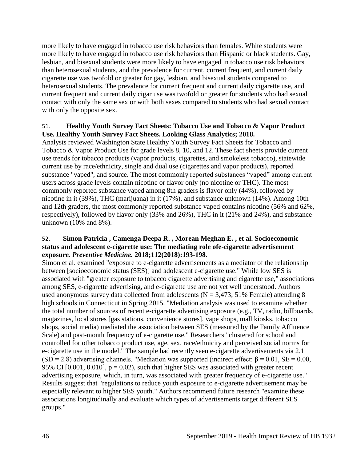more likely to have engaged in tobacco use risk behaviors than females. White students were more likely to have engaged in tobacco use risk behaviors than Hispanic or black students. Gay, lesbian, and bisexual students were more likely to have engaged in tobacco use risk behaviors than heterosexual students, and the prevalence for current, current frequent, and current daily cigarette use was twofold or greater for gay, lesbian, and bisexual students compared to heterosexual students. The prevalence for current frequent and current daily cigarette use, and current frequent and current daily cigar use was twofold or greater for students who had sexual contact with only the same sex or with both sexes compared to students who had sexual contact with only the opposite sex.

# 51. **Healthy Youth Survey Fact Sheets: Tobacco Use and Tobacco & Vapor Product Use. Healthy Youth Survey Fact Sheets. Looking Glass Analytics; 2018.**

Analysts reviewed Washington State Healthy Youth Survey Fact Sheets for Tobacco and Tobacco & Vapor Product Use for grade levels 8, 10, and 12. These fact sheets provide current use trends for tobacco products (vapor products, cigarettes, and smokeless tobacco), statewide current use by race/ethnicity, single and dual use (cigarettes and vapor products), reported substance "vaped", and source. The most commonly reported substances "vaped" among current users across grade levels contain nicotine or flavor only (no nicotine or THC). The most commonly reported substance vaped among 8th graders is flavor only (44%), followed by nicotine in it (39%), THC (marijuana) in it (17%), and substance unknown (14%). Among 10th and 12th graders, the most commonly reported substance vaped contains nicotine (56% and 62%, respectively), followed by flavor only (33% and 26%), THC in it (21% and 24%), and substance unknown (10% and 8%).

### <span id="page-47-0"></span>52. **Simon Patricia , Camenga Deepa R. , Morean Meghan E. , et al. Socioeconomic status and adolescent e-cigarette use: The mediating role ofe-cigarette advertisement exposure.** *Preventive Medicine.* **2018;112(2018):193-198.**

Simon et al. examined "exposure to e-cigarette advertisements as a mediator of the relationship between [socioeconomic status (SES)] and adolescent e-cigarette use." While low SES is associated with "greater exposure to tobacco cigarette advertising and cigarette use," associations among SES, e-cigarette advertising, and e-cigarette use are not yet well understood. Authors used anonymous survey data collected from adolescents ( $N = 3,473$ ; 51% Female) attending 8 high schools in Connecticut in Spring 2015. "Mediation analysis was used to examine whether the total number of sources of recent e-cigarette advertising exposure (e.g., TV, radio, billboards, magazines, local stores [gas stations, convenience stores], vape shops, mall kiosks, tobacco shops, social media) mediated the association between SES (measured by the Family Affluence Scale) and past-month frequency of e-cigarette use." Researchers "clustered for school and controlled for other tobacco product use, age, sex, race/ethnicity and perceived social norms for e-cigarette use in the model." The sample had recently seen e-cigarette advertisements via 2.1 (SD = 2.8) advertising channels. "Mediation was supported (indirect effect:  $\beta$  = 0.01, SE = 0.00, 95% CI [0.001, 0.010],  $p = 0.02$ ), such that higher SES was associated with greater recent advertising exposure, which, in turn, was associated with greater frequency of e-cigarette use." Results suggest that "regulations to reduce youth exposure to e-cigarette advertisement may be especially relevant to higher SES youth." Authors recommend future research "examine these associations longitudinally and evaluate which types of advertisements target different SES groups."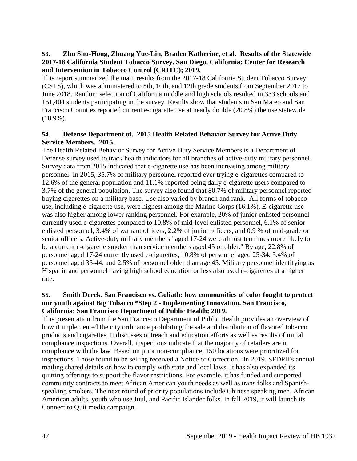### 53. **Zhu Shu-Hong, Zhuang Yue-Lin, Braden Katherine, et al. Results of the Statewide 2017-18 California Student Tobacco Survey. San Diego, California: Center for Research and Intervention in Tobacco Control (CRITC); 2019.**

This report summarized the main results from the 2017-18 California Student Tobacco Survey (CSTS), which was administered to 8th, 10th, and 12th grade students from September 2017 to June 2018. Random selection of California middle and high schools resulted in 333 schools and 151,404 students participating in the survey. Results show that students in San Mateo and San Francisco Counties reported current e-cigarette use at nearly double (20.8%) the use statewide (10.9%).

# 54. **Defense Department of. 2015 Health Related Behavior Survey for Active Duty Service Members. 2015.**

The Health Related Behavior Survey for Active Duty Service Members is a Department of Defense survey used to track health indicators for all branches of active-duty military personnel. Survey data from 2015 indicated that e-cigarette use has been increasing among military personnel. In 2015, 35.7% of military personnel reported ever trying e-cigarettes compared to 12.6% of the general population and 11.1% reported being daily e-cigarette users compared to 3.7% of the general population. The survey also found that 80.7% of military personnel reported buying cigarettes on a military base. Use also varied by branch and rank. All forms of tobacco use, including e-cigarette use, were highest among the Marine Corps (16.1%). E-cigarette use was also higher among lower ranking personnel. For example, 20% of junior enlisted personnel currently used e-cigarettes compared to 10.8% of mid-level enlisted personnel, 6.1% of senior enlisted personnel, 3.4% of warrant officers, 2.2% of junior officers, and 0.9 % of mid-grade or senior officers. Active-duty military members "aged 17-24 were almost ten times more likely to be a current e-cigarette smoker than service members aged 45 or older." By age, 22.8% of personnel aged 17-24 currently used e-cigarettes, 10.8% of personnel aged 25-34, 5.4% of personnel aged 35-44, and 2.5% of personnel older than age 45. Military personnel identifying as Hispanic and personnel having high school education or less also used e-cigarettes at a higher rate.

### 55. **Smith Derek. San Francisco vs. Goliath: how communities of color fought to protect our youth against Big Tobacco \*Step 2 - Implementing Innovation. San Francisco, California: San Francisco Department of Public Health; 2019.**

This presentation from the San Francisco Department of Public Health provides an overview of how it implemented the city ordinance prohibiting the sale and distribution of flavored tobacco products and cigarettes. It discusses outreach and education efforts as well as results of initial compliance inspections. Overall, inspections indicate that the majority of retailers are in compliance with the law. Based on prior non-compliance, 150 locations were prioritized for inspections. Those found to be selling received a Notice of Correction. In 2019, SFDPH's annual mailing shared details on how to comply with state and local laws. It has also expanded its quitting offerings to support the flavor restrictions. For example, it has funded and supported community contracts to meet African American youth needs as well as trans folks and Spanishspeaking smokers. The next round of priority populations include Chinese speaking men, African American adults, youth who use Juul, and Pacific Islander folks. In fall 2019, it will launch its Connect to Quit media campaign.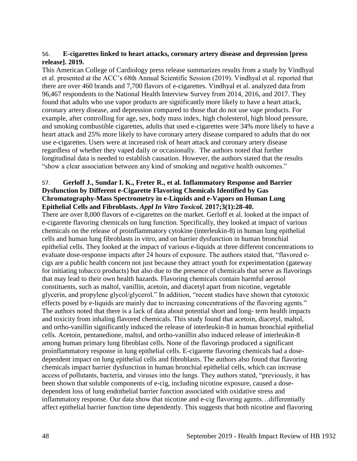### <span id="page-49-0"></span>56. **E-cigarettes linked to heart attacks, coronary artery disease and depression [press release]. 2019.**

This American College of Cardiology press release summarizes results from a study by Vindhyal et al. presented at the ACC's 68th Annual Scientific Session (2019). Vindhyal et al. reported that there are over 460 brands and 7,700 flavors of e-cigarettes. Vindhyal et al. analyzed data from 96,467 respondents to the National Health Interview Survey from 2014, 2016, and 2017. They found that adults who use vapor products are significantly more likely to have a heart attack, coronary artery disease, and depression compared to those that do not use vape products. For example, after controlling for age, sex, body mass index, high cholesterol, high blood pressure, and smoking combustible cigarettes, adults that used e-cigarettes were 34% more likely to have a heart attack and 25% more likely to have coronary artery disease compared to adults that do not use e-cigarettes. Users were at increased risk of heart attack and coronary artery disease regardless of whether they vaped daily or occasionally. The authors noted that further longitudinal data is needed to establish causation. However, the authors stated that the results "show a clear association between any kind of smoking and negative health outcomes."

# <span id="page-49-1"></span>57. **Gerloff J., Sundar I. K., Freter R., et al. Inflammatory Response and Barrier Dysfunction by Different e-Cigarette Flavoring Chemicals Identified by Gas Chromatography-Mass Spectrometry in e-Liquids and e-Vapors on Human Lung Epithelial Cells and Fibroblasts.** *Appl In Vitro Toxicol.* **2017;3(1):28-40.**

There are over 8,000 flavors of e-cigarettes on the market. Gerloff et al. looked at the impact of e-cigarette flavoring chemicals on lung function. Specifically, they looked at impact of various chemicals on the release of proinflammatory cytokine (interleukin-8) in human lung epithelial cells and human lung fibroblasts in vitro, and on barrier dysfunction in human bronchial epithelial cells. They looked at the impact of various e-liquids at three different concentrations to evaluate dose-response impacts after 24 hours of exposure. The authors stated that, "flavored ecigs are a public health concern not just because they attract youth for experimentation (gateway for initiating tobacco products) but also due to the presence of chemicals that serve as flavorings that may lead to their own health hazards. Flavoring chemicals contain harmful aerosol constituents, such as maltol, vanillin, acetoin, and diacetyl apart from nicotine, vegetable glycerin, and propylene glycol/glycerol." In addition, "recent studies have shown that cytotoxic effects posed by e-liquids are mainly due to increasing concentrations of the flavoring agents." The authors noted that there is a lack of data about potential short and long- term health impacts and toxicity from inhaling flavored chemicals. This study found that acetoin, diacetyl, maltol, and ortho-vanillin significantly induced the release of interleukin-8 in human bronchial epithelial cells. Acetoin, pentanedione, maltol, and ortho-vanillin also induced release of interleukin-8 among human primary lung fibroblast cells. None of the flavorings produced a significant proinflammatory response in lung epithelial cells. E-cigarette flavoring chemicals had a dosedependent impact on lung epithelial cells and fibroblasts. The authors also found that flavoring chemicals impact barrier dysfunction in human bronchial epithelial cells, which can increase access of pollutants, bacteria, and viruses into the lungs. They authors stated, "previously, it has been shown that soluble components of e-cig, including nicotine exposure, caused a dosedependent loss of lung endothelial barrier function associated with oxidative stress and inflammatory response. Our data show that nicotine and e-cig flavoring agents…differentially affect epithelial barrier function time dependently. This suggests that both nicotine and flavoring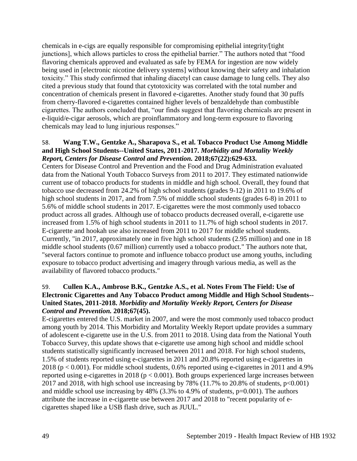chemicals in e-cigs are equally responsible for compromising epithelial integrity/[tight junctions], which allows particles to cross the epithelial barrier." The authors noted that "food flavoring chemicals approved and evaluated as safe by FEMA for ingestion are now widely being used in [electronic nicotine delivery systems] without knowing their safety and inhalation toxicity." This study confirmed that inhaling diacetyl can cause damage to lung cells. They also cited a previous study that found that cytotoxicity was correlated with the total number and concentration of chemicals present in flavored e-cigarettes. Another study found that 30 puffs from cherry-flavored e-cigarettes contained higher levels of benzaldehyde than combustible cigarettes. The authors concluded that, "our finds suggest that flavoring chemicals are present in e-liquid/e-cigar aerosols, which are proinflammatory and long-term exposure to flavoring chemicals may lead to lung injurious responses."

### <span id="page-50-0"></span>58. **Wang T.W., Gentzke A., Sharapova S., et al. Tobacco Product Use Among Middle and High School Students--United States, 2011-2017.** *Morbidity and Mortality Weekly Report, Centers for Disease Control and Prevention.* **2018;67(22):629-633.**

Centers for Disease Control and Prevention and the Food and Drug Administration evaluated data from the National Youth Tobacco Surveys from 2011 to 2017. They estimated nationwide current use of tobacco products for students in middle and high school. Overall, they found that tobacco use decreased from 24.2% of high school students (grades 9-12) in 2011 to 19.6% of high school students in 2017, and from 7.5% of middle school students (grades 6-8) in 2011 to 5.6% of middle school students in 2017. E-cigarettes were the most commonly used tobacco product across all grades. Although use of tobacco products decreased overall, e-cigarette use increased from 1.5% of high school students in 2011 to 11.7% of high school students in 2017. E-cigarette and hookah use also increased from 2011 to 2017 for middle school students. Currently, "in 2017, approximately one in five high school students (2.95 million) and one in 18 middle school students (0.67 million) currently used a tobacco product." The authors note that, "several factors continue to promote and influence tobacco product use among youths, including exposure to tobacco product advertising and imagery through various media, as well as the availability of flavored tobacco products."

# <span id="page-50-1"></span>59. **Cullen K.A., Ambrose B.K., Gentzke A.S., et al. Notes From The Field: Use of Electronic Cigarettes and Any Tobacco Product among Middle and High School Students-- United States, 2011-2018.** *Morbidity and Mortality Weekly Report, Centers for Disease Control and Prevention.* **2018;67(45).**

E-cigarettes entered the U.S. market in 2007, and were the most commonly used tobacco product among youth by 2014. This Morbidity and Mortality Weekly Report update provides a summary of adolescent e-cigarette use in the U.S. from 2011 to 2018. Using data from the National Youth Tobacco Survey, this update shows that e-cigarette use among high school and middle school students statistically significantly increased between 2011 and 2018. For high school students, 1.5% of students reported using e-cigarettes in 2011 and 20.8% reported using e-cigarettes in 2018 ( $p < 0.001$ ). For middle school students, 0.6% reported using e-cigarettes in 2011 and 4.9% reported using e-cigarettes in 2018 ( $p < 0.001$ ). Both groups experienced large increases between 2017 and 2018, with high school use increasing by 78% (11.7% to 20.8% of students,  $p<0.001$ ) and middle school use increasing by 48%  $(3.3\%$  to 4.9% of students, p=0.001). The authors attribute the increase in e-cigarette use between 2017 and 2018 to "recent popularity of ecigarettes shaped like a USB flash drive, such as JUUL."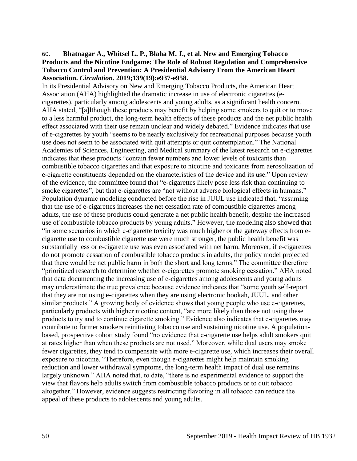#### <span id="page-51-0"></span>60. **Bhatnagar A., Whitsel L. P., Blaha M. J., et al. New and Emerging Tobacco Products and the Nicotine Endgame: The Role of Robust Regulation and Comprehensive Tobacco Control and Prevention: A Presidential Advisory From the American Heart Association.** *Circulation.* **2019;139(19):e937-e958.**

In its Presidential Advisory on New and Emerging Tobacco Products, the American Heart Association (AHA) highlighted the dramatic increase in use of electronic cigarettes (ecigarettes), particularly among adolescents and young adults, as a significant health concern. AHA stated, "[a]lthough these products may benefit by helping some smokers to quit or to move to a less harmful product, the long-term health effects of these products and the net public health effect associated with their use remain unclear and widely debated." Evidence indicates that use of e-cigarettes by youth "seems to be nearly exclusively for recreational purposes because youth use does not seem to be associated with quit attempts or quit contemplation." The National Academies of Sciences, Engineering, and Medical summary of the latest research on e-cigarettes indicates that these products "contain fewer numbers and lower levels of toxicants than combustible tobacco cigarettes and that exposure to nicotine and toxicants from aerosolization of e-cigarette constituents depended on the characteristics of the device and its use." Upon review of the evidence, the committee found that "e-cigarettes likely pose less risk than continuing to smoke cigarettes", but that e-cigarettes are "not without adverse biological effects in humans." Population dynamic modeling conducted before the rise in JUUL use indicated that, "assuming that the use of e-cigarettes increases the net cessation rate of combustible cigarettes among adults, the use of these products could generate a net public health benefit, despite the increased use of combustible tobacco products by young adults." However, the modeling also showed that "in some scenarios in which e-cigarette toxicity was much higher or the gateway effects from ecigarette use to combustible cigarette use were much stronger, the public health benefit was substantially less or e-cigarette use was even associated with net harm. Moreover, if e-cigarettes do not promote cessation of combustible tobacco products in adults, the policy model projected that there would be net public harm in both the short and long terms." The committee therefore "prioritized research to determine whether e-cigarettes promote smoking cessation." AHA noted that data documenting the increasing use of e-cigarettes among adolescents and young adults may underestimate the true prevalence because evidence indicates that "some youth self-report that they are not using e-cigarettes when they are using electronic hookah, JUUL, and other similar products." A growing body of evidence shows that young people who use e-cigarettes, particularly products with higher nicotine content, "are more likely than those not using these products to try and to continue cigarette smoking." Evidence also indicates that e-cigarettes may contribute to former smokers reinitiating tobacco use and sustaining nicotine use. A populationbased, prospective cohort study found "no evidence that e-cigarette use helps adult smokers quit at rates higher than when these products are not used." Moreover, while dual users may smoke fewer cigarettes, they tend to compensate with more e-cigarette use, which increases their overall exposure to nicotine. "Therefore, even though e-cigarettes might help maintain smoking reduction and lower withdrawal symptoms, the long-term health impact of dual use remains largely unknown." AHA noted that, to date, "there is no experimental evidence to support the view that flavors help adults switch from combustible tobacco products or to quit tobacco altogether." However, evidence suggests restricting flavoring in all tobacco can reduce the appeal of these products to adolescents and young adults.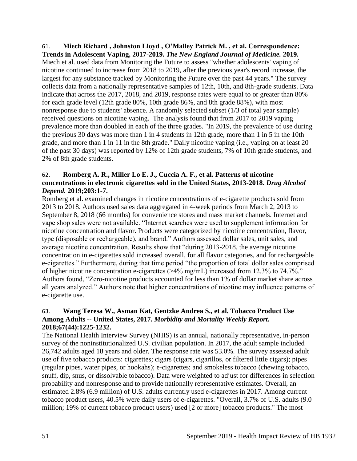#### 61. **Miech Richard , Johnston Lloyd , O'Malley Patrick M. , et al. Correspondence: Trends in Adolescent Vaping, 2017-2019.** *The New England Journal of Medicine.* **2019.**

Miech et al. used data from Monitoring the Future to assess "whether adolescents' vaping of nicotine continued to increase from 2018 to 2019, after the previous year's record increase, the largest for any substance tracked by Monitoring the Future over the past 44 years." The survey collects data from a nationally representative samples of 12th, 10th, and 8th-grade students. Data indicate that across the 2017, 2018, and 2019, response rates were equal to or greater than 80% for each grade level (12th grade 80%, 10th grade 86%, and 8th grade 88%), with most nonresponse due to students' absence. A randomly selected subset (1/3 of total year sample) received questions on nicotine vaping. The analysis found that from 2017 to 2019 vaping prevalence more than doubled in each of the three grades. "In 2019, the prevalence of use during the previous 30 days was more than 1 in 4 students in 12th grade, more than 1 in 5 in the 10th grade, and more than 1 in 11 in the 8th grade." Daily nicotine vaping (i.e., vaping on at least 20 of the past 30 days) was reported by 12% of 12th grade students, 7% of 10th grade students, and 2% of 8th grade students.

### 62. **Romberg A. R., Miller Lo E. J., Cuccia A. F., et al. Patterns of nicotine concentrations in electronic cigarettes sold in the United States, 2013-2018.** *Drug Alcohol Depend.* **2019;203:1-7.**

Romberg et al. examined changes in nicotine concentrations of e-cigarette products sold from 2013 to 2018. Authors used sales data aggregated in 4-week periods from March 2, 2013 to September 8, 2018 (66 months) for convenience stores and mass market channels. Internet and vape shop sales were not available. "Internet searches were used to supplement information for nicotine concentration and flavor. Products were categorized by nicotine concentration, flavor, type (disposable or rechargeable), and brand." Authors assessed dollar sales, unit sales, and average nicotine concentration. Results show that "during 2013-2018, the average nicotine concentration in e-cigarettes sold increased overall, for all flavor categories, and for rechargeable e-cigarettes." Furthermore, during that time period "the proportion of total dollar sales comprised of higher nicotine concentration e-cigarettes (>4% mg/mL) increased from 12.3% to 74.7%." Authors found, "Zero-nicotine products accounted for less than 1% of dollar market share across all years analyzed." Authors note that higher concentrations of nicotine may influence patterns of e-cigarette use.

# 63. **Wang Teresa W., Asman Kat, Gentzke Andrea S., et al. Tobacco Product Use Among Adults -- United States, 2017.** *Morbidity and Mortality Weekly Report.*  **2018;67(44):1225-1232.**

The National Health Interview Survey (NHIS) is an annual, nationally representative, in-person survey of the noninstitutionalized U.S. civilian population. In 2017, the adult sample included 26,742 adults aged 18 years and older. The response rate was 53.0%. The survey assessed adult use of five tobacco products: cigarettes; cigars (cigars, cigarillos, or filtered little cigars); pipes (regular pipes, water pipes, or hookahs); e-cigarettes; and smokeless tobacco (chewing tobacco, snuff, dip, snus, or dissolvable tobacco). Data were weighted to adjust for differences in selection probability and nonresponse and to provide nationally representative estimates. Overall, an estimated 2.8% (6.9 million) of U.S. adults currently used e-cigarettes in 2017. Among current tobacco product users, 40.5% were daily users of e-cigarettes. "Overall, 3.7% of U.S. adults (9.0 million; 19% of current tobacco product users) used [2 or more] tobacco products." The most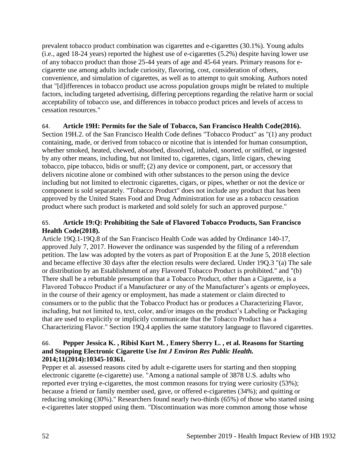prevalent tobacco product combination was cigarettes and e-cigarettes (30.1%). Young adults (i.e., aged 18-24 years) reported the highest use of e-cigarettes (5.2%) despite having lower use of any tobacco product than those 25-44 years of age and 45-64 years. Primary reasons for ecigarette use among adults include curiosity, flavoring, cost, consideration of others, convenience, and simulation of cigarettes, as well as to attempt to quit smoking. Authors noted that "[d]ifferences in tobacco product use across population groups might be related to multiple factors, including targeted advertising, differing perceptions regarding the relative harm or social acceptability of tobacco use, and differences in tobacco product prices and levels of access to cessation resources."

# <span id="page-53-0"></span>64. **Article 19H: Permits for the Sale of Tobacco, San Francisco Health Code(2016).**

Section 19H.2. of the San Francisco Health Code defines "Tobacco Product" as "(1) any product containing, made, or derived from tobacco or nicotine that is intended for human consumption, whether smoked, heated, chewed, absorbed, dissolved, inhaled, snorted, or sniffed, or ingested by any other means, including, but not limited to, cigarettes, cigars, little cigars, chewing tobacco, pipe tobacco, bidis or snuff; (2) any device or component, part, or accessory that delivers nicotine alone or combined with other substances to the person using the device including but not limited to electronic cigarettes, cigars, or pipes, whether or not the device or component is sold separately. "Tobacco Product" does not include any product that has been approved by the United States Food and Drug Administration for use as a tobacco cessation product where such product is marketed and sold solely for such an approved purpose."

# <span id="page-53-1"></span>65. **Article 19:Q: Prohibiting the Sale of Flavored Tobacco Products, San Francisco Health Code(2018).**

Article 19Q.1-19Q.8 of the San Francisco Health Code was added by Ordinance 140-17, approved July 7, 2017. However the ordinance was suspended by the filing of a referendum petition. The law was adopted by the voters as part of Proposition E at the June 5, 2018 election and became effective 30 days after the election results were declared. Under 19Q.3 "(a) The sale or distribution by an Establishment of any Flavored Tobacco Product is prohibited." and "(b) There shall be a rebuttable presumption that a Tobacco Product, other than a Cigarette, is a Flavored Tobacco Product if a Manufacturer or any of the Manufacturer's agents or employees, in the course of their agency or employment, has made a statement or claim directed to consumers or to the public that the Tobacco Product has or produces a Characterizing Flavor, including, but not limited to, text, color, and/or images on the product's Labeling or Packaging that are used to explicitly or implicitly communicate that the Tobacco Product has a Characterizing Flavor." Section 19Q.4 applies the same statutory language to flavored cigarettes.

### 66. **Pepper Jessica K. , Ribisl Kurt M. , Emery Sherry L. , et al. Reasons for Starting and Stopping Electronic Cigarette Use** *Int J Environ Res Public Health.*  **2014;11(2014):10345-10361.**

Pepper et al. assessed reasons cited by adult e-cigarette users for starting and then stopping electronic cigarette (e-cigarette) use. "Among a national sample of 3878 U.S. adults who reported ever trying e-cigarettes, the most common reasons for trying were curiosity (53%); because a friend or family member used, gave, or offered e-cigarettes (34%); and quitting or reducing smoking (30%)." Researchers found nearly two-thirds (65%) of those who started using e-cigarettes later stopped using them. "Discontinuation was more common among those whose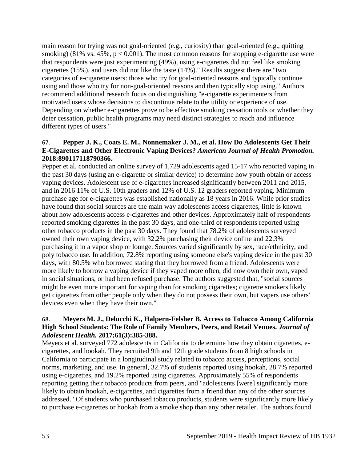main reason for trying was not goal-oriented (e.g., curiosity) than goal-oriented (e.g., quitting smoking) (81% vs. 45%,  $p < 0.001$ ). The most common reasons for stopping e-cigarette use were that respondents were just experimenting (49%), using e-cigarettes did not feel like smoking cigarettes (15%), and users did not like the taste (14%)." Results suggest there are "two categories of e-cigarette users: those who try for goal-oriented reasons and typically continue using and those who try for non-goal-oriented reasons and then typically stop using." Authors recommend additional research focus on distinguishing "e-cigarette experimenters from motivated users whose decisions to discontinue relate to the utility or experience of use. Depending on whether e-cigarettes prove to be effective smoking cessation tools or whether they deter cessation, public health programs may need distinct strategies to reach and influence different types of users."

### 67. **Pepper J. K., Coats E. M., Nonnemaker J. M., et al. How Do Adolescents Get Their E-Cigarettes and Other Electronic Vaping Devices?** *American Journal of Health Promotion.*  **2018:890117118790366.**

Pepper et al. conducted an online survey of 1,729 adolescents aged 15-17 who reported vaping in the past 30 days (using an e-cigarette or similar device) to determine how youth obtain or access vaping devices. Adolescent use of e-cigarettes increased significantly between 2011 and 2015, and in 2016 11% of U.S. 10th graders and 12% of U.S. 12 graders reported vaping. Minimum purchase age for e-cigarettes was established nationally as 18 years in 2016. While prior studies have found that social sources are the main way adolescents access cigarettes, little is known about how adolescents access e-cigarettes and other devices. Approximately half of respondents reported smoking cigarettes in the past 30 days, and one-third of respondents reported using other tobacco products in the past 30 days. They found that 78.2% of adolescents surveyed owned their own vaping device, with 32.2% purchasing their device online and 22.3% purchasing it in a vapor shop or lounge. Sources varied significantly by sex, race/ethnicity, and poly tobacco use. In addition, 72.8% reporting using someone else's vaping device in the past 30 days, with 80.5% who borrowed stating that they borrowed from a friend. Adolescents were more likely to borrow a vaping device if they vaped more often, did now own their own, vaped in social situations, or had been refused purchase. The authors suggested that, "social sources might be even more important for vaping than for smoking cigarettes; cigarette smokers likely get cigarettes from other people only when they do not possess their own, but vapers use others' devices even when they have their own."

### 68. **Meyers M. J., Delucchi K., Halpern-Felsher B. Access to Tobacco Among California High School Students: The Role of Family Members, Peers, and Retail Venues.** *Journal of Adolescent Health.* **2017;61(3):385-388.**

Meyers et al. surveyed 772 adolescents in California to determine how they obtain cigarettes, ecigarettes, and hookah. They recruited 9th and 12th grade students from 8 high schools in California to participate in a longitudinal study related to tobacco access, perceptions, social norms, marketing, and use. In general, 32.7% of students reported using hookah, 28.7% reported using e-cigarettes, and 19.2% reported using cigarettes. Approximately 55% of respondents reporting getting their tobacco products from peers, and "adolescents [were] significantly more likely to obtain hookah, e-cigarettes, and cigarettes from a friend than any of the other sources addressed." Of students who purchased tobacco products, students were significantly more likely to purchase e-cigarettes or hookah from a smoke shop than any other retailer. The authors found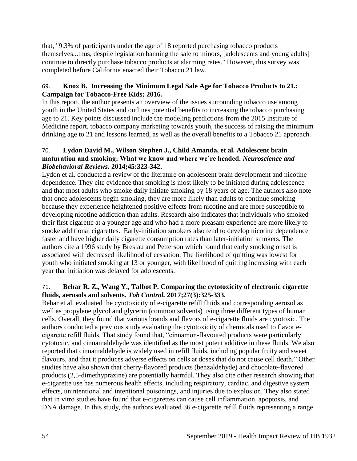that, "9.3% of participants under the age of 18 reported purchasing tobacco products themselves...thus, despite legislation banning the sale to minors, [adolescents and young adults] continue to directly purchase tobacco products at alarming rates." However, this survey was completed before California enacted their Tobacco 21 law.

# 69. **Knox B. Increasing the Minimum Legal Sale Age for Tobacco Products to 21.: Campaign for Tobacco-Free Kids; 2016.**

In this report, the author presents an overview of the issues surrounding tobacco use among youth in the United States and outlines potential benefits to increasing the tobacco purchasing age to 21. Key points discussed include the modeling predictions from the 2015 Institute of Medicine report, tobacco company marketing towards youth, the success of raising the minimum drinking age to 21 and lessons learned, as well as the overall benefits to a Tobacco 21 approach.

# <span id="page-55-0"></span>70. **Lydon David M., Wilson Stephen J., Child Amanda, et al. Adolescent brain maturation and smoking: What we know and where we're headed.** *Neuroscience and Biobehavioral Reviews.* **2014;45:323-342.**

Lydon et al. conducted a review of the literature on adolescent brain development and nicotine dependence. They cite evidence that smoking is most likely to be initiated during adolescence and that most adults who smoke daily initiate smoking by 18 years of age. The authors also note that once adolescents begin smoking, they are more likely than adults to continue smoking because they experience heightened positive effects from nicotine and are more susceptible to developing nicotine addiction than adults. Research also indicates that individuals who smoked their first cigarette at a younger age and who had a more pleasant experience are more likely to smoke additional cigarettes. Early-initiation smokers also tend to develop nicotine dependence faster and have higher daily cigarette consumption rates than later-initiation smokers. The authors cite a 1996 study by Breslau and Petterson which found that early smoking onset is associated with decreased likelihood of cessation. The likelihood of quitting was lowest for youth who initiated smoking at 13 or younger, with likelihood of quitting increasing with each year that initiation was delayed for adolescents.

# <span id="page-55-1"></span>71. **Behar R. Z., Wang Y., Talbot P. Comparing the cytotoxicity of electronic cigarette fluids, aerosols and solvents.** *Tob Control.* **2017;27(3):325-333.**

Behar et al. evaluated the cytotoxicity of e-cigarette refill fluids and corresponding aerosol as well as propylene glycol and glycerin (common solvents) using three different types of human cells. Overall, they found that various brands and flavors of e-cigarette fluids are cytotoxic. The authors conducted a previous study evaluating the cytotoxicity of chemicals used to flavor ecigarette refill fluids. That study found that, "cinnamon-flavoured products were particularly cytotoxic, and cinnamaldehyde was identified as the most potent additive in these fluids. We also reported that cinnamaldehyde is widely used in refill fluids, including popular fruity and sweet flavours, and that it produces adverse effects on cells at doses that do not cause cell death." Other studies have also shown that cherry-flavored products (benzaldehyde) and chocolate-flavored products (2,5-dimethyprazine) are potentially harmful. They also cite other research showing that e-cigarette use has numerous health effects, including respiratory, cardiac, and digestive system effects, unintentional and intentional poisonings, and injuries due to explosion. They also stated that in vitro studies have found that e-cigarettes can cause cell inflammation, apoptosis, and DNA damage. In this study, the authors evaluated 36 e-cigarette refill fluids representing a range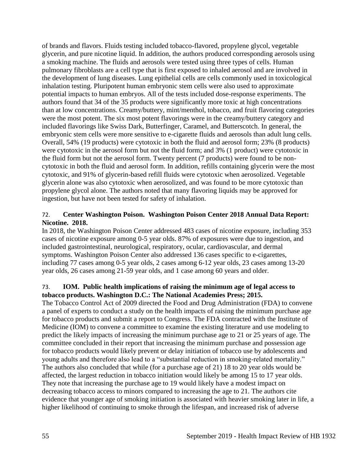of brands and flavors. Fluids testing included tobacco-flavored, propylene glycol, vegetable glycerin, and pure nicotine liquid. In addition, the authors produced corresponding aerosols using a smoking machine. The fluids and aerosols were tested using three types of cells. Human pulmonary fibroblasts are a cell type that is first exposed to inhaled aerosol and are involved in the development of lung diseases. Lung epithelial cells are cells commonly used in toxicological inhalation testing. Pluripotent human embryonic stem cells were also used to approximate potential impacts to human embryos. All of the tests included dose-response experiments. The authors found that 34 of the 35 products were significantly more toxic at high concentrations than at low concentrations. Creamy/buttery, mint/menthol, tobacco, and fruit flavoring categories were the most potent. The six most potent flavorings were in the creamy/buttery category and included flavorings like Swiss Dark, Butterfinger, Caramel, and Butterscotch. In general, the embryonic stem cells were more sensitive to e-cigarette fluids and aerosols than adult lung cells. Overall, 54% (19 products) were cytotoxic in both the fluid and aerosol form; 23% (8 products) were cytotoxic in the aerosol form but not the fluid form; and 3% (1 product) were cytotoxic in the fluid form but not the aerosol form. Twenty percent (7 products) were found to be noncytotoxic in both the fluid and aerosol form. In addition, refills containing glycerin were the most cytotoxic, and 91% of glycerin-based refill fluids were cytotoxic when aerosolized. Vegetable glycerin alone was also cytotoxic when aerosolized, and was found to be more cytotoxic than propylene glycol alone. The authors noted that many flavoring liquids may be approved for ingestion, but have not been tested for safety of inhalation.

# 72. **Center Washington Poison. Washington Poison Center 2018 Annual Data Report: Nicotine. 2018.**

In 2018, the Washington Poison Center addressed 483 cases of nicotine exposure, including 353 cases of nicotine exposure among 0-5 year olds. 87% of exposures were due to ingestion, and included gastrointestinal, neurological, respiratory, ocular, cardiovascular, and dermal symptoms. Washington Poison Center also addressed 136 cases specific to e-cigarettes, including 77 cases among 0-5 year olds, 2 cases among 6-12 year olds, 23 cases among 13-20 year olds, 26 cases among 21-59 year olds, and 1 case among 60 years and older.

# <span id="page-56-0"></span>73. **IOM. Public health implications of raising the minimum age of legal access to tobacco products. Washington D.C.: The National Academies Press; 2015.**

The Tobacco Control Act of 2009 directed the Food and Drug Administration (FDA) to convene a panel of experts to conduct a study on the health impacts of raising the minimum purchase age for tobacco products and submit a report to Congress. The FDA contracted with the Institute of Medicine (IOM) to convene a committee to examine the existing literature and use modeling to predict the likely impacts of increasing the minimum purchase age to 21 or 25 years of age. The committee concluded in their report that increasing the minimum purchase and possession age for tobacco products would likely prevent or delay initiation of tobacco use by adolescents and young adults and therefore also lead to a "substantial reduction in smoking-related mortality." The authors also concluded that while (for a purchase age of 21) 18 to 20 year olds would be affected, the largest reduction in tobacco initiation would likely be among 15 to 17 year olds. They note that increasing the purchase age to 19 would likely have a modest impact on decreasing tobacco access to minors compared to increasing the age to 21. The authors cite evidence that younger age of smoking initiation is associated with heavier smoking later in life, a higher likelihood of continuing to smoke through the lifespan, and increased risk of adverse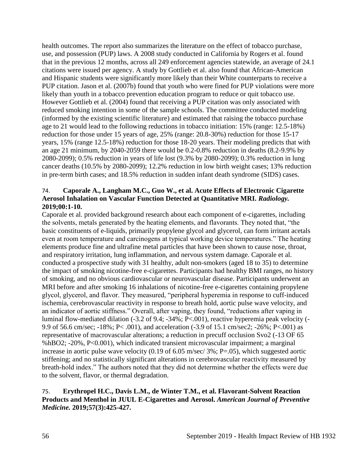health outcomes. The report also summarizes the literature on the effect of tobacco purchase, use, and possession (PUP) laws. A 2008 study conducted in California by Rogers et al. found that in the previous 12 months, across all 249 enforcement agencies statewide, an average of 24.1 citations were issued per agency. A study by Gottlieb et al. also found that African-American and Hispanic students were significantly more likely than their White counterparts to receive a PUP citation. Jason et al. (2007b) found that youth who were fined for PUP violations were more likely than youth in a tobacco prevention education program to reduce or quit tobacco use. However Gottlieb et al. (2004) found that receiving a PUP citation was only associated with reduced smoking intention in some of the sample schools. The committee conducted modeling (informed by the existing scientific literature) and estimated that raising the tobacco purchase age to 21 would lead to the following reductions in tobacco initiation: 15% (range: 12.5-18%) reduction for those under 15 years of age, 25% (range: 20.8-30%) reduction for those 15-17 years, 15% (range 12.5-18%) reduction for those 18-20 years. Their modeling predicts that with an age 21 minimum, by 2040-2059 there would be 0.2-0.8% reduction in deaths (8.2-9.9% by 2080-2099); 0.5% reduction in years of life lost (9.3% by 2080-2099); 0.3% reduction in lung cancer deaths (10.5% by 2080-2099); 12.2% reduction in low birth weight cases; 13% reduction in pre-term birth cases; and 18.5% reduction in sudden infant death syndrome (SIDS) cases.

### <span id="page-57-0"></span>74. **Caporale A., Langham M.C., Guo W., et al. Acute Effects of Electronic Cigarette Aerosol Inhalation on Vascular Function Detected at Quantitative MRI.** *Radiology.*  **2019;00:1-10.**

Caporale et al. provided background research about each component of e-cigarettes, including the solvents, metals generated by the heating elements, and flavorants. They noted that, "the basic constituents of e-liquids, primarily propylene glycol and glycerol, can form irritant acetals even at room temperature and carcinogens at typical working device temperatures." The heating elements produce fine and ultrafine metal particles that have been shown to cause nose, throat, and respiratory irritation, lung inflammation, and nervous system damage. Caporale et al. conducted a prospective study with 31 healthy, adult non-smokers (aged 18 to 35) to determine the impact of smoking nicotine-free e-cigarettes. Participants had healthy BMI ranges, no history of smoking, and no obvious cardiovascular or neurovascular disease. Participants underwent an MRI before and after smoking 16 inhalations of nicotine-free e-cigarettes containing propylene glycol, glycerol, and flavor. They measured, "peripheral hyperemia in response to cuff-induced ischemia, cerebrovascular reactivity in response to breath hold, aortic pulse wave velocity, and an indicator of aortic stiffness." Overall, after vaping, they found, "reductions after vaping in luminal flow-mediated dilation (-3.2 of 9.4; -34%; P<.001), reactive hyperemia peak velocity (- 9.9 of 56.6 cm/sec; -18%; P< .001), and acceleration (-3.9 of 15.1 cm/sec2; -26%; P<.001) as representative of macrovascular alterations; a reduction in precuff occlusion Svo2 (-13 OF 65 %hBO2; -20%, P<0.001), which indicated transient microvascular impairment; a marginal increase in aortic pulse wave velocity (0.19 of 6.05 m/sec/ 3%; P=.05), which suggested aortic stiffening; and no statistically significant alterations in cerebrovascular reactivity measured by breath-hold index." The authors noted that they did not determine whether the effects were due to the solvent, flavor, or thermal degradation.

# <span id="page-57-1"></span>75. **Erythropel H.C., Davis L.M., de Winter T.M., et al. Flavorant-Solvent Reaction Products and Menthol in JUUL E-Cigarettes and Aerosol.** *American Journal of Preventive Medicine.* **2019;57(3):425-427.**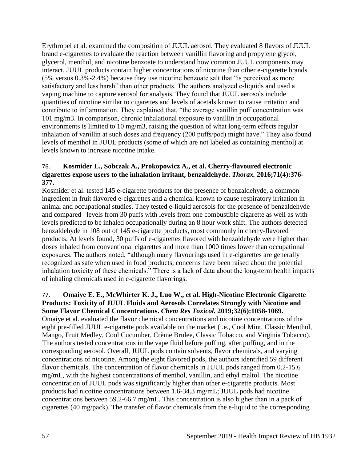Erythropel et al. examined the composition of JUUL aerosol. They evaluated 8 flavors of JUUL brand e-cigarettes to evaluate the reaction between vanillin flavoring and propylene glycol, glycerol, menthol, and nicotine benzoate to understand how common JUUL components may interact. JUUL products contain higher concentrations of nicotine than other e-cigarette brands (5% versus 0.3%-2.4%) because they use nicotine benzoate salt that "is perceived as more satisfactory and less harsh" than other products. The authors analyzed e-liquids and used a vaping machine to capture aerosol for analysis. They found that JUUL aerosols include quantities of nicotine similar to cigarettes and levels of acetals known to cause irritation and contribute to inflammation. They explained that, "the average vanillin puff concentration was 101 mg/m3. In comparison, chronic inhalational exposure to vanillin in occupational environments is limited to 10 mg/m3, raising the question of what long-term effects regular inhalation of vanillin at such doses and frequency (200 puffs/pod) might have." They also found levels of menthol in JUUL products (some of which are not labeled as containing menthol) at levels known to increase nicotine intake.

# <span id="page-58-0"></span>76. **Kosmider L., Sobczak A., Prokopowicz A., et al. Cherry-flavoured electronic cigarettes expose users to the inhalation irritant, benzaldehyde.** *Thorax.* **2016;71(4):376- 377.**

Kosmider et al. tested 145 e-cigarette products for the presence of benzaldehyde, a common ingredient in fruit flavored e-cigarettes and a chemical known to cause respiratory irritation in animal and occupational studies. They tested e-liquid aerosols for the presence of benzaldehyde and compared levels from 30 puffs with levels from one combustible cigarette as well as with levels predicted to be inhaled occupationally during an 8 hour work shift. The authors detected benzaldehyde in 108 out of 145 e-cigarette products, most commonly in cherry-flavored products. At levels found, 30 puffs of e-cigarettes flavored with benzaldehyde were higher than doses inhaled from conventional cigarettes and more than 1000 times lower than occupational exposures. The authors noted, "although many flavourings used in e-cigarettes are generally recognized as safe when used in food products, concerns have been raised about the potential inhalation toxicity of these chemicals." There is a lack of data about the long-term health impacts of inhaling chemicals used in e-cigarette flavorings.

#### 77. **Omaiye E. E., McWhirter K. J., Luo W., et al. High-Nicotine Electronic Cigarette Products: Toxicity of JUUL Fluids and Aerosols Correlates Strongly with Nicotine and Some Flavor Chemical Concentrations.** *Chem Res Toxicol.* **2019;32(6):1058-1069.**

Omaiye et al. evaluated the flavor chemical concentrations and nicotine concentrations of the eight pre-filled JUUL e-cigarette pods available on the market (i.e., Cool Mint, Classic Menthol, Mango, Fruit Medley, Cool Cucumber, Crème Brulee, Classic Tobacco, and Virginia Tobacco). The authors tested concentrations in the vape fluid before puffing, after puffing, and in the corresponding aerosol. Overall, JUUL pods contain solvents, flavor chemicals, and varying concentrations of nicotine. Among the eight flavored pods, the authors identified 59 different flavor chemicals. The concentration of flavor chemicals in JUUL pods ranged from 0.2-15.6 mg/mL, with the highest concentrations of menthol, vanillin, and ethyl maltol. The nicotine concentration of JUUL pods was significantly higher than other e-cigarette products. Most products had nicotine concentrations between 1.6-34.3 mg/mL; JUUL pods had nicotine concentrations between 59.2-66.7 mg/mL. This concentration is also higher than in a pack of cigarettes (40 mg/pack). The transfer of flavor chemicals from the e-liquid to the corresponding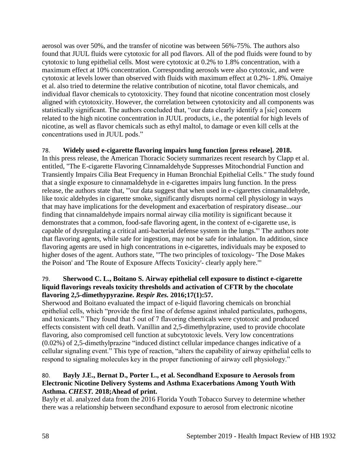aerosol was over 50%, and the transfer of nicotine was between 56%-75%. The authors also found that JUUL fluids were cytotoxic for all pod flavors. All of the pod fluids were found to by cytotoxic to lung epithelial cells. Most were cytotoxic at 0.2% to 1.8% concentration, with a maximum effect at 10% concentration. Corresponding aerosols were also cytotoxic, and were cytotoxic at levels lower than observed with fluids with maximum effect at 0.2%- 1.8%. Omaiye et al. also tried to determine the relative contribution of nicotine, total flavor chemicals, and individual flavor chemicals to cytotoxicity. They found that nicotine concentration most closely aligned with cytotoxicity. However, the correlation between cytotoxicity and all components was statistically significant. The authors concluded that, "our data clearly identify a [sic] concern related to the high nicotine concentration in JUUL products, i.e., the potential for high levels of nicotine, as well as flavor chemicals such as ethyl maltol, to damage or even kill cells at the concentrations used in JUUL pods."

# <span id="page-59-0"></span>78. **Widely used e-cigarette flavoring impairs lung function [press release]. 2018.**

In this press release, the American Thoracic Society summarizes recent research by Clapp et al. entitled, "The E-cigarette Flavoring Cinnamaldehyde Suppresses Mitochondrial Function and Transiently Impairs Cilia Beat Frequency in Human Bronchial Epithelial Cells." The study found that a single exposure to cinnamaldehyde in e-cigarettes impairs lung function. In the press release, the authors state that, "'our data suggest that when used in e-cigarettes cinnamaldehyde, like toxic aldehydes in cigarette smoke, significantly disrupts normal cell physiology in ways that may have implications for the development and exacerbation of respiratory disease...our finding that cinnamaldehyde impairs normal airway cilia motility is significant because it demonstrates that a common, food-safe flavoring agent, in the context of e-cigarette use, is capable of dysregulating a critical anti-bacterial defense system in the lungs.'" The authors note that flavoring agents, while safe for ingestion, may not be safe for inhalation. In addition, since flavoring agents are used in high concentrations in e-cigarettes, individuals may be exposed to higher doses of the agent. Authors state, "'The two principles of toxicology- 'The Dose Makes the Poison' and 'The Route of Exposure Affects Toxicity'- clearly apply here.'"

# 79. **Sherwood C. L., Boitano S. Airway epithelial cell exposure to distinct e-cigarette liquid flavorings reveals toxicity thresholds and activation of CFTR by the chocolate flavoring 2,5-dimethypyrazine.** *Respir Res.* **2016;17(1):57.**

Sherwood and Boitano evaluated the impact of e-liquid flavoring chemicals on bronchial epithelial cells, which "provide the first line of defense against inhaled particulates, pathogens, and toxicants." They found that 5 out of 7 flavoring chemicals were cytotoxic and produced effects consistent with cell death. Vanillin and 2,5-dimethylprazine, used to provide chocolate flavoring, also compromised cell function at subcytotoxic levels. Very low concentrations (0.02%) of 2,5-dimethylprazine "induced distinct cellular impedance changes indicative of a cellular signaling event." This type of reaction, "alters the capability of airway epithelial cells to respond to signaling molecules key in the proper functioning of airway cell physiology."

### <span id="page-59-1"></span>80. **Bayly J.E., Bernat D., Porter L., et al. Secondhand Exposure to Aerosols from Electronic Nicotine Delivery Systems and Asthma Exacerbations Among Youth With Asthma.** *CHEST.* **2018;Ahead of print.**

Bayly et al. analyzed data from the 2016 Florida Youth Tobacco Survey to determine whether there was a relationship between secondhand exposure to aerosol from electronic nicotine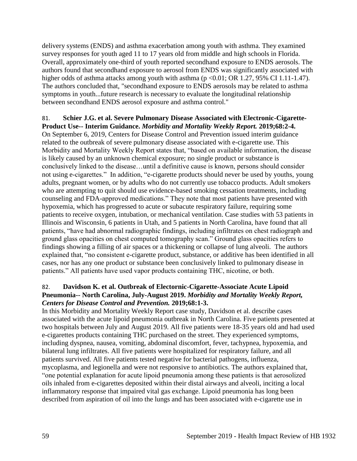delivery systems (ENDS) and asthma exacerbation among youth with asthma. They examined survey responses for youth aged 11 to 17 years old from middle and high schools in Florida. Overall, approximately one-third of youth reported secondhand exposure to ENDS aerosols. The authors found that secondhand exposure to aerosol from ENDS was significantly associated with higher odds of asthma attacks among youth with asthma  $(p < 0.01$ ; OR 1.27, 95% CI 1.11-1.47). The authors concluded that, "secondhand exposure to ENDS aerosols may be related to asthma symptoms in youth...future research is necessary to evaluate the longitudinal relationship between secondhand ENDS aerosol exposure and asthma control."

#### 81. **Schier J.G. et al. Severe Pulmonary Disease Associated with Electronic-Cigarette-Product Use-- Interim Guidance.** *Morbidity and Mortality Weekly Report.* **2019;68:2-4.**

On September 6, 2019, Centers for Disease Control and Prevention issued interim guidance related to the outbreak of severe pulmonary disease associated with e-cigarette use. This Morbidity and Mortality Weekly Report states that, "based on available information, the disease is likely caused by an unknown chemical exposure; no single product or substance is conclusively linked to the disease…until a definitive cause is known, persons should consider not using e-cigarettes." In addition, "e-cigarette products should never be used by youths, young adults, pregnant women, or by adults who do not currently use tobacco products. Adult smokers who are attempting to quit should use evidence-based smoking cessation treatments, including counseling and FDA-approved medications." They note that most patients have presented with hypoxemia, which has progressed to acute or subacute respiratory failure, requiring some patients to receive oxygen, intubation, or mechanical ventilation. Case studies with 53 patients in Illinois and Wisconsin, 6 patients in Utah, and 5 patients in North Carolina, have found that all patients, "have had abnormal radiographic findings, including infiltrates on chest radiograph and ground glass opacities on chest computed tomography scan." Ground glass opacities refers to findings showing a filling of air spaces or a thickening or collapse of lung alveoli. The authors explained that, "no consistent e-cigarette product, substance, or additive has been identified in all cases, nor has any one product or substance been conclusively linked to pulmonary disease in patients." All patients have used vapor products containing THC, nicotine, or both.

### 82. **Davidson K. et al. Outbreak of Electornic-Cigarette-Associate Acute Lipoid Pneumonia-- North Carolina, July-August 2019.** *Morbidity and Mortality Weekly Report, Centers for Disease Control and Prevention.* **2019;68:1-3.**

In this Morbidity and Mortality Weekly Report case study, Davidson et al. describe cases associated with the acute lipoid pneumonia outbreak in North Carolina. Five patients presented at two hospitals between July and August 2019. All five patients were 18-35 years old and had used e-cigarettes products containing THC purchased on the street. They experienced symptoms, including dyspnea, nausea, vomiting, abdominal discomfort, fever, tachypnea, hypoxemia, and bilateral lung infiltrates. All five patients were hospitalized for respiratory failure, and all patients survived. All five patients tested negative for bacterial pathogens, influenza, mycoplasma, and legionella and were not responsive to antibiotics. The authors explained that, "one potential explanation for acute lipoid pneumonia among these patients is that aerosolized oils inhaled from e-cigarettes deposited within their distal airways and alveoli, inciting a local inflammatory response that impaired vital gas exchange. Lipoid pneumonia has long been described from aspiration of oil into the lungs and has been associated with e-cigarette use in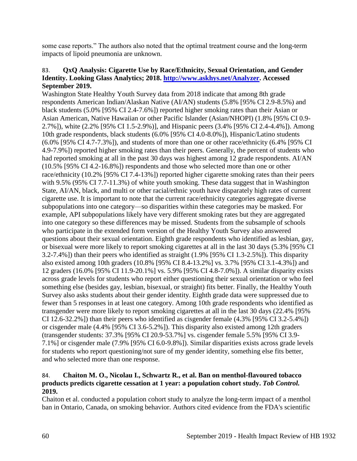some case reports." The authors also noted that the optimal treatment course and the long-term impacts of lipoid pneumonia are unknown.

### <span id="page-61-0"></span>83. **QxQ Analysis: Cigarette Use by Race/Ethnicity, Sexual Orientation, and Gender Identity. Looking Glass Analytics; 2018. [http://www.askhys.net/Analyzer.](http://www.askhys.net/Analyzer) Accessed September 2019.**

Washington State Healthy Youth Survey data from 2018 indicate that among 8th grade respondents American Indian/Alaskan Native (AI/AN) students (5.8% [95% CI 2.9-8.5%) and black students (5.0% [95% CI 2.4-7.6%]) reported higher smoking rates than their Asian or Asian American, Native Hawaiian or other Pacific Islander (Asian/NHOPI) (1.8% [95% CI 0.9- 2.7%]), white (2.2% [95% CI 1.5-2.9%)], and Hispanic peers (3.4% [95% CI 2.4-4.4%]). Among 10th grade respondents, black students (6.0% [95% CI 4.0-8.0%]), Hispanic/Latino students (6.0% [95% CI 4.7-7.3%]), and students of more than one or other race/ethnicity (6.4% [95% CI 4.9-7.9%]) reported higher smoking rates than their peers. Generally, the percent of students who had reported smoking at all in the past 30 days was highest among 12 grade respondents. AI/AN (10.5% [95% CI 4.2-16.8%]) respondents and those who selected more than one or other race/ethnicity (10.2% [95% CI 7.4-13%]) reported higher cigarette smoking rates than their peers with 9.5% (95% CI 7.7-11.3%) of white youth smoking. These data suggest that in Washington State, AI/AN, black, and multi or other racial/ethnic youth have disparately high rates of current cigarette use. It is important to note that the current race/ethnicity categories aggregate diverse subpopulations into one category—so disparities within these categories may be masked. For example, API subpopulations likely have very different smoking rates but they are aggregated into one category so these differences may be missed. Students from the subsample of schools who participate in the extended form version of the Healthy Youth Survey also answered questions about their sexual orientation. Eighth grade respondents who identified as lesbian, gay, or bisexual were more likely to report smoking cigarettes at all in the last 30 days (5.3% [95% CI 3.2-7.4%]) than their peers who identified as straight (1.9% [95% CI 1.3-2.5%]). This disparity also existed among 10th graders (10.8% [95% CI 8.4-13.2%] vs. 3.7% [95% CI 3.1-4.3%]) and 12 graders (16.0% [95% CI 11.9-20.1%] vs. 5.9% [95% CI 4.8-7.0%]). A similar disparity exists across grade levels for students who report either questioning their sexual orientation or who feel something else (besides gay, lesbian, bisexual, or straight) fits better. Finally, the Healthy Youth Survey also asks students about their gender identity. Eighth grade data were suppressed due to fewer than 5 responses in at least one category. Among 10th grade respondents who identified as transgender were more likely to report smoking cigarettes at all in the last 30 days (22.4% [95% CI 12.6-32.2%]) than their peers who identified as cisgender female (4.3% [95% CI 3.2-5.4%]) or cisgender male (4.4% [95% CI 3.6-5.2%]). This disparity also existed among 12th graders (transgender students: 37.3% [95% CI 20.9-53.7%] vs. cisgender female 5.5% [95% CI 3.9- 7.1%] or cisgender male (7.9% [95% CI 6.0-9.8%]). Similar disparities exists across grade levels for students who report questioning/not sure of my gender identity, something else fits better, and who selected more than one response.

### 84. **Chaiton M. O., Nicolau I., Schwartz R., et al. Ban on menthol-flavoured tobacco products predicts cigarette cessation at 1 year: a population cohort study.** *Tob Control.*  **2019.**

Chaiton et al. conducted a population cohort study to analyze the long-term impact of a menthol ban in Ontario, Canada, on smoking behavior. Authors cited evidence from the FDA's scientific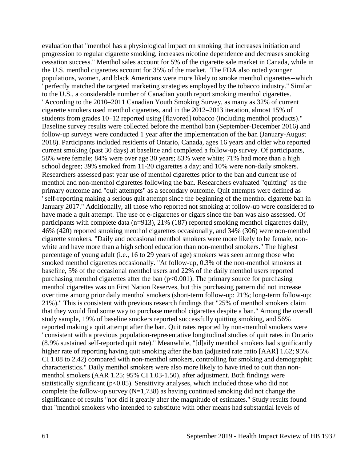evaluation that "menthol has a physiological impact on smoking that increases initiation and progression to regular cigarette smoking, increases nicotine dependence and decreases smoking cessation success." Menthol sales account for 5% of the cigarette sale market in Canada, while in the U.S. menthol cigarettes account for 35% of the market. The FDA also noted younger populations, women, and black Americans were more likely to smoke menthol cigarettes--which "perfectly matched the targeted marketing strategies employed by the tobacco industry." Similar to the U.S., a considerable number of Canadian youth report smoking menthol cigarettes. "According to the 2010–2011 Canadian Youth Smoking Survey, as many as 32% of current cigarette smokers used menthol cigarettes, and in the 2012–2013 iteration, almost 15% of students from grades 10–12 reported using [flavored] tobacco (including menthol products)." Baseline survey results were collected before the menthol ban (September-December 2016) and follow-up surveys were conducted 1 year after the implementation of the ban (January-August 2018). Participants included residents of Ontario, Canada, ages 16 years and older who reported current smoking (past 30 days) at baseline and completed a follow-up survey. Of participants, 58% were female; 84% were over age 30 years; 83% were white; 71% had more than a high school degree; 39% smoked from 11-20 cigarettes a day; and 10% were non-daily smokers. Researchers assessed past year use of menthol cigarettes prior to the ban and current use of menthol and non-menthol cigarettes following the ban. Researchers evaluated "quitting" as the primary outcome and "quit attempts" as a secondary outcome. Quit attempts were defined as "self-reporting making a serious quit attempt since the beginning of the menthol cigarette ban in January 2017." Additionally, all those who reported not smoking at follow-up were considered to have made a quit attempt. The use of e-cigarettes or cigars since the ban was also assessed. Of participants with complete data (n=913),  $\frac{21}{6}$  (187) reported smoking menthol cigarettes daily, 46% (420) reported smoking menthol cigarettes occasionally, and 34% (306) were non-menthol cigarette smokers. "Daily and occasional menthol smokers were more likely to be female, nonwhite and have more than a high school education than non-menthol smokers." The highest percentage of young adult (i.e., 16 to 29 years of age) smokers was seen among those who smoked menthol cigarettes occasionally. "At follow-up, 0.3% of the non-menthol smokers at baseline, 5% of the occasional menthol users and 22% of the daily menthol users reported purchasing menthol cigarettes after the ban  $(p<0.001)$ . The primary source for purchasing menthol cigarettes was on First Nation Reserves, but this purchasing pattern did not increase over time among prior daily menthol smokers (short-term follow-up: 21%; long-term follow-up: 21%)." This is consistent with previous research findings that "25% of menthol smokers claim that they would find some way to purchase menthol cigarettes despite a ban." Among the overall study sample, 19% of baseline smokers reported successfully quitting smoking, and 56% reported making a quit attempt after the ban. Quit rates reported by non-menthol smokers were "consistent with a previous population-representative longitudinal studies of quit rates in Ontario (8.9% sustained self-reported quit rate)." Meanwhile, "[d]aily menthol smokers had significantly higher rate of reporting having quit smoking after the ban (adjusted rate ratio [AAR] 1.62; 95% CI 1.08 to 2.42) compared with non-menthol smokers, controlling for smoking and demographic characteristics." Daily menthol smokers were also more likely to have tried to quit than nonmenthol smokers (AAR 1.25; 95% CI 1.03-1.50), after adjustment. Both findings were statistically significant  $(p<0.05)$ . Sensitivity analyses, which included those who did not complete the follow-up survey  $(N=1,738)$  as having continued smoking did not change the significance of results "nor did it greatly alter the magnitude of estimates." Study results found that "menthol smokers who intended to substitute with other means had substantial levels of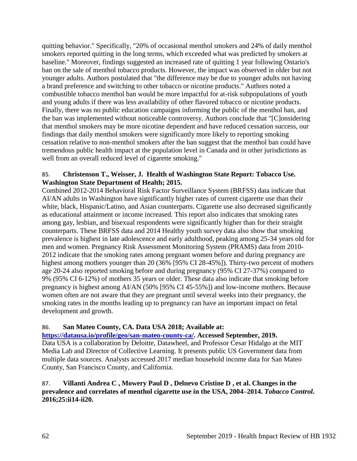quitting behavior." Specifically, "20% of occasional menthol smokers and 24% of daily menthol smokers reported quitting in the long terms, which exceeded what was predicted by smokers at baseline." Moreover, findings suggested an increased rate of quitting 1 year following Ontario's ban on the sale of menthol tobacco products. However, the impact was observed in older but not younger adults. Authors postulated that "the difference may be due to younger adults not having a brand preference and switching to other tobacco or nicotine products." Authors noted a combustible tobacco menthol ban would be more impactful for at-risk subpopulations of youth and young adults if there was less availability of other flavored tobacco or nicotine products. Finally, there was no public education campaigns informing the public of the menthol ban, and the ban was implemented without noticeable controversy. Authors conclude that "[C]onsidering that menthol smokers may be more nicotine dependent and have reduced cessation success, our findings that daily menthol smokers were significantly more likely to reporting smoking cessation relative to non-menthol smokers after the ban suggest that the menthol ban could have tremendous public health impact at the population level in Canada and in other jurisdictions as well from an overall reduced level of cigarette smoking."

# <span id="page-63-0"></span>85. **Christenson T., Weisser, J. Health of Washington State Report: Tobacco Use. Washington State Department of Health; 2015.**

Combined 2012-2014 Behavioral Risk Factor Surveillance System (BRFSS) data indicate that AI/AN adults in Washington have significantly higher rates of current cigarette use than their white, black, Hispanic/Latino, and Asian counterparts. Cigarette use also decreased significantly as educational attainment or income increased. This report also indicates that smoking rates among gay, lesbian, and bisexual respondents were significantly higher than for their straight counterparts. These BRFSS data and 2014 Healthy youth survey data also show that smoking prevalence is highest in late adolescence and early adulthood, peaking among 25-34 years old for men and women. Pregnancy Risk Assessment Monitoring System (PRAMS) data from 2010- 2012 indicate that the smoking rates among pregnant women before and during pregnancy are highest among mothers younger than 20 (36% [95% CI 28-45%]). Thirty-two percent of mothers age 20-24 also reported smoking before and during pregnancy (95% CI 27-37%) compared to 9% (95% CI 6-12%) of mothers 35 years or older. These data also indicate that smoking before pregnancy is highest among AI/AN (50% [95% CI 45-55%]) and low-income mothers. Because women often are not aware that they are pregnant until several weeks into their pregnancy, the smoking rates in the months leading up to pregnancy can have an important impact on fetal development and growth.

# 86. **San Mateo County, CA. Data USA 2018; Available at:**

**[https://datausa.io/profile/geo/san-mateo-county-ca/.](https://datausa.io/profile/geo/san-mateo-county-ca/) Accessed September, 2019.** Data USA is a collaboration by Deloitte, Datawheel, and Professor Cesar Hidalgo at the MIT Media Lab and Director of Collective Learning. It presents public US Government data from multiple data sources. Analysts accessed 2017 median household income data for San Mateo County, San Francisco County, and California.

# 87. **Villanti Andrea C , Mowery Paul D , Delnevo Cristine D , et al. Changes in the prevalence and correlates of menthol cigarette use in the USA, 2004–2014.** *Tobacco Control.*  **2016;25:ii14-ii20.**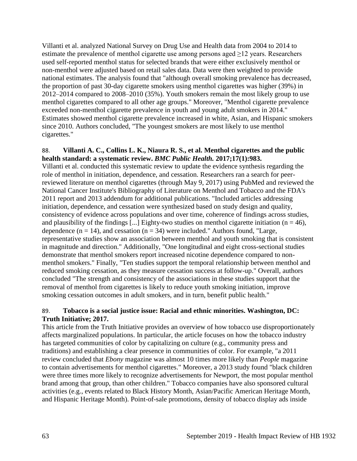Villanti et al. analyzed National Survey on Drug Use and Health data from 2004 to 2014 to estimate the prevalence of menthol cigarette use among persons aged  $\geq$ 12 years. Researchers used self-reported menthol status for selected brands that were either exclusively menthol or non-menthol were adjusted based on retail sales data. Data were then weighted to provide national estimates. The analysis found that "although overall smoking prevalence has decreased, the proportion of past 30-day cigarette smokers using menthol cigarettes was higher (39%) in 2012–2014 compared to 2008–2010 (35%). Youth smokers remain the most likely group to use menthol cigarettes compared to all other age groups." Moreover, "Menthol cigarette prevalence exceeded non-menthol cigarette prevalence in youth and young adult smokers in 2014." Estimates showed menthol cigarette prevalence increased in white, Asian, and Hispanic smokers since 2010. Authors concluded, "The youngest smokers are most likely to use menthol cigarettes."

#### 88. **Villanti A. C., Collins L. K., Niaura R. S., et al. Menthol cigarettes and the public health standard: a systematic review.** *BMC Public Health.* **2017;17(1):983.**

Villanti et al. conducted this systematic review to update the evidence synthesis regarding the role of menthol in initiation, dependence, and cessation. Researchers ran a search for peerreviewed literature on menthol cigarettes (through May 9, 2017) using PubMed and reviewed the National Cancer Institute's Bibliography of Literature on Menthol and Tobacco and the FDA's 2011 report and 2013 addendum for additional publications. "Included articles addressing initiation, dependence, and cessation were synthesized based on study design and quality, consistency of evidence across populations and over time, coherence of findings across studies, and plausibility of the findings [...] Eighty-two studies on menthol cigarette initiation ( $n = 46$ ), dependence  $(n = 14)$ , and cessation  $(n = 34)$  were included." Authors found, "Large, representative studies show an association between menthol and youth smoking that is consistent in magnitude and direction." Additionally, "One longitudinal and eight cross-sectional studies demonstrate that menthol smokers report increased nicotine dependence compared to nonmenthol smokers." Finally, "Ten studies support the temporal relationship between menthol and reduced smoking cessation, as they measure cessation success at follow-up." Overall, authors concluded "The strength and consistency of the associations in these studies support that the removal of menthol from cigarettes is likely to reduce youth smoking initiation, improve smoking cessation outcomes in adult smokers, and in turn, benefit public health."

# <span id="page-64-0"></span>89. **Tobacco is a social justice issue: Racial and ethnic minorities. Washington, DC: Truth Initiative; 2017.**

This article from the Truth Initiative provides an overview of how tobacco use disproportionately affects marginalized populations. In particular, the article focuses on how the tobacco industry has targeted communities of color by capitalizing on culture (e.g., community press and traditions) and establishing a clear presence in communities of color. For example, "a 2011 review concluded that *Ebony* magazine was almost 10 times more likely than *People* magazine to contain advertisements for menthol cigarettes." Moreover, a 2013 study found "black children were three times more likely to recognize advertisements for Newport, the most popular menthol brand among that group, than other children." Tobacco companies have also sponsored cultural activities (e.g., events related to Black History Month, Asian/Pacific American Heritage Month, and Hispanic Heritage Month). Point-of-sale promotions, density of tobacco display ads inside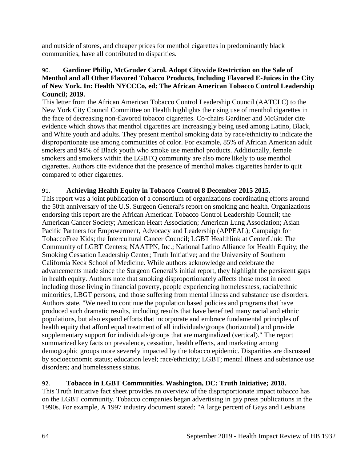and outside of stores, and cheaper prices for menthol cigarettes in predominantly black communities, have all contributed to disparities.

# <span id="page-65-1"></span>90. **Gardiner Philip, McGruder Carol. Adopt Citywide Restriction on the Sale of Menthol and all Other Flavored Tobacco Products, Including Flavored E-Juices in the City of New York. In: Health NYCCCo, ed: The African American Tobacco Control Leadership Council; 2019.**

This letter from the African American Tobacco Control Leadership Council (AATCLC) to the New York City Council Committee on Health highlights the rising use of menthol cigarettes in the face of decreasing non-flavored tobacco cigarettes. Co-chairs Gardiner and McGruder cite evidence which shows that menthol cigarettes are increasingly being used among Latino, Black, and White youth and adults. They present menthol smoking data by race/ethnicity to indicate the disproportionate use among communities of color. For example, 85% of African American adult smokers and 94% of Black youth who smoke use menthol products. Additionally, female smokers and smokers within the LGBTQ community are also more likely to use menthol cigarettes. Authors cite evidence that the presence of menthol makes cigarettes harder to quit compared to other cigarettes.

# 91. **Achieving Health Equity in Tobacco Control 8 December 2015 2015.**

This report was a joint publication of a consortium of organizations coordinating efforts around the 50th anniversary of the U.S. Surgeon General's report on smoking and health. Organizations endorsing this report are the African American Tobacco Control Leadership Council; the American Cancer Society; American Heart Association; American Lung Association; Asian Pacific Partners for Empowerment, Advocacy and Leadership (APPEAL); Campaign for TobaccoFree Kids; the Intercultural Cancer Council; LGBT Healthlink at CenterLink: The Community of LGBT Centers; NAATPN, Inc.; National Latino Alliance for Health Equity; the Smoking Cessation Leadership Center; Truth Initiative; and the University of Southern California Keck School of Medicine. While authors acknowledge and celebrate the advancements made since the Surgeon General's initial report, they highlight the persistent gaps in health equity. Authors note that smoking disproportionately affects those most in need including those living in financial poverty, people experiencing homelessness, racial/ethnic minorities, LBGT persons, and those suffering from mental illness and substance use disorders. Authors state, "We need to continue the population based policies and programs that have produced such dramatic results, including results that have benefited many racial and ethnic populations, but also expand efforts that incorporate and embrace fundamental principles of health equity that afford equal treatment of all individuals/groups (horizontal) and provide supplementary support for individuals/groups that are marginalized (vertical)." The report summarized key facts on prevalence, cessation, health effects, and marketing among demographic groups more severely impacted by the tobacco epidemic. Disparities are discussed by socioeconomic status; education level; race/ethnicity; LGBT; mental illness and substance use disorders; and homelessness status.

# <span id="page-65-0"></span>92. **Tobacco in LGBT Communities. Washington, DC: Truth Initiative; 2018.**

This Truth Initiative fact sheet provides an overview of the disproportionate impact tobacco has on the LGBT community. Tobacco companies began advertising in gay press publications in the 1990s. For example, A 1997 industry document stated: "A large percent of Gays and Lesbians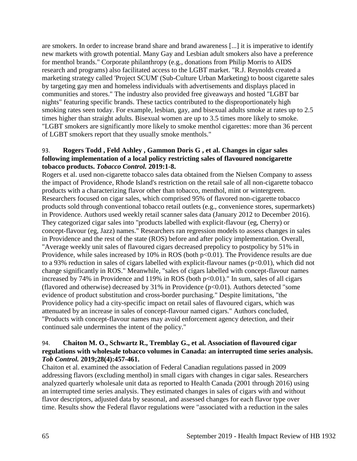are smokers. In order to increase brand share and brand awareness [...] it is imperative to identify new markets with growth potential. Many Gay and Lesbian adult smokers also have a preference for menthol brands." Corporate philanthropy (e.g., donations from Philip Morris to AIDS research and programs) also facilitated access to the LGBT market. "R.J. Reynolds created a marketing strategy called 'Project SCUM' (Sub-Culture Urban Marketing) to boost cigarette sales by targeting gay men and homeless individuals with advertisements and displays placed in communities and stores." The industry also provided free giveaways and hosted "LGBT bar nights" featuring specific brands. These tactics contributed to the disproportionately high smoking rates seen today. For example, lesbian, gay, and bisexual adults smoke at rates up to 2.5 times higher than straight adults. Bisexual women are up to 3.5 times more likely to smoke. "LGBT smokers are significantly more likely to smoke menthol cigarettes: more than 36 percent of LGBT smokers report that they usually smoke menthols."

### 93. **Rogers Todd , Feld Ashley , Gammon Doris G , et al. Changes in cigar sales following implementation of a local policy restricting sales of flavoured noncigarette tobacco products.** *Tobacco Control.* **2019:1-8.**

Rogers et al. used non-cigarette tobacco sales data obtained from the Nielsen Company to assess the impact of Providence, Rhode Island's restriction on the retail sale of all non-cigarette tobacco products with a characterizing flavor other than tobacco, menthol, mint or wintergreen. Researchers focused on cigar sales, which comprised 95% of flavored non-cigarette tobacco products sold through conventional tobacco retail outlets (e.g., convenience stores, supermarkets) in Providence. Authors used weekly retail scanner sales data (January 2012 to December 2016). They categorized cigar sales into "products labelled with explicit-flavour (eg, Cherry) or concept-flavour (eg, Jazz) names." Researchers ran regression models to assess changes in sales in Providence and the rest of the state (ROS) before and after policy implementation. Overall, "Average weekly unit sales of flavoured cigars decreased prepolicy to postpolicy by 51% in Providence, while sales increased by 10% in ROS (both  $p<0.01$ ). The Providence results are due to a 93% reduction in sales of cigars labelled with explicit-flavour names (p<0.01), which did not change significantly in ROS." Meanwhile, "sales of cigars labelled with concept-flavour names increased by 74% in Providence and 119% in ROS (both  $p<0.01$ )." In sum, sales of all cigars (flavored and otherwise) decreased by  $31\%$  in Providence ( $p<0.01$ ). Authors detected "some evidence of product substitution and cross-border purchasing." Despite limitations, "the Providence policy had a city-specific impact on retail sales of flavoured cigars, which was attenuated by an increase in sales of concept-flavour named cigars." Authors concluded, "Products with concept-flavour names may avoid enforcement agency detection, and their continued sale undermines the intent of the policy."

# 94. **Chaiton M. O., Schwartz R., Tremblay G., et al. Association of flavoured cigar regulations with wholesale tobacco volumes in Canada: an interrupted time series analysis.**  *Tob Control.* **2019;28(4):457-461.**

Chaiton et al. examined the association of Federal Canadian regulations passed in 2009 addressing flavors (excluding menthol) in small cigars with changes in cigar sales. Researchers analyzed quarterly wholesale unit data as reported to Health Canada (2001 through 2016) using an interrupted time series analysis. They estimated changes in sales of cigars with and without flavor descriptors, adjusted data by seasonal, and assessed changes for each flavor type over time. Results show the Federal flavor regulations were "associated with a reduction in the sales